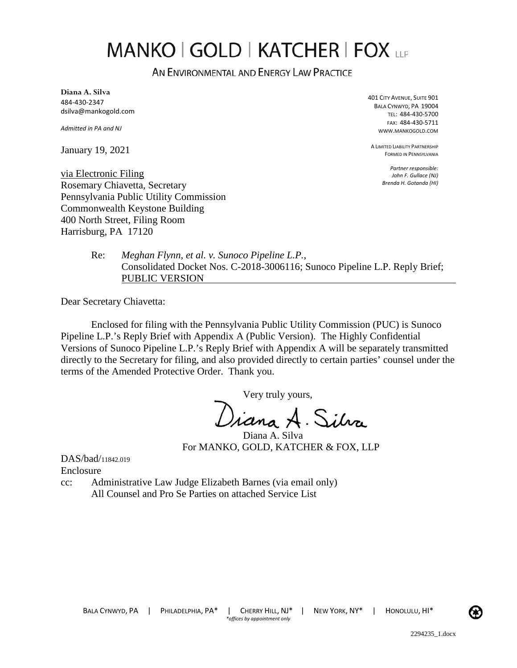# **MANKO | GOLD | KATCHER | FOX LLP**

AN ENVIRONMENTAL AND ENERGY LAW PRACTICE

**Diana A. Silva**  484-430-2347 dsilva@mankogold.com

*Admitted in PA and NJ* 

January 19, 2021

401 CITY AVENUE, SUITE 901 BALA CYNWYD, PA 19004 TEL: 484-430-5700 FAX: 484-430-5711 WWW.MANKOGOLD.COM

A LIMITED LIABILITY PARTNERSHIP FORMED IN PENNSYLVANIA

> *Partner responsible: John F. Gullace (NJ) Brenda H. Gotanda (HI)*

via Electronic Filing Rosemary Chiavetta, Secretary Pennsylvania Public Utility Commission Commonwealth Keystone Building 400 North Street, Filing Room Harrisburg, PA 17120

> Re: *Meghan Flynn, et al. v. Sunoco Pipeline L.P.*, Consolidated Docket Nos. C-2018-3006116; Sunoco Pipeline L.P. Reply Brief; PUBLIC VERSION

Dear Secretary Chiavetta:

Enclosed for filing with the Pennsylvania Public Utility Commission (PUC) is Sunoco Pipeline L.P.'s Reply Brief with Appendix A (Public Version). The Highly Confidential Versions of Sunoco Pipeline L.P.'s Reply Brief with Appendix A will be separately transmitted directly to the Secretary for filing, and also provided directly to certain parties' counsel under the terms of the Amended Protective Order. Thank you.

Very truly yours,

Viana A. Silva

Diana A. Silva For MANKO, GOLD, KATCHER & FOX, LLP

DAS/bad/11842.019 Enclosure

cc: Administrative Law Judge Elizabeth Barnes (via email only) All Counsel and Pro Se Parties on attached Service List

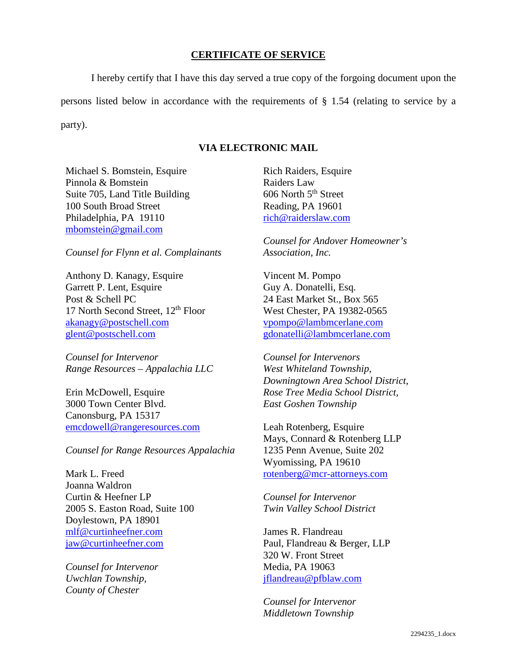## **CERTIFICATE OF SERVICE**

I hereby certify that I have this day served a true copy of the forgoing document upon the persons listed below in accordance with the requirements of § 1.54 (relating to service by a party).

## **VIA ELECTRONIC MAIL**

Michael S. Bomstein, Esquire Pinnola & Bomstein Suite 705, Land Title Building 100 South Broad Street Philadelphia, PA 19110 [mbomstein@gmail.com](mailto:mbomstein@gmail.com) 

*Counsel for Flynn et al. Complainants*

Anthony D. Kanagy, Esquire Garrett P. Lent, Esquire Post & Schell PC 17 North Second Street,  $12<sup>th</sup>$  Floor [akanagy@postschell.com](mailto:akanagy@postschell.com)  [glent@postschell.com](mailto:glent@postschell.com) 

*Counsel for Intervenor Range Resources – Appalachia LLC* 

Erin McDowell, Esquire 3000 Town Center Blvd. Canonsburg, PA 15317 [emcdowell@rangeresources.com](mailto:emcdowell@rangeresources.com)

*Counsel for Range Resources Appalachia* 

Mark L. Freed Joanna Waldron Curtin & Heefner LP 2005 S. Easton Road, Suite 100 Doylestown, PA 18901 [mlf@curtinheefner.com](mailto:mlf@curtinheefner.com)  [jaw@curtinheefner.com](mailto:jaw@curtinheefner.com)

*Counsel for Intervenor Uwchlan Township, County of Chester* 

Rich Raiders, Esquire Raiders Law  $606$  North  $5<sup>th</sup>$  Street Reading, PA 19601 [rich@raiderslaw.com](mailto:rich@raiderslaw.com) 

*Counsel for Andover Homeowner's Association, Inc.* 

Vincent M. Pompo Guy A. Donatelli, Esq. 24 East Market St., Box 565 West Chester, PA 19382-0565 [vpompo@lambmcerlane.com](mailto:vpompo@lambmcerlane.com)  [gdonatelli@lambmcerlane.com](mailto:gdonatelli@lambmcerlane.com) 

*Counsel for Intervenors West Whiteland Township, Downingtown Area School District, Rose Tree Media School District, East Goshen Township* 

Leah Rotenberg, Esquire Mays, Connard & Rotenberg LLP 1235 Penn Avenue, Suite 202 Wyomissing, PA 19610 [rotenberg@mcr-attorneys.com](mailto:rotenberg@mcr-attorneys.com) 

*Counsel for Intervenor Twin Valley School District* 

James R. Flandreau Paul, Flandreau & Berger, LLP 320 W. Front Street Media, PA 19063 [jflandreau@pfblaw.com](mailto:jflandreau@pfblaw.com)

*Counsel for Intervenor Middletown Township*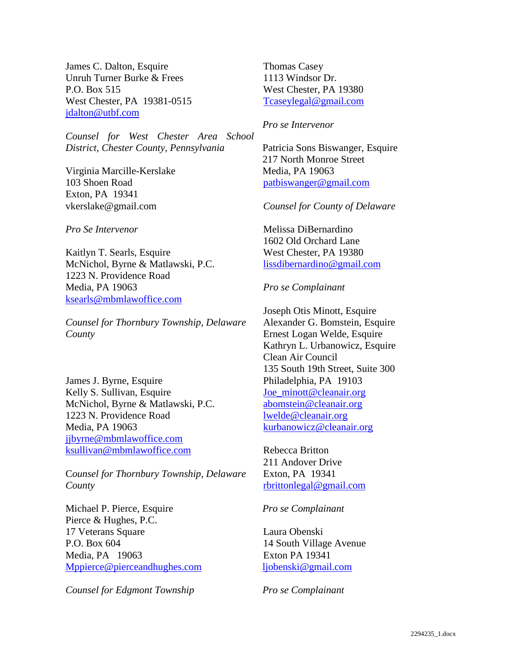James C. Dalton, Esquire Unruh Turner Burke & Frees P.O. Box 515 West Chester, PA 19381-0515 [jdalton@utbf.com](mailto:jdalton@utbf.com) 

*Counsel for West Chester Area School District, Chester County, Pennsylvania* 

Virginia Marcille-Kerslake 103 Shoen Road Exton, PA 19341 [vkerslake@gmail.com](mailto:vkerslake@gmail.com)

*Pro Se Intervenor*

Kaitlyn T. Searls, Esquire McNichol, Byrne & Matlawski, P.C. 1223 N. Providence Road Media, PA 19063 [ksearls@mbmlawoffice.com](mailto:ksearls@mbmlawoffice.com)

*Counsel for Thornbury Township, Delaware County* 

James J. Byrne, Esquire Kelly S. Sullivan, Esquire McNichol, Byrne & Matlawski, P.C. 1223 N. Providence Road Media, PA 19063 [jjbyrne@mbmlawoffice.com](mailto:jjbyrne@mbmlawoffice.com)  [ksullivan@mbmlawoffice.com](mailto:ksullivan@mbmlawoffice.com) 

C*ounsel for Thornbury Township, Delaware County* 

Michael P. Pierce, Esquire Pierce & Hughes, P.C. 17 Veterans Square P.O. Box 604 Media, PA 19063 [Mppierce@pierceandhughes.com](mailto:Mppierce@pierceandhughes.com) 

*Counsel for Edgmont Township* 

Thomas Casey 1113 Windsor Dr. West Chester, PA 19380 [Tcaseylegal@gmail.com](mailto:Tcaseylegal@gmail.com) 

*Pro se Intervenor*

Patricia Sons Biswanger, Esquire 217 North Monroe Street Media, PA 19063 [patbiswanger@gmail.com](mailto:patbiswanger@gmail.com) 

*Counsel for County of Delaware* 

Melissa DiBernardino 1602 Old Orchard Lane West Chester, PA 19380 [lissdibernardino@gmail.com](mailto:lissdibernardino@gmail.com)

*Pro se Complainant*

Joseph Otis Minott, Esquire Alexander G. Bomstein, Esquire Ernest Logan Welde, Esquire Kathryn L. Urbanowicz, Esquire Clean Air Council 135 South 19th Street, Suite 300 Philadelphia, PA 19103 [Joe\\_minott@cleanair.org](mailto:Joe_minott@cleanair.org) [abomstein@cleanair.org](mailto:abomstein@cleanair.org) [lwelde@cleanair.org](mailto:lwelde@cleanair.org) [kurbanowicz@cleanair.org](mailto:kurbanowicz@cleanair.org) 

Rebecca Britton 211 Andover Drive Exton, PA 19341 [rbrittonlegal@gmail.com](mailto:rbrittonlegal@gmail.com)

*Pro se Complainant* 

Laura Obenski 14 South Village Avenue Exton PA 19341 [ljobenski@gmail.com](mailto:ljobenski@gmail.com)

*Pro se Complainant*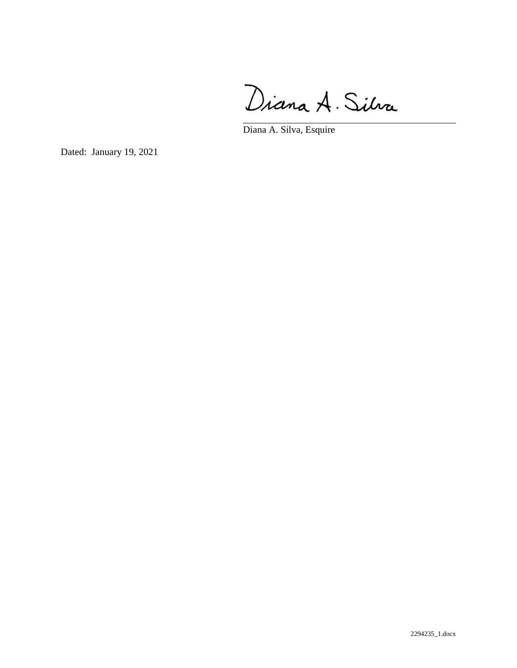Diana A. Silva

Diana A. Silva, Esquire

Dated: January 19, 2021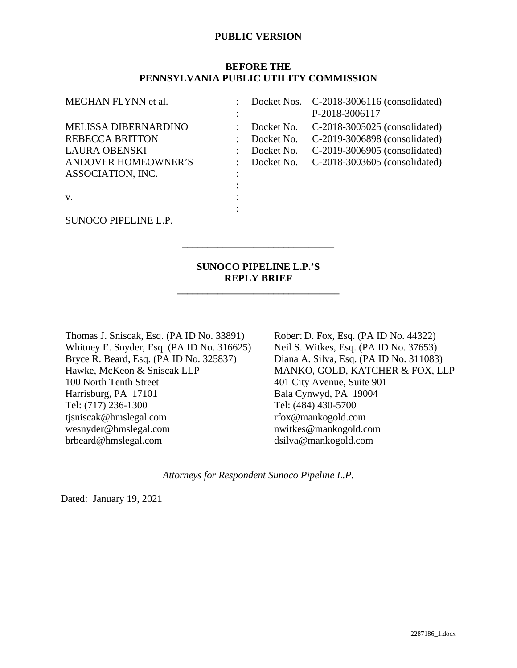## **BEFORE THE PENNSYLVANIA PUBLIC UTILITY COMMISSION**

| MEGHAN FLYNN et al.                                                                                                                    |                                                      | Docket Nos. C-2018-3006116 (consolidated)<br>P-2018-3006117                                                                      |
|----------------------------------------------------------------------------------------------------------------------------------------|------------------------------------------------------|----------------------------------------------------------------------------------------------------------------------------------|
| <b>MELISSA DIBERNARDINO</b><br><b>REBECCA BRITTON</b><br><b>LAURA OBENSKI</b><br><b>ANDOVER HOMEOWNER'S</b><br>ASSOCIATION, INC.<br>V. | Docket No.<br>Docket No.<br>Docket No.<br>Docket No. | C-2018-3005025 (consolidated)<br>C-2019-3006898 (consolidated)<br>C-2019-3006905 (consolidated)<br>C-2018-3003605 (consolidated) |
| SUNOCO PIPELINE L.P.                                                                                                                   |                                                      |                                                                                                                                  |

## **SUNOCO PIPELINE L.P.'S REPLY BRIEF**

**\_\_\_\_\_\_\_\_\_\_\_\_\_\_\_\_\_\_\_\_\_\_\_\_\_\_\_\_\_\_\_\_** 

**\_\_\_\_\_\_\_\_\_\_\_\_\_\_\_\_\_\_\_\_\_\_\_\_\_\_\_\_\_\_** 

Thomas J. Sniscak, Esq. (PA ID No. 33891) Whitney E. Snyder, Esq. (PA ID No. 316625) Bryce R. Beard, Esq. (PA ID No. 325837) Hawke, McKeon & Sniscak LLP 100 North Tenth Street Harrisburg, PA 17101 Tel: (717) 236-1300 tjsniscak@hmslegal.com wesnyder@hmslegal.com brbeard@hmslegal.com

Robert D. Fox, Esq. (PA ID No. 44322) Neil S. Witkes, Esq. (PA ID No. 37653) Diana A. Silva, Esq. (PA ID No. 311083) MANKO, GOLD, KATCHER & FOX, LLP 401 City Avenue, Suite 901 Bala Cynwyd, PA 19004 Tel: (484) 430-5700 rfox@mankogold.com nwitkes@mankogold.com dsilva@mankogold.com

*Attorneys for Respondent Sunoco Pipeline L.P.* 

Dated: January 19, 2021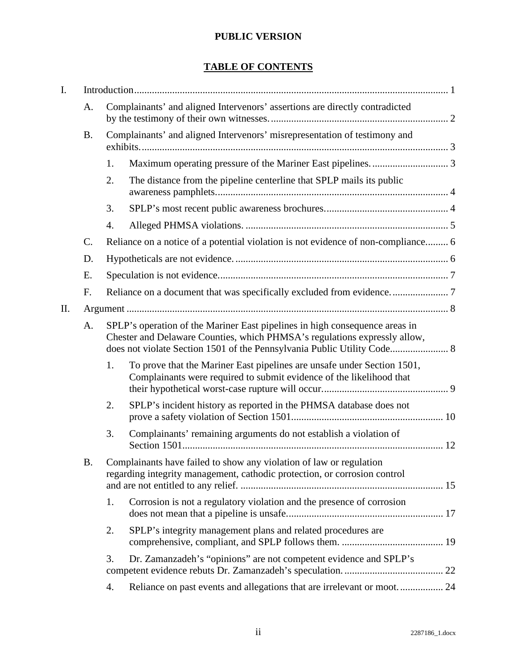# **TABLE OF CONTENTS**

| I. |           |                                                                                                                                                          |                                                                                                                                                  |  |  |
|----|-----------|----------------------------------------------------------------------------------------------------------------------------------------------------------|--------------------------------------------------------------------------------------------------------------------------------------------------|--|--|
|    | A.        | Complainants' and aligned Intervenors' assertions are directly contradicted                                                                              |                                                                                                                                                  |  |  |
|    | <b>B.</b> |                                                                                                                                                          | Complainants' and aligned Intervenors' misrepresentation of testimony and                                                                        |  |  |
|    |           | 1.                                                                                                                                                       |                                                                                                                                                  |  |  |
|    |           | 2.                                                                                                                                                       | The distance from the pipeline centerline that SPLP mails its public                                                                             |  |  |
|    |           | 3.                                                                                                                                                       |                                                                                                                                                  |  |  |
|    |           | 4.                                                                                                                                                       |                                                                                                                                                  |  |  |
|    | C.        |                                                                                                                                                          | Reliance on a notice of a potential violation is not evidence of non-compliance 6                                                                |  |  |
|    | D.        |                                                                                                                                                          |                                                                                                                                                  |  |  |
|    | Ε.        |                                                                                                                                                          |                                                                                                                                                  |  |  |
|    | F.        |                                                                                                                                                          |                                                                                                                                                  |  |  |
| Π. |           |                                                                                                                                                          |                                                                                                                                                  |  |  |
|    | A.        | SPLP's operation of the Mariner East pipelines in high consequence areas in<br>Chester and Delaware Counties, which PHMSA's regulations expressly allow, |                                                                                                                                                  |  |  |
|    |           | 1.                                                                                                                                                       | To prove that the Mariner East pipelines are unsafe under Section 1501,<br>Complainants were required to submit evidence of the likelihood that  |  |  |
|    |           | 2.                                                                                                                                                       | SPLP's incident history as reported in the PHMSA database does not                                                                               |  |  |
|    |           | 3.                                                                                                                                                       | Complainants' remaining arguments do not establish a violation of                                                                                |  |  |
|    | Β.        |                                                                                                                                                          | Complainants have failed to show any violation of law or regulation<br>regarding integrity management, cathodic protection, or corrosion control |  |  |
|    |           | 1.                                                                                                                                                       | Corrosion is not a regulatory violation and the presence of corrosion                                                                            |  |  |
|    |           | 2.                                                                                                                                                       | SPLP's integrity management plans and related procedures are                                                                                     |  |  |
|    |           | 3.                                                                                                                                                       | Dr. Zamanzadeh's "opinions" are not competent evidence and SPLP's                                                                                |  |  |
|    |           | 4.                                                                                                                                                       | Reliance on past events and allegations that are irrelevant or moot 24                                                                           |  |  |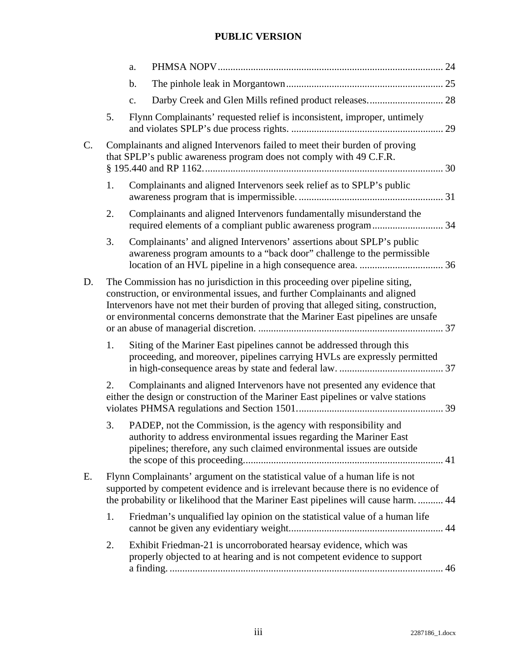|                |    | a. |                                                                                                                                                                                                                                                                                                                                       |    |
|----------------|----|----|---------------------------------------------------------------------------------------------------------------------------------------------------------------------------------------------------------------------------------------------------------------------------------------------------------------------------------------|----|
|                |    | b. |                                                                                                                                                                                                                                                                                                                                       |    |
|                |    | c. |                                                                                                                                                                                                                                                                                                                                       |    |
|                | 5. |    | Flynn Complainants' requested relief is inconsistent, improper, untimely                                                                                                                                                                                                                                                              |    |
| $\mathbf{C}$ . |    |    | Complainants and aligned Intervenors failed to meet their burden of proving<br>that SPLP's public awareness program does not comply with 49 C.F.R.                                                                                                                                                                                    |    |
|                | 1. |    | Complainants and aligned Intervenors seek relief as to SPLP's public                                                                                                                                                                                                                                                                  |    |
|                | 2. |    | Complainants and aligned Intervenors fundamentally misunderstand the                                                                                                                                                                                                                                                                  |    |
|                | 3. |    | Complainants' and aligned Intervenors' assertions about SPLP's public<br>awareness program amounts to a "back door" challenge to the permissible                                                                                                                                                                                      |    |
| D.             |    |    | The Commission has no jurisdiction in this proceeding over pipeline siting,<br>construction, or environmental issues, and further Complainants and aligned<br>Intervenors have not met their burden of proving that alleged siting, construction,<br>or environmental concerns demonstrate that the Mariner East pipelines are unsafe |    |
|                | 1. |    | Siting of the Mariner East pipelines cannot be addressed through this<br>proceeding, and moreover, pipelines carrying HVLs are expressly permitted                                                                                                                                                                                    |    |
|                | 2. |    | Complainants and aligned Intervenors have not presented any evidence that<br>either the design or construction of the Mariner East pipelines or valve stations                                                                                                                                                                        |    |
|                | 3. |    | PADEP, not the Commission, is the agency with responsibility and<br>authority to address environmental issues regarding the Mariner East<br>pipelines; therefore, any such claimed environmental issues are outside                                                                                                                   |    |
| Ε.             |    |    | Flynn Complainants' argument on the statistical value of a human life is not<br>supported by competent evidence and is irrelevant because there is no evidence of<br>the probability or likelihood that the Mariner East pipelines will cause harm.  44                                                                               |    |
|                | 1. |    | Friedman's unqualified lay opinion on the statistical value of a human life                                                                                                                                                                                                                                                           |    |
|                | 2. |    | Exhibit Friedman-21 is uncorroborated hearsay evidence, which was<br>properly objected to at hearing and is not competent evidence to support                                                                                                                                                                                         | 46 |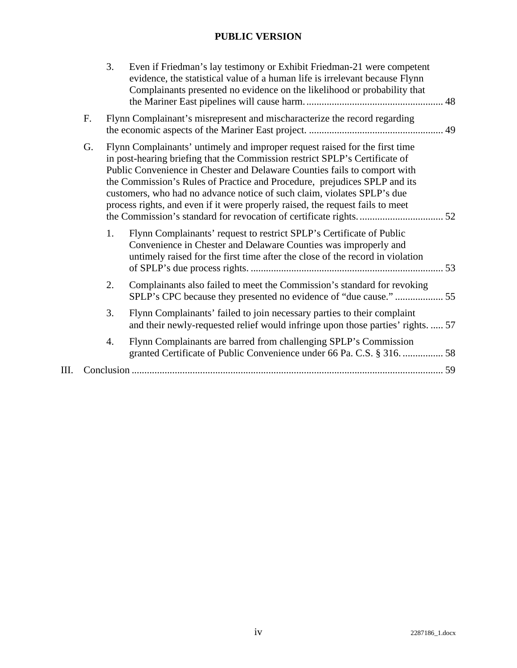|    |                                                                                                                                                                                                                                                                                                                                                                                                                                                                                         | 3. | Even if Friedman's lay testimony or Exhibit Friedman-21 were competent<br>evidence, the statistical value of a human life is irrelevant because Flynn<br>Complainants presented no evidence on the likelihood or probability that |
|----|-----------------------------------------------------------------------------------------------------------------------------------------------------------------------------------------------------------------------------------------------------------------------------------------------------------------------------------------------------------------------------------------------------------------------------------------------------------------------------------------|----|-----------------------------------------------------------------------------------------------------------------------------------------------------------------------------------------------------------------------------------|
|    | F.                                                                                                                                                                                                                                                                                                                                                                                                                                                                                      |    | Flynn Complainant's misrepresent and mischaracterize the record regarding                                                                                                                                                         |
|    | Flynn Complainants' untimely and improper request raised for the first time<br>G.<br>in post-hearing briefing that the Commission restrict SPLP's Certificate of<br>Public Convenience in Chester and Delaware Counties fails to comport with<br>the Commission's Rules of Practice and Procedure, prejudices SPLP and its<br>customers, who had no advance notice of such claim, violates SPLP's due<br>process rights, and even if it were properly raised, the request fails to meet |    |                                                                                                                                                                                                                                   |
|    |                                                                                                                                                                                                                                                                                                                                                                                                                                                                                         | 1. | Flynn Complainants' request to restrict SPLP's Certificate of Public<br>Convenience in Chester and Delaware Counties was improperly and<br>untimely raised for the first time after the close of the record in violation          |
|    |                                                                                                                                                                                                                                                                                                                                                                                                                                                                                         | 2. | Complainants also failed to meet the Commission's standard for revoking<br>SPLP's CPC because they presented no evidence of "due cause."  55                                                                                      |
|    |                                                                                                                                                                                                                                                                                                                                                                                                                                                                                         | 3. | Flynn Complainants' failed to join necessary parties to their complaint<br>and their newly-requested relief would infringe upon those parties' rights.  57                                                                        |
|    |                                                                                                                                                                                                                                                                                                                                                                                                                                                                                         | 4. | Flynn Complainants are barred from challenging SPLP's Commission<br>granted Certificate of Public Convenience under 66 Pa. C.S. § 316.  58                                                                                        |
| Ш. |                                                                                                                                                                                                                                                                                                                                                                                                                                                                                         |    |                                                                                                                                                                                                                                   |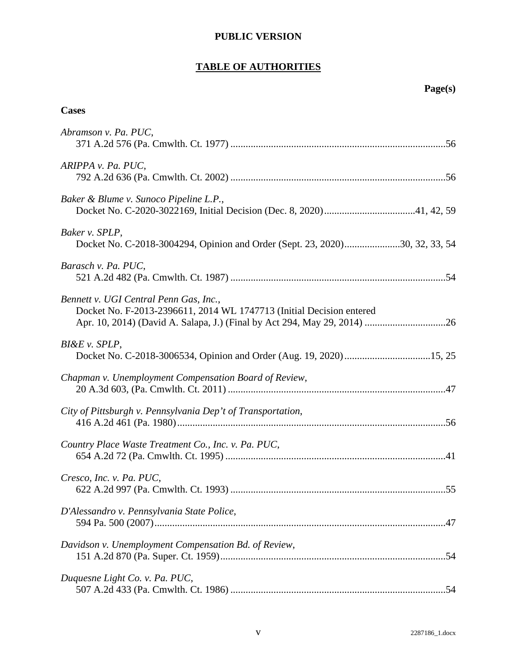# **TABLE OF AUTHORITIES**

# **Cases**

| Abramson v. Pa. PUC,                                                                                           |
|----------------------------------------------------------------------------------------------------------------|
| ARIPPA v. Pa. PUC,                                                                                             |
| Baker & Blume v. Sunoco Pipeline L.P.,                                                                         |
| Baker v. SPLP,<br>Docket No. C-2018-3004294, Opinion and Order (Sept. 23, 2020)30, 32, 33, 54                  |
| Barasch v. Pa. PUC,                                                                                            |
| Bennett v. UGI Central Penn Gas, Inc.,<br>Docket No. F-2013-2396611, 2014 WL 1747713 (Initial Decision entered |
| $BI\&E v. SPLP,$                                                                                               |
| Chapman v. Unemployment Compensation Board of Review,                                                          |
| City of Pittsburgh v. Pennsylvania Dep't of Transportation,                                                    |
| Country Place Waste Treatment Co., Inc. v. Pa. PUC,                                                            |
| Cresco, Inc. v. Pa. PUC,                                                                                       |
| D'Alessandro v. Pennsylvania State Police,                                                                     |
| Davidson v. Unemployment Compensation Bd. of Review,                                                           |
| Duquesne Light Co. v. Pa. PUC,                                                                                 |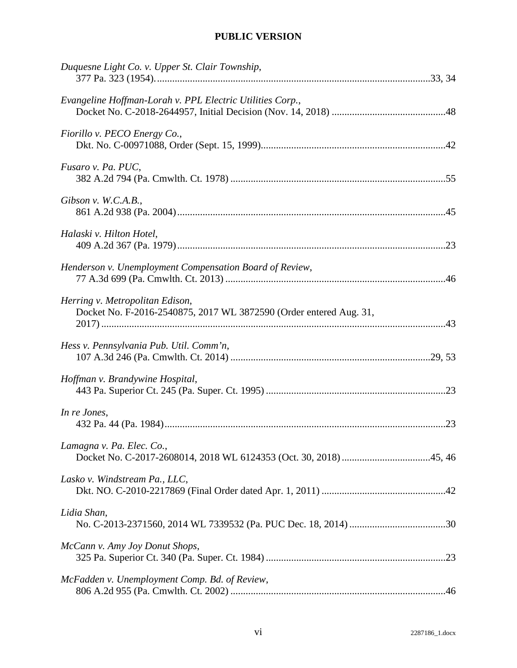| Duquesne Light Co. v. Upper St. Clair Township,                                                       |  |
|-------------------------------------------------------------------------------------------------------|--|
| Evangeline Hoffman-Lorah v. PPL Electric Utilities Corp.,                                             |  |
| Fiorillo v. PECO Energy Co.,                                                                          |  |
| Fusaro v. Pa. PUC,                                                                                    |  |
| Gibson v. W.C.A.B.,                                                                                   |  |
| Halaski v. Hilton Hotel,                                                                              |  |
| Henderson v. Unemployment Compensation Board of Review,                                               |  |
| Herring v. Metropolitan Edison,<br>Docket No. F-2016-2540875, 2017 WL 3872590 (Order entered Aug. 31, |  |
| Hess v. Pennsylvania Pub. Util. Comm'n,                                                               |  |
| Hoffman v. Brandywine Hospital,                                                                       |  |
| In re Jones,                                                                                          |  |
| Lamagna v. Pa. Elec. Co.,                                                                             |  |
| Lasko v. Windstream Pa., LLC,                                                                         |  |
| Lidia Shan,                                                                                           |  |
| McCann v. Amy Joy Donut Shops,                                                                        |  |
| McFadden v. Unemployment Comp. Bd. of Review,                                                         |  |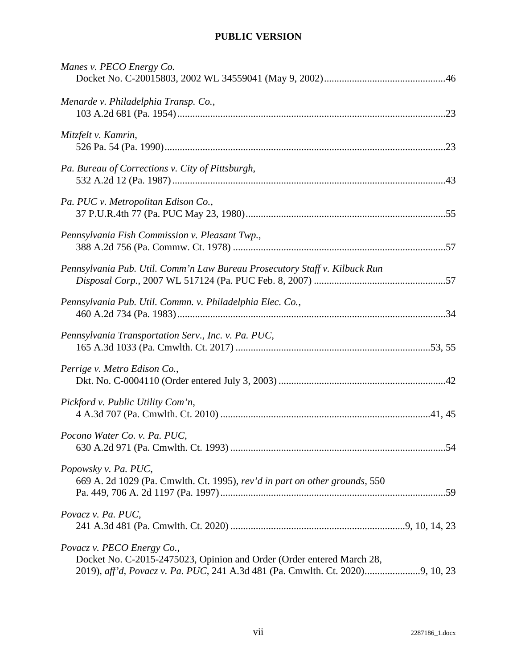| Manes v. PECO Energy Co.                                                                            |  |
|-----------------------------------------------------------------------------------------------------|--|
| Menarde v. Philadelphia Transp. Co.,                                                                |  |
| Mitzfelt v. Kamrin,                                                                                 |  |
| Pa. Bureau of Corrections v. City of Pittsburgh,                                                    |  |
| Pa. PUC v. Metropolitan Edison Co.,                                                                 |  |
| Pennsylvania Fish Commission v. Pleasant Twp.,                                                      |  |
| Pennsylvania Pub. Util. Comm'n Law Bureau Prosecutory Staff v. Kilbuck Run                          |  |
| Pennsylvania Pub. Util. Commn. v. Philadelphia Elec. Co.,                                           |  |
| Pennsylvania Transportation Serv., Inc. v. Pa. PUC,                                                 |  |
| Perrige v. Metro Edison Co.,                                                                        |  |
| Pickford v. Public Utility Com'n,                                                                   |  |
| Pocono Water Co. v. Pa. PUC,                                                                        |  |
| Popowsky v. Pa. PUC,<br>669 A. 2d 1029 (Pa. Cmwlth. Ct. 1995), rev'd in part on other grounds, 550  |  |
| Povacz v. Pa. PUC,                                                                                  |  |
| Povacz v. PECO Energy Co.,<br>Docket No. C-2015-2475023, Opinion and Order (Order entered March 28, |  |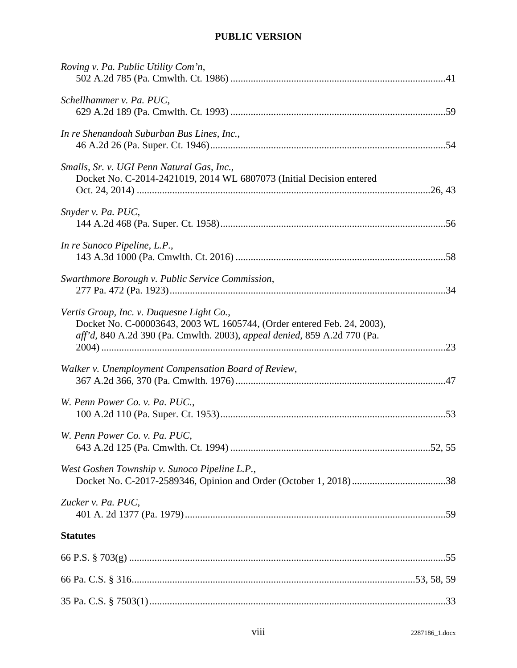| Roving v. Pa. Public Utility Com'n,                                                                                                                                                             |  |
|-------------------------------------------------------------------------------------------------------------------------------------------------------------------------------------------------|--|
| Schellhammer v. Pa. PUC,                                                                                                                                                                        |  |
| In re Shenandoah Suburban Bus Lines, Inc.,                                                                                                                                                      |  |
| Smalls, Sr. v. UGI Penn Natural Gas, Inc.,<br>Docket No. C-2014-2421019, 2014 WL 6807073 (Initial Decision entered                                                                              |  |
| Snyder v. Pa. PUC,                                                                                                                                                                              |  |
| In re Sunoco Pipeline, L.P.,                                                                                                                                                                    |  |
| Swarthmore Borough v. Public Service Commission,                                                                                                                                                |  |
| Vertis Group, Inc. v. Duquesne Light Co.,<br>Docket No. C-00003643, 2003 WL 1605744, (Order entered Feb. 24, 2003),<br>aff'd, 840 A.2d 390 (Pa. Cmwlth. 2003), appeal denied, 859 A.2d 770 (Pa. |  |
| Walker v. Unemployment Compensation Board of Review,                                                                                                                                            |  |
| W. Penn Power Co. v. Pa. PUC.,                                                                                                                                                                  |  |
| W. Penn Power Co. v. Pa. PUC,                                                                                                                                                                   |  |
| West Goshen Township v. Sunoco Pipeline L.P.,                                                                                                                                                   |  |
| Zucker v. Pa. PUC,                                                                                                                                                                              |  |
| <b>Statutes</b>                                                                                                                                                                                 |  |
|                                                                                                                                                                                                 |  |
|                                                                                                                                                                                                 |  |
|                                                                                                                                                                                                 |  |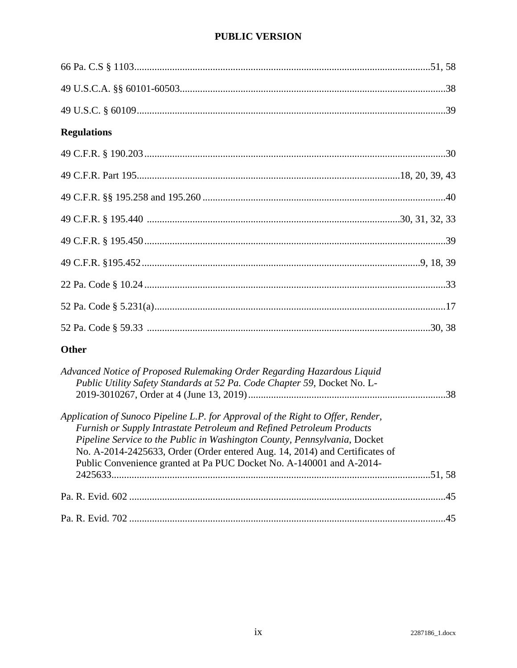| <b>Regulations</b> |  |
|--------------------|--|
|                    |  |
|                    |  |
|                    |  |
|                    |  |
|                    |  |
|                    |  |
|                    |  |
|                    |  |
|                    |  |

# Other

| Advanced Notice of Proposed Rulemaking Order Regarding Hazardous Liquid<br>Public Utility Safety Standards at 52 Pa. Code Chapter 59, Docket No. L- |       |
|-----------------------------------------------------------------------------------------------------------------------------------------------------|-------|
| Application of Sunoco Pipeline L.P. for Approval of the Right to Offer, Render,                                                                     |       |
| Furnish or Supply Intrastate Petroleum and Refined Petroleum Products                                                                               |       |
| Pipeline Service to the Public in Washington County, Pennsylvania, Docket                                                                           |       |
| No. A-2014-2425633, Order (Order entered Aug. 14, 2014) and Certificates of                                                                         |       |
| Public Convenience granted at Pa PUC Docket No. A-140001 and A-2014-                                                                                |       |
|                                                                                                                                                     |       |
|                                                                                                                                                     | $-45$ |
|                                                                                                                                                     | 45    |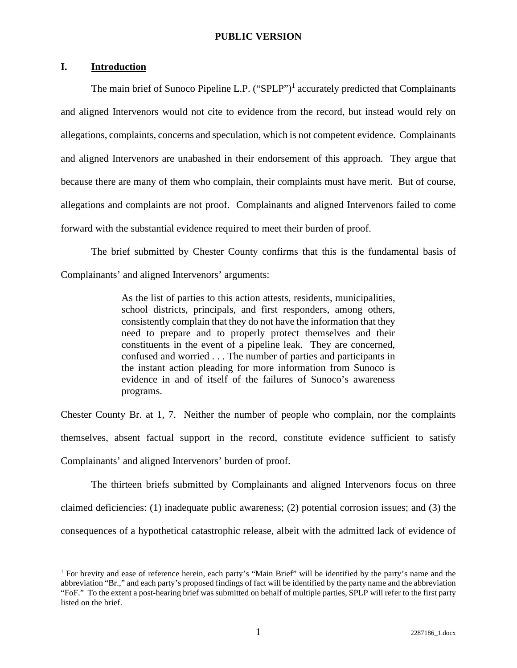## **I. Introduction**

The main brief of Sunoco Pipeline L.P.  $("SPLP")^1$  accurately predicted that Complainants and aligned Intervenors would not cite to evidence from the record, but instead would rely on allegations, complaints, concerns and speculation, which is not competent evidence. Complainants and aligned Intervenors are unabashed in their endorsement of this approach. They argue that because there are many of them who complain, their complaints must have merit. But of course, allegations and complaints are not proof. Complainants and aligned Intervenors failed to come forward with the substantial evidence required to meet their burden of proof.

The brief submitted by Chester County confirms that this is the fundamental basis of Complainants' and aligned Intervenors' arguments:

> As the list of parties to this action attests, residents, municipalities, school districts, principals, and first responders, among others, consistently complain that they do not have the information that they need to prepare and to properly protect themselves and their constituents in the event of a pipeline leak. They are concerned, confused and worried . . . The number of parties and participants in the instant action pleading for more information from Sunoco is evidence in and of itself of the failures of Sunoco's awareness programs.

Chester County Br. at 1, 7. Neither the number of people who complain, nor the complaints themselves, absent factual support in the record, constitute evidence sufficient to satisfy Complainants' and aligned Intervenors' burden of proof.

The thirteen briefs submitted by Complainants and aligned Intervenors focus on three claimed deficiencies: (1) inadequate public awareness; (2) potential corrosion issues; and (3) the consequences of a hypothetical catastrophic release, albeit with the admitted lack of evidence of

<sup>1</sup> For brevity and ease of reference herein, each party's "Main Brief" will be identified by the party's name and the abbreviation "Br.," and each party's proposed findings of fact will be identified by the party name and the abbreviation "FoF." To the extent a post-hearing brief was submitted on behalf of multiple parties, SPLP will refer to the first party listed on the brief.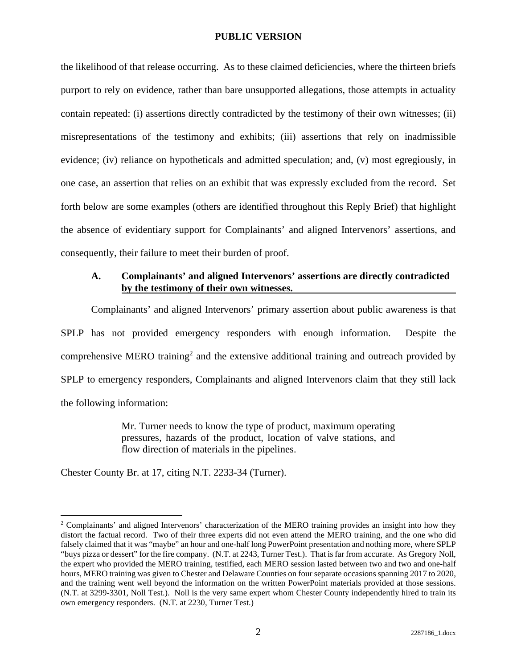the likelihood of that release occurring. As to these claimed deficiencies, where the thirteen briefs purport to rely on evidence, rather than bare unsupported allegations, those attempts in actuality contain repeated: (i) assertions directly contradicted by the testimony of their own witnesses; (ii) misrepresentations of the testimony and exhibits; (iii) assertions that rely on inadmissible evidence; (iv) reliance on hypotheticals and admitted speculation; and, (v) most egregiously, in one case, an assertion that relies on an exhibit that was expressly excluded from the record. Set forth below are some examples (others are identified throughout this Reply Brief) that highlight the absence of evidentiary support for Complainants' and aligned Intervenors' assertions, and consequently, their failure to meet their burden of proof.

## **A. Complainants' and aligned Intervenors' assertions are directly contradicted by the testimony of their own witnesses.**

Complainants' and aligned Intervenors' primary assertion about public awareness is that SPLP has not provided emergency responders with enough information. Despite the comprehensive MERO training<sup>2</sup> and the extensive additional training and outreach provided by SPLP to emergency responders, Complainants and aligned Intervenors claim that they still lack the following information:

> Mr. Turner needs to know the type of product, maximum operating pressures, hazards of the product, location of valve stations, and flow direction of materials in the pipelines.

Chester County Br. at 17, citing N.T. 2233-34 (Turner).

<sup>&</sup>lt;sup>2</sup> Complainants' and aligned Intervenors' characterization of the MERO training provides an insight into how they distort the factual record. Two of their three experts did not even attend the MERO training, and the one who did falsely claimed that it was "maybe" an hour and one-half long PowerPoint presentation and nothing more, where SPLP "buys pizza or dessert" for the fire company. (N.T. at 2243, Turner Test.). That is far from accurate. As Gregory Noll, the expert who provided the MERO training, testified, each MERO session lasted between two and two and one-half hours, MERO training was given to Chester and Delaware Counties on four separate occasions spanning 2017 to 2020, and the training went well beyond the information on the written PowerPoint materials provided at those sessions. (N.T. at 3299-3301, Noll Test.). Noll is the very same expert whom Chester County independently hired to train its own emergency responders. (N.T. at 2230, Turner Test.)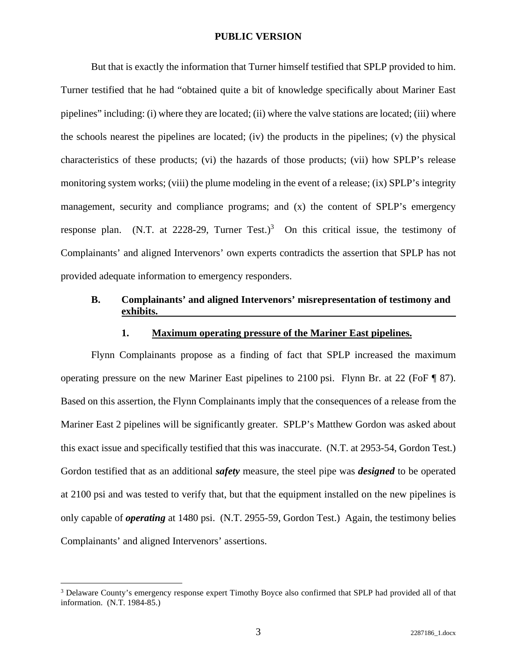But that is exactly the information that Turner himself testified that SPLP provided to him. Turner testified that he had "obtained quite a bit of knowledge specifically about Mariner East pipelines" including: (i) where they are located; (ii) where the valve stations are located; (iii) where the schools nearest the pipelines are located; (iv) the products in the pipelines; (v) the physical characteristics of these products; (vi) the hazards of those products; (vii) how SPLP's release monitoring system works; (viii) the plume modeling in the event of a release; (ix) SPLP's integrity management, security and compliance programs; and (x) the content of SPLP's emergency response plan. (N.T. at 2228-29, Turner Test.)<sup>3</sup> On this critical issue, the testimony of Complainants' and aligned Intervenors' own experts contradicts the assertion that SPLP has not provided adequate information to emergency responders.

# **B. Complainants' and aligned Intervenors' misrepresentation of testimony and exhibits.**

#### **1. Maximum operating pressure of the Mariner East pipelines.**

Flynn Complainants propose as a finding of fact that SPLP increased the maximum operating pressure on the new Mariner East pipelines to 2100 psi. Flynn Br. at 22 (FoF ¶ 87). Based on this assertion, the Flynn Complainants imply that the consequences of a release from the Mariner East 2 pipelines will be significantly greater. SPLP's Matthew Gordon was asked about this exact issue and specifically testified that this was inaccurate. (N.T. at 2953-54, Gordon Test.) Gordon testified that as an additional *safety* measure, the steel pipe was *designed* to be operated at 2100 psi and was tested to verify that, but that the equipment installed on the new pipelines is only capable of *operating* at 1480 psi. (N.T. 2955-59, Gordon Test.) Again, the testimony belies Complainants' and aligned Intervenors' assertions.

<sup>&</sup>lt;sup>3</sup> Delaware County's emergency response expert Timothy Boyce also confirmed that SPLP had provided all of that information. (N.T. 1984-85.)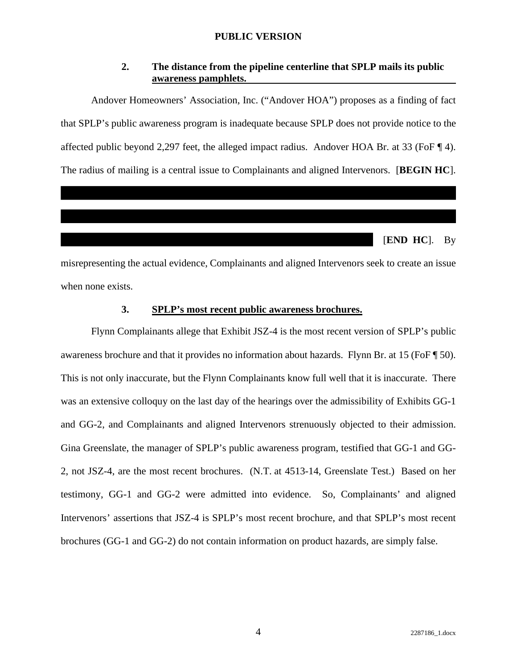# **2. The distance from the pipeline centerline that SPLP mails its public awareness pamphlets.**

Andover Homeowners' Association, Inc. ("Andover HOA") proposes as a finding of fact that SPLP's public awareness program is inadequate because SPLP does not provide notice to the affected public beyond 2,297 feet, the alleged impact radius. Andover HOA Br. at 33 (FoF ¶ 4). The radius of mailing is a central issue to Complainants and aligned Intervenors. [**BEGIN HC**].

[**END HC**]. By

misrepresenting the actual evidence, Complainants and aligned Intervenors seek to create an issue when none exists.

#### **3. SPLP's most recent public awareness brochures.**

Flynn Complainants allege that Exhibit JSZ-4 is the most recent version of SPLP's public awareness brochure and that it provides no information about hazards. Flynn Br. at 15 (FoF ¶ 50). This is not only inaccurate, but the Flynn Complainants know full well that it is inaccurate. There was an extensive colloquy on the last day of the hearings over the admissibility of Exhibits GG-1 and GG-2, and Complainants and aligned Intervenors strenuously objected to their admission. Gina Greenslate, the manager of SPLP's public awareness program, testified that GG-1 and GG-2, not JSZ-4, are the most recent brochures. (N.T. at 4513-14, Greenslate Test.) Based on her testimony, GG-1 and GG-2 were admitted into evidence. So, Complainants' and aligned Intervenors' assertions that JSZ-4 is SPLP's most recent brochure, and that SPLP's most recent brochures (GG-1 and GG-2) do not contain information on product hazards, are simply false.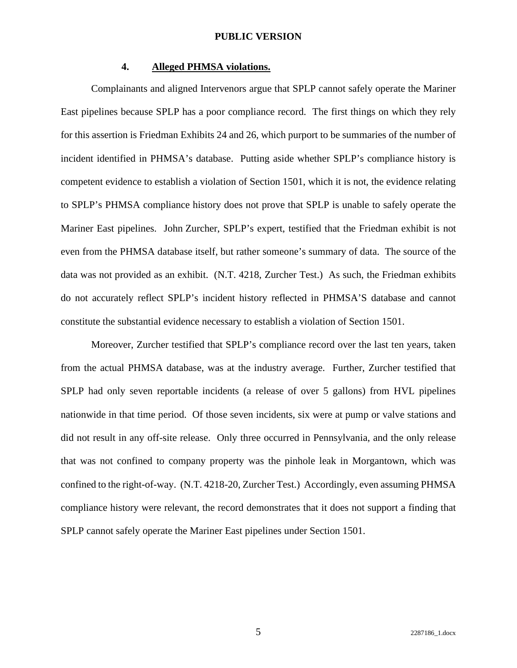## **4. Alleged PHMSA violations.**

Complainants and aligned Intervenors argue that SPLP cannot safely operate the Mariner East pipelines because SPLP has a poor compliance record. The first things on which they rely for this assertion is Friedman Exhibits 24 and 26, which purport to be summaries of the number of incident identified in PHMSA's database. Putting aside whether SPLP's compliance history is competent evidence to establish a violation of Section 1501, which it is not, the evidence relating to SPLP's PHMSA compliance history does not prove that SPLP is unable to safely operate the Mariner East pipelines. John Zurcher, SPLP's expert, testified that the Friedman exhibit is not even from the PHMSA database itself, but rather someone's summary of data. The source of the data was not provided as an exhibit. (N.T. 4218, Zurcher Test.) As such, the Friedman exhibits do not accurately reflect SPLP's incident history reflected in PHMSA'S database and cannot constitute the substantial evidence necessary to establish a violation of Section 1501.

Moreover, Zurcher testified that SPLP's compliance record over the last ten years, taken from the actual PHMSA database, was at the industry average. Further, Zurcher testified that SPLP had only seven reportable incidents (a release of over 5 gallons) from HVL pipelines nationwide in that time period. Of those seven incidents, six were at pump or valve stations and did not result in any off-site release. Only three occurred in Pennsylvania, and the only release that was not confined to company property was the pinhole leak in Morgantown, which was confined to the right-of-way. (N.T. 4218-20, Zurcher Test.) Accordingly, even assuming PHMSA compliance history were relevant, the record demonstrates that it does not support a finding that SPLP cannot safely operate the Mariner East pipelines under Section 1501.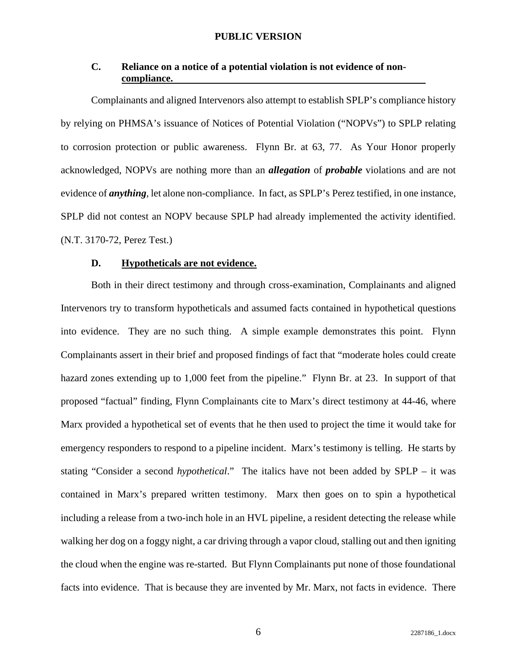# **C. Reliance on a notice of a potential violation is not evidence of noncompliance.**

Complainants and aligned Intervenors also attempt to establish SPLP's compliance history by relying on PHMSA's issuance of Notices of Potential Violation ("NOPVs") to SPLP relating to corrosion protection or public awareness. Flynn Br. at 63, 77. As Your Honor properly acknowledged, NOPVs are nothing more than an *allegation* of *probable* violations and are not evidence of *anything*, let alone non-compliance. In fact, as SPLP's Perez testified, in one instance, SPLP did not contest an NOPV because SPLP had already implemented the activity identified. (N.T. 3170-72, Perez Test.)

#### **D. Hypotheticals are not evidence.**

Both in their direct testimony and through cross-examination, Complainants and aligned Intervenors try to transform hypotheticals and assumed facts contained in hypothetical questions into evidence. They are no such thing. A simple example demonstrates this point. Flynn Complainants assert in their brief and proposed findings of fact that "moderate holes could create hazard zones extending up to 1,000 feet from the pipeline." Flynn Br. at 23. In support of that proposed "factual" finding, Flynn Complainants cite to Marx's direct testimony at 44-46, where Marx provided a hypothetical set of events that he then used to project the time it would take for emergency responders to respond to a pipeline incident. Marx's testimony is telling. He starts by stating "Consider a second *hypothetical*." The italics have not been added by SPLP – it was contained in Marx's prepared written testimony. Marx then goes on to spin a hypothetical including a release from a two-inch hole in an HVL pipeline, a resident detecting the release while walking her dog on a foggy night, a car driving through a vapor cloud, stalling out and then igniting the cloud when the engine was re-started. But Flynn Complainants put none of those foundational facts into evidence. That is because they are invented by Mr. Marx, not facts in evidence. There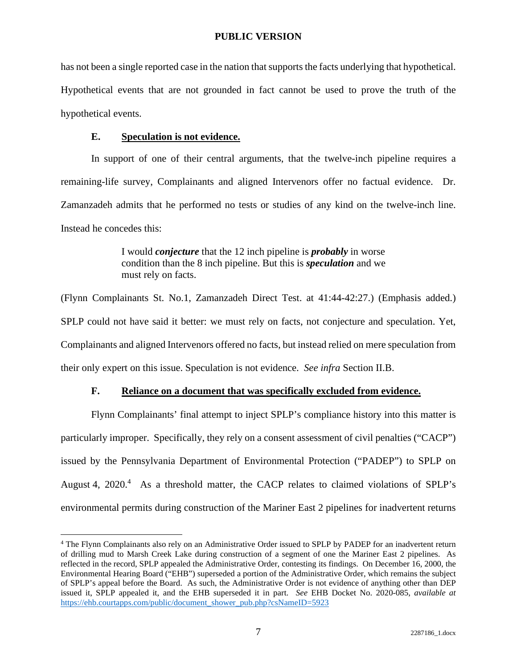has not been a single reported case in the nation that supports the facts underlying that hypothetical. Hypothetical events that are not grounded in fact cannot be used to prove the truth of the hypothetical events.

#### **E. Speculation is not evidence.**

In support of one of their central arguments, that the twelve-inch pipeline requires a remaining-life survey, Complainants and aligned Intervenors offer no factual evidence. Dr. Zamanzadeh admits that he performed no tests or studies of any kind on the twelve-inch line. Instead he concedes this:

> I would *conjecture* that the 12 inch pipeline is *probably* in worse condition than the 8 inch pipeline. But this is *speculation* and we must rely on facts.

(Flynn Complainants St. No.1, Zamanzadeh Direct Test. at 41:44-42:27.) (Emphasis added.) SPLP could not have said it better: we must rely on facts, not conjecture and speculation. Yet, Complainants and aligned Intervenors offered no facts, but instead relied on mere speculation from their only expert on this issue. Speculation is not evidence. *See infra* Section II.B.

# **F. Reliance on a document that was specifically excluded from evidence.**

Flynn Complainants' final attempt to inject SPLP's compliance history into this matter is particularly improper. Specifically, they rely on a consent assessment of civil penalties ("CACP") issued by the Pennsylvania Department of Environmental Protection ("PADEP") to SPLP on August 4,  $2020$ <sup>4</sup> As a threshold matter, the CACP relates to claimed violations of SPLP's environmental permits during construction of the Mariner East 2 pipelines for inadvertent returns

<sup>4</sup> The Flynn Complainants also rely on an Administrative Order issued to SPLP by PADEP for an inadvertent return of drilling mud to Marsh Creek Lake during construction of a segment of one the Mariner East 2 pipelines. As reflected in the record, SPLP appealed the Administrative Order, contesting its findings. On December 16, 2000, the Environmental Hearing Board ("EHB") superseded a portion of the Administrative Order, which remains the subject of SPLP's appeal before the Board. As such, the Administrative Order is not evidence of anything other than DEP issued it, SPLP appealed it, and the EHB superseded it in part. *See* EHB Docket No. 2020-085, *available at* https://ehb.courtapps.com/public/document\_shower\_pub.php?csNameID=5923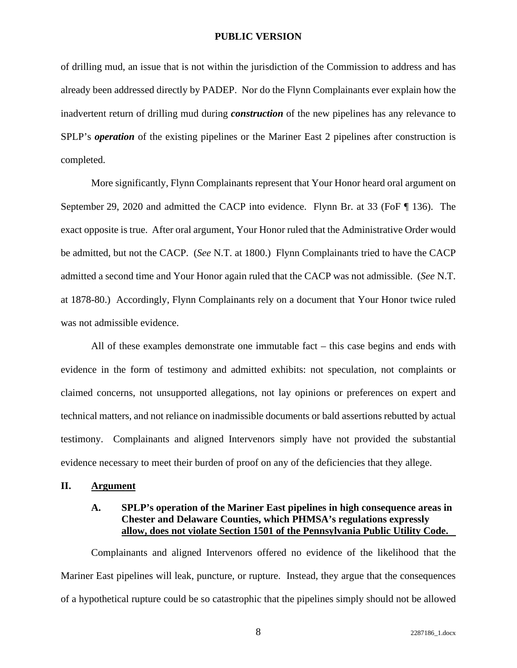of drilling mud, an issue that is not within the jurisdiction of the Commission to address and has already been addressed directly by PADEP. Nor do the Flynn Complainants ever explain how the inadvertent return of drilling mud during *construction* of the new pipelines has any relevance to SPLP's *operation* of the existing pipelines or the Mariner East 2 pipelines after construction is completed.

More significantly, Flynn Complainants represent that Your Honor heard oral argument on September 29, 2020 and admitted the CACP into evidence. Flynn Br. at 33 (FoF ¶ 136). The exact opposite is true. After oral argument, Your Honor ruled that the Administrative Order would be admitted, but not the CACP. (*See* N.T. at 1800.) Flynn Complainants tried to have the CACP admitted a second time and Your Honor again ruled that the CACP was not admissible. (*See* N.T. at 1878-80.) Accordingly, Flynn Complainants rely on a document that Your Honor twice ruled was not admissible evidence.

All of these examples demonstrate one immutable fact – this case begins and ends with evidence in the form of testimony and admitted exhibits: not speculation, not complaints or claimed concerns, not unsupported allegations, not lay opinions or preferences on expert and technical matters, and not reliance on inadmissible documents or bald assertions rebutted by actual testimony. Complainants and aligned Intervenors simply have not provided the substantial evidence necessary to meet their burden of proof on any of the deficiencies that they allege.

#### **II. Argument**

## **A. SPLP's operation of the Mariner East pipelines in high consequence areas in Chester and Delaware Counties, which PHMSA's regulations expressly allow, does not violate Section 1501 of the Pennsylvania Public Utility Code.**

Complainants and aligned Intervenors offered no evidence of the likelihood that the Mariner East pipelines will leak, puncture, or rupture. Instead, they argue that the consequences of a hypothetical rupture could be so catastrophic that the pipelines simply should not be allowed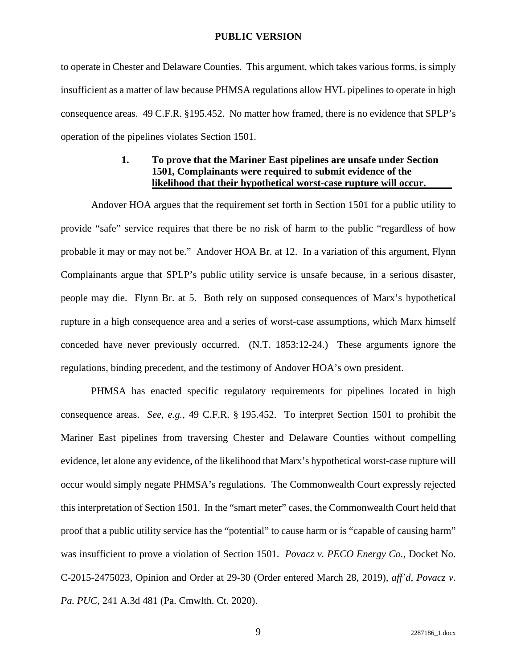to operate in Chester and Delaware Counties. This argument, which takes various forms, is simply insufficient as a matter of law because PHMSA regulations allow HVL pipelines to operate in high consequence areas. 49 C.F.R. §195.452. No matter how framed, there is no evidence that SPLP's operation of the pipelines violates Section 1501.

# **1. To prove that the Mariner East pipelines are unsafe under Section 1501, Complainants were required to submit evidence of the likelihood that their hypothetical worst-case rupture will occur.**

Andover HOA argues that the requirement set forth in Section 1501 for a public utility to provide "safe" service requires that there be no risk of harm to the public "regardless of how probable it may or may not be." Andover HOA Br. at 12. In a variation of this argument, Flynn Complainants argue that SPLP's public utility service is unsafe because, in a serious disaster, people may die. Flynn Br. at 5. Both rely on supposed consequences of Marx's hypothetical rupture in a high consequence area and a series of worst-case assumptions, which Marx himself conceded have never previously occurred. (N.T. 1853:12-24.) These arguments ignore the regulations, binding precedent, and the testimony of Andover HOA's own president.

PHMSA has enacted specific regulatory requirements for pipelines located in high consequence areas. *See, e.g.*, 49 C.F.R. § 195.452. To interpret Section 1501 to prohibit the Mariner East pipelines from traversing Chester and Delaware Counties without compelling evidence, let alone any evidence, of the likelihood that Marx's hypothetical worst-case rupture will occur would simply negate PHMSA's regulations. The Commonwealth Court expressly rejected this interpretation of Section 1501. In the "smart meter" cases, the Commonwealth Court held that proof that a public utility service has the "potential" to cause harm or is "capable of causing harm" was insufficient to prove a violation of Section 1501. *Povacz v. PECO Energy Co.*, Docket No. C-2015-2475023, Opinion and Order at 29-30 (Order entered March 28, 2019), *aff'd*, *Povacz v. Pa. PUC*, 241 A.3d 481 (Pa. Cmwlth. Ct. 2020).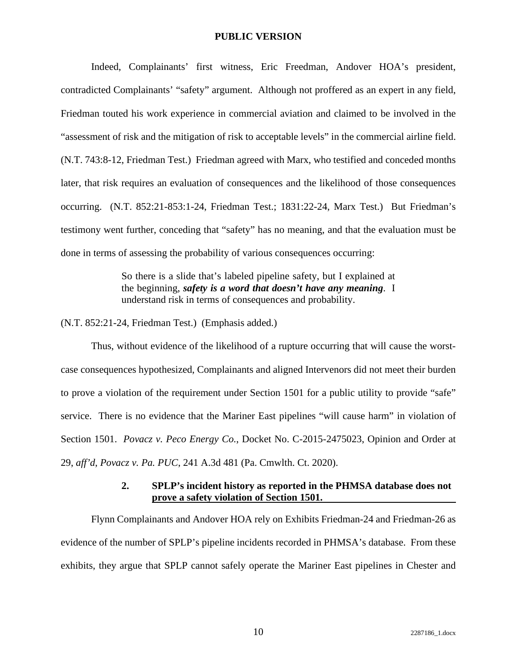Indeed, Complainants' first witness, Eric Freedman, Andover HOA's president, contradicted Complainants' "safety" argument. Although not proffered as an expert in any field, Friedman touted his work experience in commercial aviation and claimed to be involved in the "assessment of risk and the mitigation of risk to acceptable levels" in the commercial airline field. (N.T. 743:8-12, Friedman Test.) Friedman agreed with Marx, who testified and conceded months later, that risk requires an evaluation of consequences and the likelihood of those consequences occurring. (N.T. 852:21-853:1-24, Friedman Test.; 1831:22-24, Marx Test.) But Friedman's testimony went further, conceding that "safety" has no meaning, and that the evaluation must be done in terms of assessing the probability of various consequences occurring:

> So there is a slide that's labeled pipeline safety, but I explained at the beginning, *safety is a word that doesn't have any meaning*. I understand risk in terms of consequences and probability.

(N.T. 852:21-24, Friedman Test.) (Emphasis added.)

Thus, without evidence of the likelihood of a rupture occurring that will cause the worstcase consequences hypothesized, Complainants and aligned Intervenors did not meet their burden to prove a violation of the requirement under Section 1501 for a public utility to provide "safe" service. There is no evidence that the Mariner East pipelines "will cause harm" in violation of Section 1501. *Povacz v. Peco Energy Co.*, Docket No. C-2015-2475023, Opinion and Order at 29, *aff'd*, *Povacz v. Pa. PUC*, 241 A.3d 481 (Pa. Cmwlth. Ct. 2020).

## **2. SPLP's incident history as reported in the PHMSA database does not prove a safety violation of Section 1501.**

Flynn Complainants and Andover HOA rely on Exhibits Friedman-24 and Friedman-26 as evidence of the number of SPLP's pipeline incidents recorded in PHMSA's database. From these exhibits, they argue that SPLP cannot safely operate the Mariner East pipelines in Chester and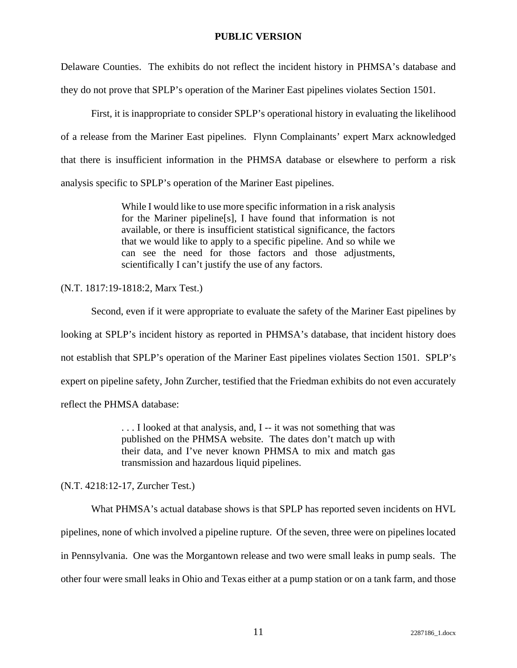Delaware Counties. The exhibits do not reflect the incident history in PHMSA's database and they do not prove that SPLP's operation of the Mariner East pipelines violates Section 1501.

First, it is inappropriate to consider SPLP's operational history in evaluating the likelihood of a release from the Mariner East pipelines. Flynn Complainants' expert Marx acknowledged that there is insufficient information in the PHMSA database or elsewhere to perform a risk analysis specific to SPLP's operation of the Mariner East pipelines.

> While I would like to use more specific information in a risk analysis for the Mariner pipeline[s], I have found that information is not available, or there is insufficient statistical significance, the factors that we would like to apply to a specific pipeline. And so while we can see the need for those factors and those adjustments, scientifically I can't justify the use of any factors.

(N.T. 1817:19-1818:2, Marx Test.)

Second, even if it were appropriate to evaluate the safety of the Mariner East pipelines by looking at SPLP's incident history as reported in PHMSA's database, that incident history does not establish that SPLP's operation of the Mariner East pipelines violates Section 1501. SPLP's expert on pipeline safety, John Zurcher, testified that the Friedman exhibits do not even accurately reflect the PHMSA database:

> . . . I looked at that analysis, and, I -- it was not something that was published on the PHMSA website. The dates don't match up with their data, and I've never known PHMSA to mix and match gas transmission and hazardous liquid pipelines.

(N.T. 4218:12-17, Zurcher Test.)

What PHMSA's actual database shows is that SPLP has reported seven incidents on HVL pipelines, none of which involved a pipeline rupture. Of the seven, three were on pipelines located in Pennsylvania. One was the Morgantown release and two were small leaks in pump seals. The other four were small leaks in Ohio and Texas either at a pump station or on a tank farm, and those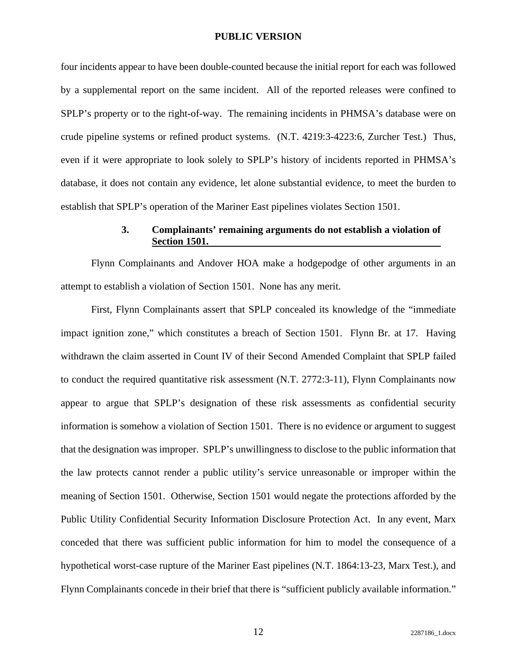four incidents appear to have been double-counted because the initial report for each was followed by a supplemental report on the same incident. All of the reported releases were confined to SPLP's property or to the right-of-way. The remaining incidents in PHMSA's database were on crude pipeline systems or refined product systems. (N.T. 4219:3-4223:6, Zurcher Test.) Thus, even if it were appropriate to look solely to SPLP's history of incidents reported in PHMSA's database, it does not contain any evidence, let alone substantial evidence, to meet the burden to establish that SPLP's operation of the Mariner East pipelines violates Section 1501.

## **3. Complainants' remaining arguments do not establish a violation of Section 1501.**

Flynn Complainants and Andover HOA make a hodgepodge of other arguments in an attempt to establish a violation of Section 1501. None has any merit.

First, Flynn Complainants assert that SPLP concealed its knowledge of the "immediate impact ignition zone," which constitutes a breach of Section 1501. Flynn Br. at 17. Having withdrawn the claim asserted in Count IV of their Second Amended Complaint that SPLP failed to conduct the required quantitative risk assessment (N.T. 2772:3-11), Flynn Complainants now appear to argue that SPLP's designation of these risk assessments as confidential security information is somehow a violation of Section 1501. There is no evidence or argument to suggest that the designation was improper. SPLP's unwillingness to disclose to the public information that the law protects cannot render a public utility's service unreasonable or improper within the meaning of Section 1501. Otherwise, Section 1501 would negate the protections afforded by the Public Utility Confidential Security Information Disclosure Protection Act. In any event, Marx conceded that there was sufficient public information for him to model the consequence of a hypothetical worst-case rupture of the Mariner East pipelines (N.T. 1864:13-23, Marx Test.), and Flynn Complainants concede in their brief that there is "sufficient publicly available information."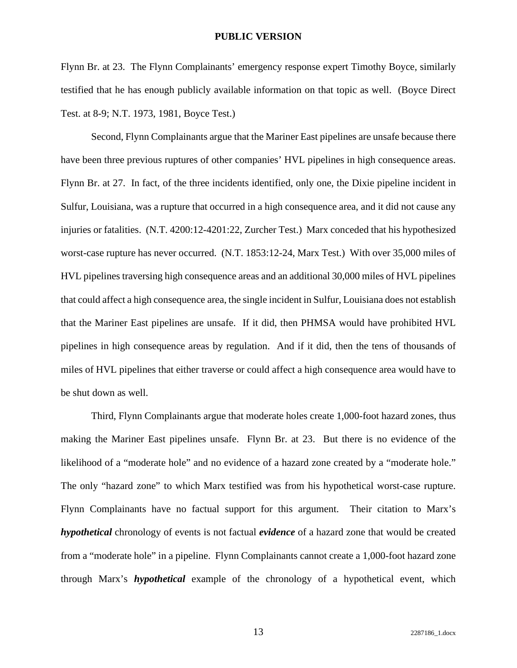Flynn Br. at 23. The Flynn Complainants' emergency response expert Timothy Boyce, similarly testified that he has enough publicly available information on that topic as well. (Boyce Direct Test. at 8-9; N.T. 1973, 1981, Boyce Test.)

Second, Flynn Complainants argue that the Mariner East pipelines are unsafe because there have been three previous ruptures of other companies' HVL pipelines in high consequence areas. Flynn Br. at 27. In fact, of the three incidents identified, only one, the Dixie pipeline incident in Sulfur, Louisiana, was a rupture that occurred in a high consequence area, and it did not cause any injuries or fatalities. (N.T. 4200:12-4201:22, Zurcher Test.) Marx conceded that his hypothesized worst-case rupture has never occurred. (N.T. 1853:12-24, Marx Test.) With over 35,000 miles of HVL pipelines traversing high consequence areas and an additional 30,000 miles of HVL pipelines that could affect a high consequence area, the single incident in Sulfur, Louisiana does not establish that the Mariner East pipelines are unsafe. If it did, then PHMSA would have prohibited HVL pipelines in high consequence areas by regulation. And if it did, then the tens of thousands of miles of HVL pipelines that either traverse or could affect a high consequence area would have to be shut down as well.

Third, Flynn Complainants argue that moderate holes create 1,000-foot hazard zones, thus making the Mariner East pipelines unsafe. Flynn Br. at 23. But there is no evidence of the likelihood of a "moderate hole" and no evidence of a hazard zone created by a "moderate hole." The only "hazard zone" to which Marx testified was from his hypothetical worst-case rupture. Flynn Complainants have no factual support for this argument. Their citation to Marx's *hypothetical* chronology of events is not factual *evidence* of a hazard zone that would be created from a "moderate hole" in a pipeline. Flynn Complainants cannot create a 1,000-foot hazard zone through Marx's *hypothetical* example of the chronology of a hypothetical event, which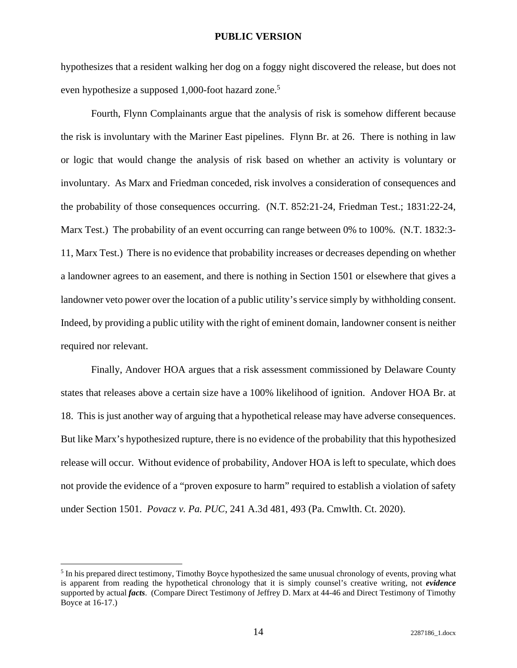hypothesizes that a resident walking her dog on a foggy night discovered the release, but does not even hypothesize a supposed 1,000-foot hazard zone.<sup>5</sup>

Fourth, Flynn Complainants argue that the analysis of risk is somehow different because the risk is involuntary with the Mariner East pipelines. Flynn Br. at 26. There is nothing in law or logic that would change the analysis of risk based on whether an activity is voluntary or involuntary. As Marx and Friedman conceded, risk involves a consideration of consequences and the probability of those consequences occurring. (N.T. 852:21-24, Friedman Test.; 1831:22-24, Marx Test.) The probability of an event occurring can range between 0% to 100%. (N.T. 1832:3-11, Marx Test.) There is no evidence that probability increases or decreases depending on whether a landowner agrees to an easement, and there is nothing in Section 1501 or elsewhere that gives a landowner veto power over the location of a public utility's service simply by withholding consent. Indeed, by providing a public utility with the right of eminent domain, landowner consent is neither required nor relevant.

Finally, Andover HOA argues that a risk assessment commissioned by Delaware County states that releases above a certain size have a 100% likelihood of ignition. Andover HOA Br. at 18. This is just another way of arguing that a hypothetical release may have adverse consequences. But like Marx's hypothesized rupture, there is no evidence of the probability that this hypothesized release will occur. Without evidence of probability, Andover HOA is left to speculate, which does not provide the evidence of a "proven exposure to harm" required to establish a violation of safety under Section 1501. *Povacz v. Pa. PUC*, 241 A.3d 481, 493 (Pa. Cmwlth. Ct. 2020).

<sup>&</sup>lt;sup>5</sup> In his prepared direct testimony, Timothy Boyce hypothesized the same unusual chronology of events, proving what is apparent from reading the hypothetical chronology that it is simply counsel's creative writing, not *evidence* supported by actual *facts*. (Compare Direct Testimony of Jeffrey D. Marx at 44-46 and Direct Testimony of Timothy Boyce at 16-17.)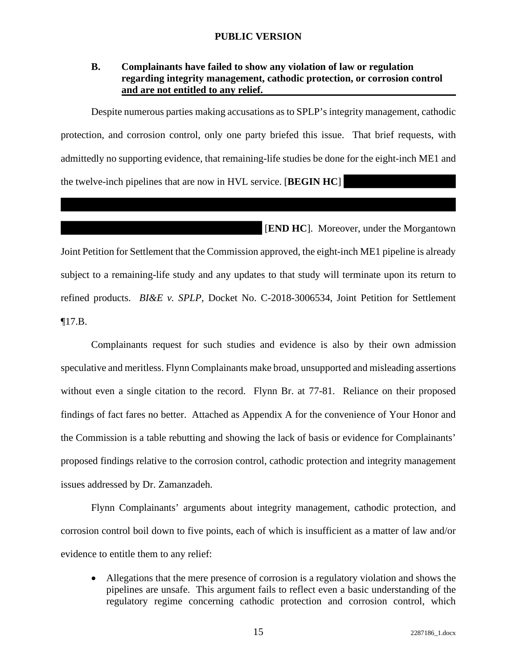## **B. Complainants have failed to show any violation of law or regulation regarding integrity management, cathodic protection, or corrosion control and are not entitled to any relief.**

Despite numerous parties making accusations as to SPLP's integrity management, cathodic protection, and corrosion control, only one party briefed this issue. That brief requests, with admittedly no supporting evidence, that remaining-life studies be done for the eight-inch ME1 and the twelve-inch pipelines that are now in HVL service. [**BEGIN HC**]

[**END HC**]. Moreover, under the Morgantown

Joint Petition for Settlement that the Commission approved, the eight-inch ME1 pipeline is already subject to a remaining-life study and any updates to that study will terminate upon its return to refined products. *BI&E v. SPLP*, Docket No. C-2018-3006534, Joint Petition for Settlement ¶17.B.

Complainants request for such studies and evidence is also by their own admission speculative and meritless. Flynn Complainants make broad, unsupported and misleading assertions without even a single citation to the record. Flynn Br. at 77-81. Reliance on their proposed findings of fact fares no better. Attached as Appendix A for the convenience of Your Honor and the Commission is a table rebutting and showing the lack of basis or evidence for Complainants' proposed findings relative to the corrosion control, cathodic protection and integrity management issues addressed by Dr. Zamanzadeh.

Flynn Complainants' arguments about integrity management, cathodic protection, and corrosion control boil down to five points, each of which is insufficient as a matter of law and/or evidence to entitle them to any relief:

 Allegations that the mere presence of corrosion is a regulatory violation and shows the pipelines are unsafe. This argument fails to reflect even a basic understanding of the regulatory regime concerning cathodic protection and corrosion control, which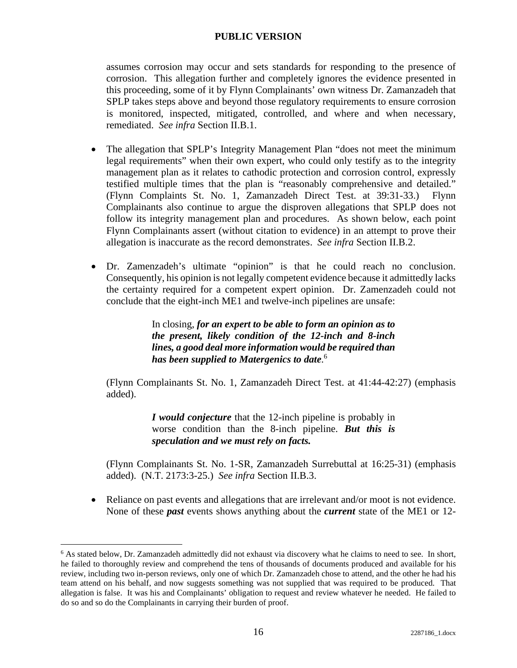assumes corrosion may occur and sets standards for responding to the presence of corrosion. This allegation further and completely ignores the evidence presented in this proceeding, some of it by Flynn Complainants' own witness Dr. Zamanzadeh that SPLP takes steps above and beyond those regulatory requirements to ensure corrosion is monitored, inspected, mitigated, controlled, and where and when necessary, remediated. *See infra* Section II.B.1.

- The allegation that SPLP's Integrity Management Plan "does not meet the minimum legal requirements" when their own expert, who could only testify as to the integrity management plan as it relates to cathodic protection and corrosion control, expressly testified multiple times that the plan is "reasonably comprehensive and detailed." (Flynn Complaints St. No. 1, Zamanzadeh Direct Test. at 39:31-33.) Flynn Complainants also continue to argue the disproven allegations that SPLP does not follow its integrity management plan and procedures. As shown below, each point Flynn Complainants assert (without citation to evidence) in an attempt to prove their allegation is inaccurate as the record demonstrates. *See infra* Section II.B.2.
- Dr. Zamenzadeh's ultimate "opinion" is that he could reach no conclusion. Consequently, his opinion is not legally competent evidence because it admittedly lacks the certainty required for a competent expert opinion. Dr. Zamenzadeh could not conclude that the eight-inch ME1 and twelve-inch pipelines are unsafe:

In closing, *for an expert to be able to form an opinion as to the present, likely condition of the 12-inch and 8-inch lines, a good deal more information would be required than has been supplied to Matergenics to date*. 6

(Flynn Complainants St. No. 1, Zamanzadeh Direct Test. at 41:44-42:27) (emphasis added).

> *I would conjecture* that the 12-inch pipeline is probably in worse condition than the 8-inch pipeline. *But this is speculation and we must rely on facts.*

(Flynn Complainants St. No. 1-SR, Zamanzadeh Surrebuttal at 16:25-31) (emphasis added). (N.T. 2173:3-25.) *See infra* Section II.B.3.

 Reliance on past events and allegations that are irrelevant and/or moot is not evidence. None of these *past* events shows anything about the *current* state of the ME1 or 12-

<sup>&</sup>lt;sup>6</sup> As stated below, Dr. Zamanzadeh admittedly did not exhaust via discovery what he claims to need to see. In short, he failed to thoroughly review and comprehend the tens of thousands of documents produced and available for his review, including two in-person reviews, only one of which Dr. Zamanzadeh chose to attend, and the other he had his team attend on his behalf, and now suggests something was not supplied that was required to be produced. That allegation is false. It was his and Complainants' obligation to request and review whatever he needed. He failed to do so and so do the Complainants in carrying their burden of proof.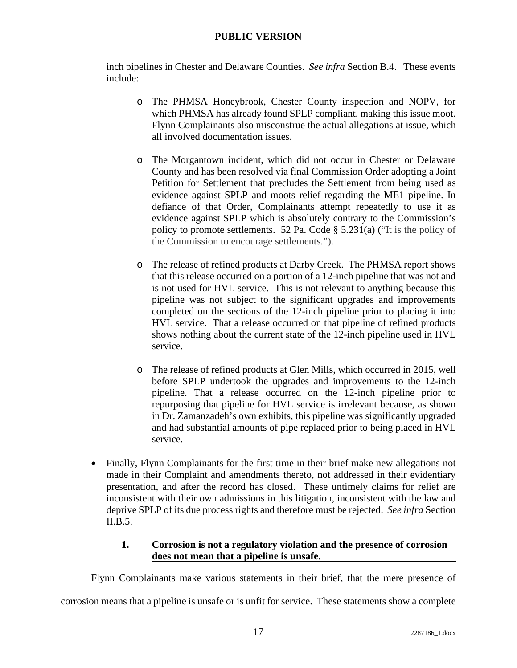inch pipelines in Chester and Delaware Counties. *See infra* Section B.4. These events include:

- o The PHMSA Honeybrook, Chester County inspection and NOPV, for which PHMSA has already found SPLP compliant, making this issue moot. Flynn Complainants also misconstrue the actual allegations at issue, which all involved documentation issues.
- o The Morgantown incident, which did not occur in Chester or Delaware County and has been resolved via final Commission Order adopting a Joint Petition for Settlement that precludes the Settlement from being used as evidence against SPLP and moots relief regarding the ME1 pipeline. In defiance of that Order, Complainants attempt repeatedly to use it as evidence against SPLP which is absolutely contrary to the Commission's policy to promote settlements. 52 Pa. Code § 5.231(a) ("It is the policy of the Commission to encourage settlements.").
- o The release of refined products at Darby Creek. The PHMSA report shows that this release occurred on a portion of a 12-inch pipeline that was not and is not used for HVL service. This is not relevant to anything because this pipeline was not subject to the significant upgrades and improvements completed on the sections of the 12-inch pipeline prior to placing it into HVL service. That a release occurred on that pipeline of refined products shows nothing about the current state of the 12-inch pipeline used in HVL service.
- o The release of refined products at Glen Mills, which occurred in 2015, well before SPLP undertook the upgrades and improvements to the 12-inch pipeline. That a release occurred on the 12-inch pipeline prior to repurposing that pipeline for HVL service is irrelevant because, as shown in Dr. Zamanzadeh's own exhibits, this pipeline was significantly upgraded and had substantial amounts of pipe replaced prior to being placed in HVL service.
- Finally, Flynn Complainants for the first time in their brief make new allegations not made in their Complaint and amendments thereto, not addressed in their evidentiary presentation, and after the record has closed. These untimely claims for relief are inconsistent with their own admissions in this litigation, inconsistent with the law and deprive SPLP of its due process rights and therefore must be rejected. *See infra* Section II.B.5.

# **1. Corrosion is not a regulatory violation and the presence of corrosion does not mean that a pipeline is unsafe.**

Flynn Complainants make various statements in their brief, that the mere presence of

corrosion means that a pipeline is unsafe or is unfit for service. These statements show a complete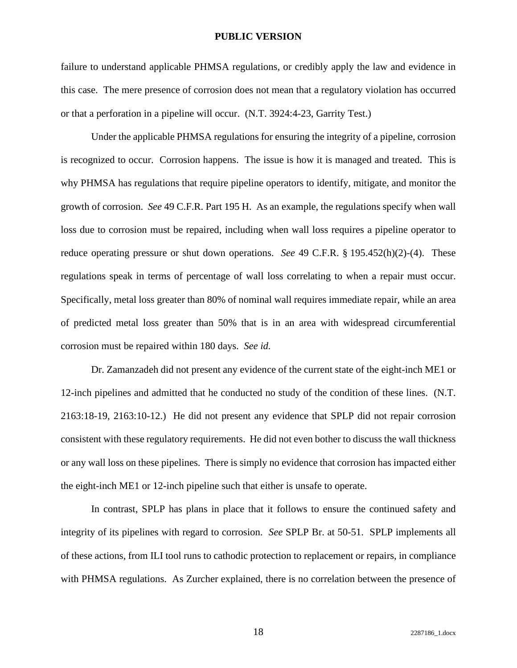failure to understand applicable PHMSA regulations, or credibly apply the law and evidence in this case. The mere presence of corrosion does not mean that a regulatory violation has occurred or that a perforation in a pipeline will occur. (N.T. 3924:4-23, Garrity Test.)

Under the applicable PHMSA regulations for ensuring the integrity of a pipeline, corrosion is recognized to occur. Corrosion happens. The issue is how it is managed and treated. This is why PHMSA has regulations that require pipeline operators to identify, mitigate, and monitor the growth of corrosion. *See* 49 C.F.R. Part 195 H. As an example, the regulations specify when wall loss due to corrosion must be repaired, including when wall loss requires a pipeline operator to reduce operating pressure or shut down operations. *See* 49 C.F.R. § 195.452(h)(2)-(4). These regulations speak in terms of percentage of wall loss correlating to when a repair must occur. Specifically, metal loss greater than 80% of nominal wall requires immediate repair, while an area of predicted metal loss greater than 50% that is in an area with widespread circumferential corrosion must be repaired within 180 days. *See id.*

Dr. Zamanzadeh did not present any evidence of the current state of the eight-inch ME1 or 12-inch pipelines and admitted that he conducted no study of the condition of these lines. (N.T. 2163:18-19, 2163:10-12.) He did not present any evidence that SPLP did not repair corrosion consistent with these regulatory requirements. He did not even bother to discuss the wall thickness or any wall loss on these pipelines. There is simply no evidence that corrosion has impacted either the eight-inch ME1 or 12-inch pipeline such that either is unsafe to operate.

In contrast, SPLP has plans in place that it follows to ensure the continued safety and integrity of its pipelines with regard to corrosion. *See* SPLP Br. at 50-51. SPLP implements all of these actions, from ILI tool runs to cathodic protection to replacement or repairs, in compliance with PHMSA regulations. As Zurcher explained, there is no correlation between the presence of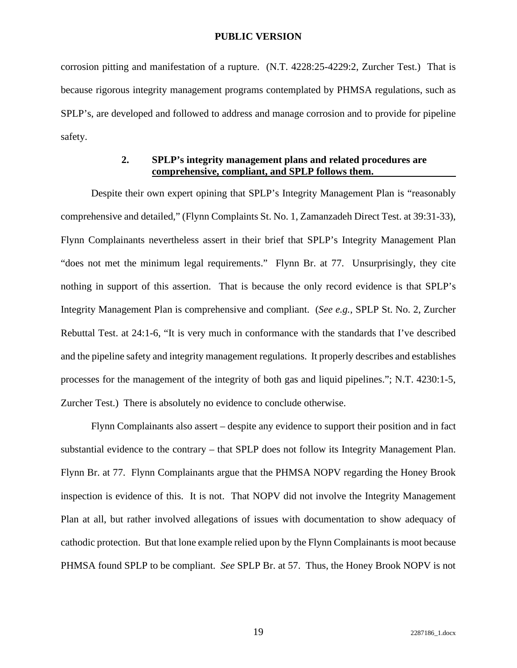corrosion pitting and manifestation of a rupture. (N.T. 4228:25-4229:2, Zurcher Test.) That is because rigorous integrity management programs contemplated by PHMSA regulations, such as SPLP's, are developed and followed to address and manage corrosion and to provide for pipeline safety.

## **2. SPLP's integrity management plans and related procedures are comprehensive, compliant, and SPLP follows them.**

Despite their own expert opining that SPLP's Integrity Management Plan is "reasonably comprehensive and detailed," (Flynn Complaints St. No. 1, Zamanzadeh Direct Test. at 39:31-33), Flynn Complainants nevertheless assert in their brief that SPLP's Integrity Management Plan "does not met the minimum legal requirements." Flynn Br. at 77. Unsurprisingly, they cite nothing in support of this assertion. That is because the only record evidence is that SPLP's Integrity Management Plan is comprehensive and compliant. (*See e.g.*, SPLP St. No. 2, Zurcher Rebuttal Test. at 24:1-6, "It is very much in conformance with the standards that I've described and the pipeline safety and integrity management regulations. It properly describes and establishes processes for the management of the integrity of both gas and liquid pipelines."; N.T. 4230:1-5, Zurcher Test.) There is absolutely no evidence to conclude otherwise.

Flynn Complainants also assert – despite any evidence to support their position and in fact substantial evidence to the contrary – that SPLP does not follow its Integrity Management Plan. Flynn Br. at 77. Flynn Complainants argue that the PHMSA NOPV regarding the Honey Brook inspection is evidence of this. It is not. That NOPV did not involve the Integrity Management Plan at all, but rather involved allegations of issues with documentation to show adequacy of cathodic protection. But that lone example relied upon by the Flynn Complainants is moot because PHMSA found SPLP to be compliant. *See* SPLP Br. at 57. Thus, the Honey Brook NOPV is not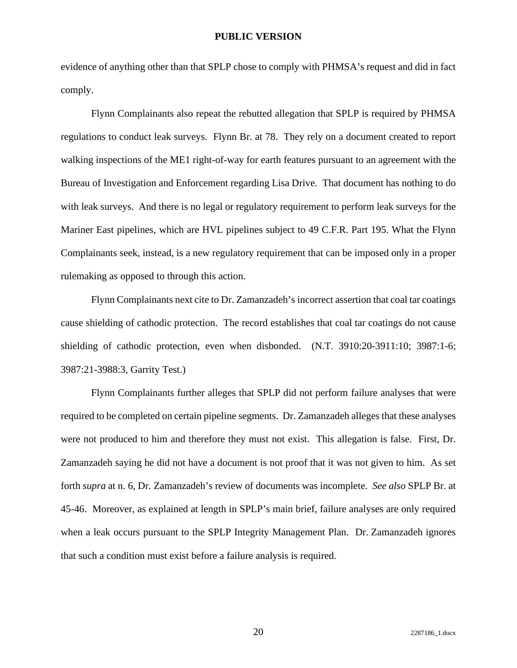evidence of anything other than that SPLP chose to comply with PHMSA's request and did in fact comply.

Flynn Complainants also repeat the rebutted allegation that SPLP is required by PHMSA regulations to conduct leak surveys. Flynn Br. at 78. They rely on a document created to report walking inspections of the ME1 right-of-way for earth features pursuant to an agreement with the Bureau of Investigation and Enforcement regarding Lisa Drive. That document has nothing to do with leak surveys. And there is no legal or regulatory requirement to perform leak surveys for the Mariner East pipelines, which are HVL pipelines subject to 49 C.F.R. Part 195. What the Flynn Complainants seek, instead, is a new regulatory requirement that can be imposed only in a proper rulemaking as opposed to through this action.

Flynn Complainants next cite to Dr. Zamanzadeh's incorrect assertion that coal tar coatings cause shielding of cathodic protection. The record establishes that coal tar coatings do not cause shielding of cathodic protection, even when disbonded. (N.T. 3910:20-3911:10; 3987:1-6; 3987:21-3988:3, Garrity Test.)

Flynn Complainants further alleges that SPLP did not perform failure analyses that were required to be completed on certain pipeline segments. Dr. Zamanzadeh alleges that these analyses were not produced to him and therefore they must not exist. This allegation is false. First, Dr. Zamanzadeh saying he did not have a document is not proof that it was not given to him. As set forth *supra* at n. 6, Dr. Zamanzadeh's review of documents was incomplete. *See also* SPLP Br. at 45-46. Moreover, as explained at length in SPLP's main brief, failure analyses are only required when a leak occurs pursuant to the SPLP Integrity Management Plan. Dr. Zamanzadeh ignores that such a condition must exist before a failure analysis is required.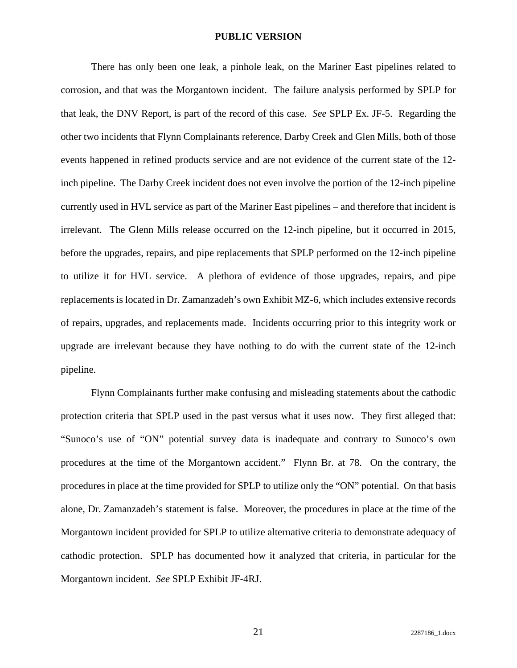There has only been one leak, a pinhole leak, on the Mariner East pipelines related to corrosion, and that was the Morgantown incident. The failure analysis performed by SPLP for that leak, the DNV Report, is part of the record of this case. *See* SPLP Ex. JF-5. Regarding the other two incidents that Flynn Complainants reference, Darby Creek and Glen Mills, both of those events happened in refined products service and are not evidence of the current state of the 12 inch pipeline. The Darby Creek incident does not even involve the portion of the 12-inch pipeline currently used in HVL service as part of the Mariner East pipelines – and therefore that incident is irrelevant. The Glenn Mills release occurred on the 12-inch pipeline, but it occurred in 2015, before the upgrades, repairs, and pipe replacements that SPLP performed on the 12-inch pipeline to utilize it for HVL service. A plethora of evidence of those upgrades, repairs, and pipe replacements is located in Dr. Zamanzadeh's own Exhibit MZ-6, which includes extensive records of repairs, upgrades, and replacements made. Incidents occurring prior to this integrity work or upgrade are irrelevant because they have nothing to do with the current state of the 12-inch pipeline.

Flynn Complainants further make confusing and misleading statements about the cathodic protection criteria that SPLP used in the past versus what it uses now. They first alleged that: "Sunoco's use of "ON" potential survey data is inadequate and contrary to Sunoco's own procedures at the time of the Morgantown accident." Flynn Br. at 78. On the contrary, the procedures in place at the time provided for SPLP to utilize only the "ON" potential. On that basis alone, Dr. Zamanzadeh's statement is false. Moreover, the procedures in place at the time of the Morgantown incident provided for SPLP to utilize alternative criteria to demonstrate adequacy of cathodic protection. SPLP has documented how it analyzed that criteria, in particular for the Morgantown incident. *See* SPLP Exhibit JF-4RJ.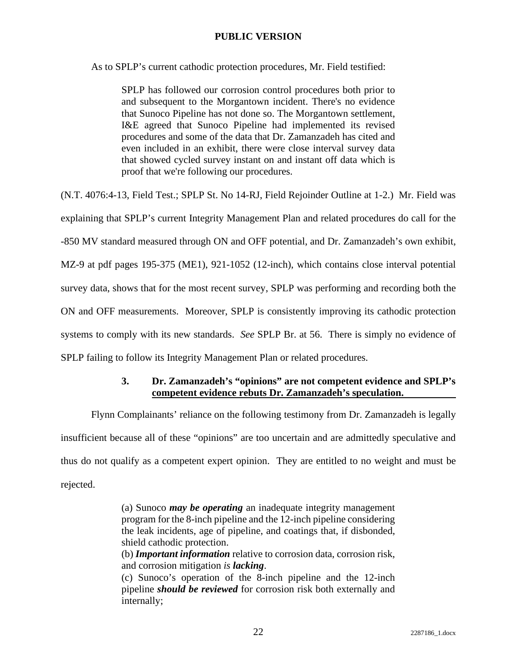As to SPLP's current cathodic protection procedures, Mr. Field testified:

SPLP has followed our corrosion control procedures both prior to and subsequent to the Morgantown incident. There's no evidence that Sunoco Pipeline has not done so. The Morgantown settlement, I&E agreed that Sunoco Pipeline had implemented its revised procedures and some of the data that Dr. Zamanzadeh has cited and even included in an exhibit, there were close interval survey data that showed cycled survey instant on and instant off data which is proof that we're following our procedures.

(N.T. 4076:4-13, Field Test.; SPLP St. No 14-RJ, Field Rejoinder Outline at 1-2.) Mr. Field was explaining that SPLP's current Integrity Management Plan and related procedures do call for the

-850 MV standard measured through ON and OFF potential, and Dr. Zamanzadeh's own exhibit,

MZ-9 at pdf pages 195-375 (ME1), 921-1052 (12-inch), which contains close interval potential

survey data, shows that for the most recent survey, SPLP was performing and recording both the

ON and OFF measurements. Moreover, SPLP is consistently improving its cathodic protection

systems to comply with its new standards. *See* SPLP Br. at 56. There is simply no evidence of

SPLP failing to follow its Integrity Management Plan or related procedures.

# **3. Dr. Zamanzadeh's "opinions" are not competent evidence and SPLP's competent evidence rebuts Dr. Zamanzadeh's speculation.**

Flynn Complainants' reliance on the following testimony from Dr. Zamanzadeh is legally

insufficient because all of these "opinions" are too uncertain and are admittedly speculative and

thus do not qualify as a competent expert opinion. They are entitled to no weight and must be

rejected.

(a) Sunoco *may be operating* an inadequate integrity management program for the 8-inch pipeline and the 12-inch pipeline considering the leak incidents, age of pipeline, and coatings that, if disbonded, shield cathodic protection.

(b) *Important information* relative to corrosion data, corrosion risk, and corrosion mitigation *is lacking*.

(c) Sunoco's operation of the 8-inch pipeline and the 12-inch pipeline *should be reviewed* for corrosion risk both externally and internally;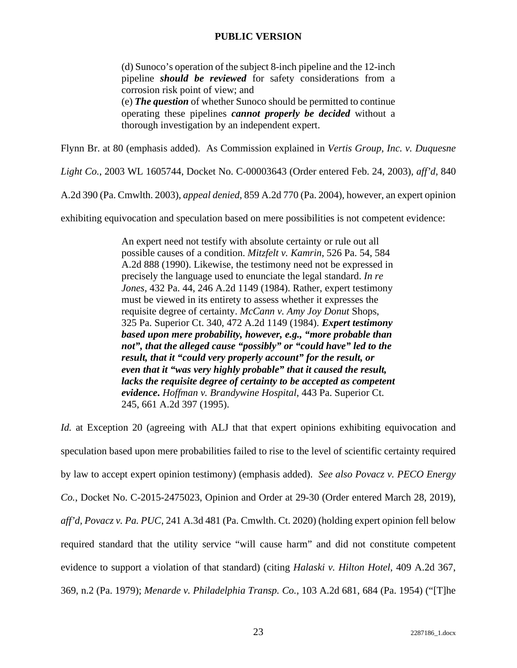(d) Sunoco's operation of the subject 8-inch pipeline and the 12-inch pipeline *should be reviewed* for safety considerations from a corrosion risk point of view; and (e) *The question* of whether Sunoco should be permitted to continue

operating these pipelines *cannot properly be decided* without a thorough investigation by an independent expert.

Flynn Br. at 80 (emphasis added). As Commission explained in *Vertis Group, Inc. v. Duquesne* 

*Light Co.*, 2003 WL 1605744, Docket No. C-00003643 (Order entered Feb. 24, 2003), *aff'd,* 840

A.2d 390 (Pa. Cmwlth. 2003), *appeal denied,* 859 A.2d 770 (Pa. 2004), however, an expert opinion

exhibiting equivocation and speculation based on mere possibilities is not competent evidence:

An expert need not testify with absolute certainty or rule out all possible causes of a condition. *Mitzfelt v. Kamrin*, 526 Pa. 54, 584 A.2d 888 (1990). Likewise, the testimony need not be expressed in precisely the language used to enunciate the legal standard. *In re Jones*, 432 Pa. 44, 246 A.2d 1149 (1984). Rather, expert testimony must be viewed in its entirety to assess whether it expresses the requisite degree of certainty. *McCann v. Amy Joy Donut* Shops, 325 Pa. Superior Ct. 340, 472 A.2d 1149 (1984). *Expert testimony based upon mere probability, however, e.g., "more probable than not", that the alleged cause "possibly" or "could have" led to the result, that it "could very properly account" for the result, or even that it "was very highly probable" that it caused the result, lacks the requisite degree of certainty to be accepted as competent evidence***.** *Hoffman v. Brandywine Hospital*, 443 Pa. Superior Ct. 245, 661 A.2d 397 (1995).

*Id.* at Exception 20 (agreeing with ALJ that that expert opinions exhibiting equivocation and speculation based upon mere probabilities failed to rise to the level of scientific certainty required by law to accept expert opinion testimony) (emphasis added). *See also Povacz v. PECO Energy Co.*, Docket No. C-2015-2475023, Opinion and Order at 29-30 (Order entered March 28, 2019), *aff'd, Povacz v. Pa. PUC*, 241 A.3d 481 (Pa. Cmwlth. Ct. 2020) (holding expert opinion fell below required standard that the utility service "will cause harm" and did not constitute competent evidence to support a violation of that standard) (citing *Halaski v. Hilton Hotel*, 409 A.2d 367, 369, n.2 (Pa. 1979); *Menarde v. Philadelphia Transp. Co.,* 103 A.2d 681, 684 (Pa. 1954) ("[T]he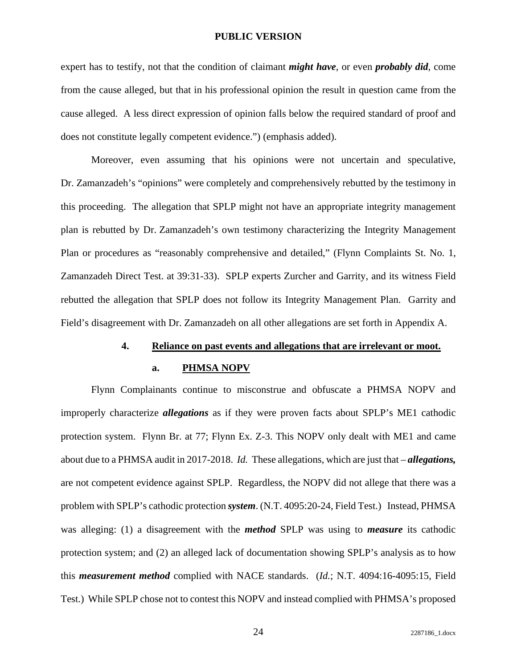expert has to testify, not that the condition of claimant *might have*, or even *probably did*, come from the cause alleged, but that in his professional opinion the result in question came from the cause alleged. A less direct expression of opinion falls below the required standard of proof and does not constitute legally competent evidence.") (emphasis added).

Moreover, even assuming that his opinions were not uncertain and speculative, Dr. Zamanzadeh's "opinions" were completely and comprehensively rebutted by the testimony in this proceeding. The allegation that SPLP might not have an appropriate integrity management plan is rebutted by Dr. Zamanzadeh's own testimony characterizing the Integrity Management Plan or procedures as "reasonably comprehensive and detailed," (Flynn Complaints St. No. 1, Zamanzadeh Direct Test. at 39:31-33). SPLP experts Zurcher and Garrity, and its witness Field rebutted the allegation that SPLP does not follow its Integrity Management Plan. Garrity and Field's disagreement with Dr. Zamanzadeh on all other allegations are set forth in Appendix A.

#### **4. Reliance on past events and allegations that are irrelevant or moot.**

#### **a. PHMSA NOPV**

Flynn Complainants continue to misconstrue and obfuscate a PHMSA NOPV and improperly characterize *allegations* as if they were proven facts about SPLP's ME1 cathodic protection system. Flynn Br. at 77; Flynn Ex. Z-3. This NOPV only dealt with ME1 and came about due to a PHMSA audit in 2017-2018. *Id.* These allegations, which are just that – *allegations,* are not competent evidence against SPLP. Regardless, the NOPV did not allege that there was a problem with SPLP's cathodic protection *system*. (N.T. 4095:20-24, Field Test.) Instead, PHMSA was alleging: (1) a disagreement with the *method* SPLP was using to *measure* its cathodic protection system; and (2) an alleged lack of documentation showing SPLP's analysis as to how this *measurement method* complied with NACE standards. (*Id.*; N.T. 4094:16-4095:15, Field Test.) While SPLP chose not to contest this NOPV and instead complied with PHMSA's proposed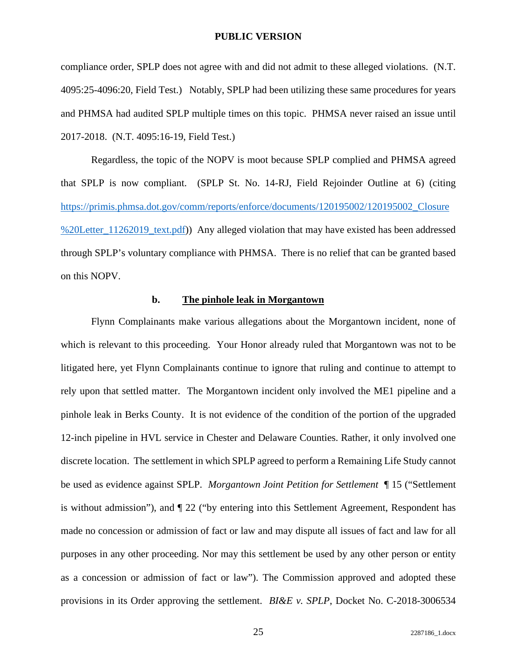compliance order, SPLP does not agree with and did not admit to these alleged violations. (N.T. 4095:25-4096:20, Field Test.) Notably, SPLP had been utilizing these same procedures for years and PHMSA had audited SPLP multiple times on this topic. PHMSA never raised an issue until 2017-2018. (N.T. 4095:16-19, Field Test.)

Regardless, the topic of the NOPV is moot because SPLP complied and PHMSA agreed that SPLP is now compliant. (SPLP St. No. 14-RJ, Field Rejoinder Outline at 6) (citing https://primis.phmsa.dot.gov/comm/reports/enforce/documents/120195002/120195002\_Closure %20Letter\_11262019\_text.pdf)) Any alleged violation that may have existed has been addressed through SPLP's voluntary compliance with PHMSA. There is no relief that can be granted based on this NOPV.

### **b. The pinhole leak in Morgantown**

Flynn Complainants make various allegations about the Morgantown incident, none of which is relevant to this proceeding. Your Honor already ruled that Morgantown was not to be litigated here, yet Flynn Complainants continue to ignore that ruling and continue to attempt to rely upon that settled matter. The Morgantown incident only involved the ME1 pipeline and a pinhole leak in Berks County. It is not evidence of the condition of the portion of the upgraded 12-inch pipeline in HVL service in Chester and Delaware Counties. Rather, it only involved one discrete location. The settlement in which SPLP agreed to perform a Remaining Life Study cannot be used as evidence against SPLP. *Morgantown Joint Petition for Settlement* ¶ 15 ("Settlement is without admission"), and ¶ 22 ("by entering into this Settlement Agreement, Respondent has made no concession or admission of fact or law and may dispute all issues of fact and law for all purposes in any other proceeding. Nor may this settlement be used by any other person or entity as a concession or admission of fact or law"). The Commission approved and adopted these provisions in its Order approving the settlement. *BI&E v. SPLP*, Docket No. C-2018-3006534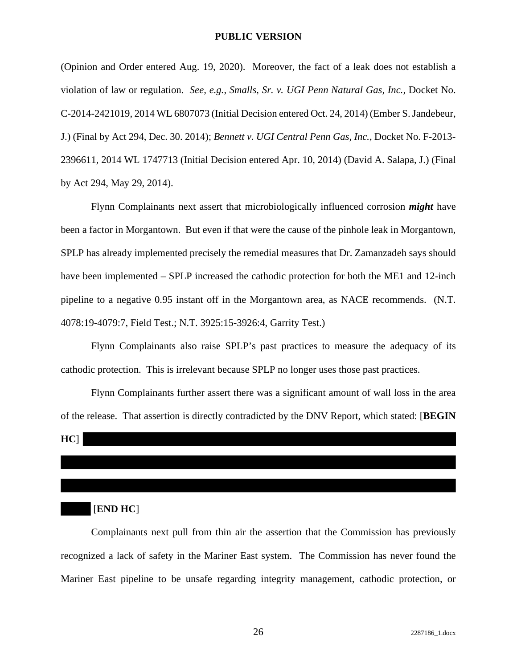(Opinion and Order entered Aug. 19, 2020). Moreover, the fact of a leak does not establish a violation of law or regulation. *See, e.g.*, *Smalls, Sr. v. UGI Penn Natural Gas, Inc.,* Docket No. C-2014-2421019, 2014 WL 6807073 (Initial Decision entered Oct. 24, 2014) (Ember S. Jandebeur, J.) (Final by Act 294, Dec. 30. 2014); *Bennett v. UGI Central Penn Gas, Inc.*, Docket No. F-2013- 2396611, 2014 WL 1747713 (Initial Decision entered Apr. 10, 2014) (David A. Salapa, J.) (Final by Act 294, May 29, 2014).

Flynn Complainants next assert that microbiologically influenced corrosion *might* have been a factor in Morgantown. But even if that were the cause of the pinhole leak in Morgantown, SPLP has already implemented precisely the remedial measures that Dr. Zamanzadeh says should have been implemented – SPLP increased the cathodic protection for both the ME1 and 12-inch pipeline to a negative 0.95 instant off in the Morgantown area, as NACE recommends. (N.T. 4078:19-4079:7, Field Test.; N.T. 3925:15-3926:4, Garrity Test.)

Flynn Complainants also raise SPLP's past practices to measure the adequacy of its cathodic protection. This is irrelevant because SPLP no longer uses those past practices.

Flynn Complainants further assert there was a significant amount of wall loss in the area of the release. That assertion is directly contradicted by the DNV Report, which stated: [**BEGIN** 

 $HCl$ 

### [**END HC**]

Complainants next pull from thin air the assertion that the Commission has previously recognized a lack of safety in the Mariner East system. The Commission has never found the Mariner East pipeline to be unsafe regarding integrity management, cathodic protection, or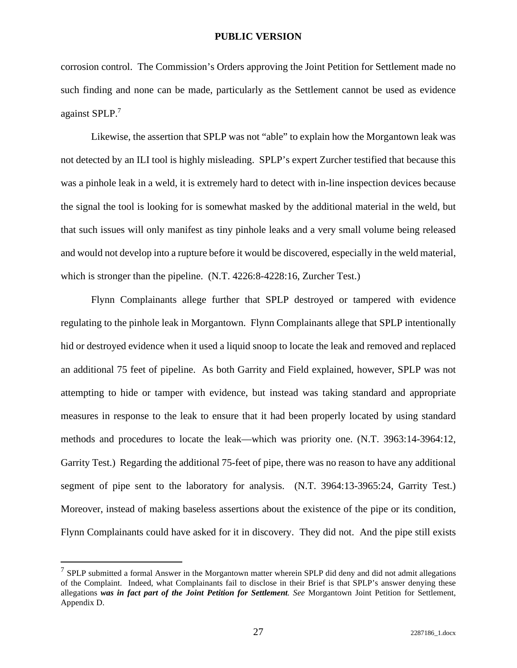corrosion control. The Commission's Orders approving the Joint Petition for Settlement made no such finding and none can be made, particularly as the Settlement cannot be used as evidence against SPLP.<sup>7</sup>

Likewise, the assertion that SPLP was not "able" to explain how the Morgantown leak was not detected by an ILI tool is highly misleading. SPLP's expert Zurcher testified that because this was a pinhole leak in a weld, it is extremely hard to detect with in-line inspection devices because the signal the tool is looking for is somewhat masked by the additional material in the weld, but that such issues will only manifest as tiny pinhole leaks and a very small volume being released and would not develop into a rupture before it would be discovered, especially in the weld material, which is stronger than the pipeline. (N.T. 4226:8-4228:16, Zurcher Test.)

Flynn Complainants allege further that SPLP destroyed or tampered with evidence regulating to the pinhole leak in Morgantown. Flynn Complainants allege that SPLP intentionally hid or destroyed evidence when it used a liquid snoop to locate the leak and removed and replaced an additional 75 feet of pipeline. As both Garrity and Field explained, however, SPLP was not attempting to hide or tamper with evidence, but instead was taking standard and appropriate measures in response to the leak to ensure that it had been properly located by using standard methods and procedures to locate the leak—which was priority one. (N.T. 3963:14-3964:12, Garrity Test.) Regarding the additional 75-feet of pipe, there was no reason to have any additional segment of pipe sent to the laboratory for analysis. (N.T. 3964:13-3965:24, Garrity Test.) Moreover, instead of making baseless assertions about the existence of the pipe or its condition, Flynn Complainants could have asked for it in discovery. They did not. And the pipe still exists

 $7$  SPLP submitted a formal Answer in the Morgantown matter wherein SPLP did deny and did not admit allegations of the Complaint. Indeed, what Complainants fail to disclose in their Brief is that SPLP's answer denying these allegations *was in fact part of the Joint Petition for Settlement. See* Morgantown Joint Petition for Settlement, Appendix D.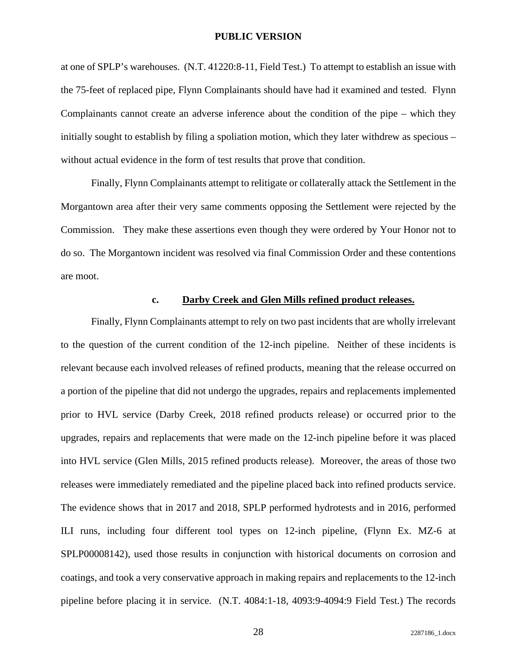at one of SPLP's warehouses. (N.T. 41220:8-11, Field Test.) To attempt to establish an issue with the 75-feet of replaced pipe, Flynn Complainants should have had it examined and tested. Flynn Complainants cannot create an adverse inference about the condition of the pipe – which they initially sought to establish by filing a spoliation motion, which they later withdrew as specious – without actual evidence in the form of test results that prove that condition.

Finally, Flynn Complainants attempt to relitigate or collaterally attack the Settlement in the Morgantown area after their very same comments opposing the Settlement were rejected by the Commission. They make these assertions even though they were ordered by Your Honor not to do so. The Morgantown incident was resolved via final Commission Order and these contentions are moot.

## **c. Darby Creek and Glen Mills refined product releases.**

Finally, Flynn Complainants attempt to rely on two past incidents that are wholly irrelevant to the question of the current condition of the 12-inch pipeline. Neither of these incidents is relevant because each involved releases of refined products, meaning that the release occurred on a portion of the pipeline that did not undergo the upgrades, repairs and replacements implemented prior to HVL service (Darby Creek, 2018 refined products release) or occurred prior to the upgrades, repairs and replacements that were made on the 12-inch pipeline before it was placed into HVL service (Glen Mills, 2015 refined products release). Moreover, the areas of those two releases were immediately remediated and the pipeline placed back into refined products service. The evidence shows that in 2017 and 2018, SPLP performed hydrotests and in 2016, performed ILI runs, including four different tool types on 12-inch pipeline, (Flynn Ex. MZ-6 at SPLP00008142), used those results in conjunction with historical documents on corrosion and coatings, and took a very conservative approach in making repairs and replacements to the 12-inch pipeline before placing it in service. (N.T. 4084:1-18, 4093:9-4094:9 Field Test.) The records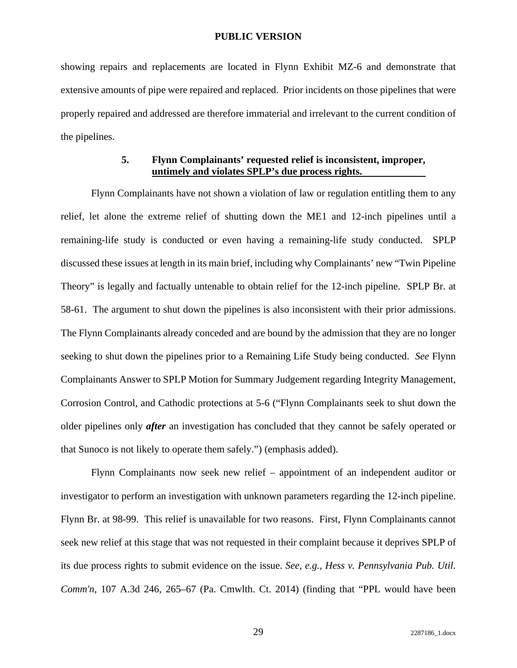showing repairs and replacements are located in Flynn Exhibit MZ-6 and demonstrate that extensive amounts of pipe were repaired and replaced. Prior incidents on those pipelines that were properly repaired and addressed are therefore immaterial and irrelevant to the current condition of the pipelines.

### **5. Flynn Complainants' requested relief is inconsistent, improper, untimely and violates SPLP's due process rights.**

Flynn Complainants have not shown a violation of law or regulation entitling them to any relief, let alone the extreme relief of shutting down the ME1 and 12-inch pipelines until a remaining-life study is conducted or even having a remaining-life study conducted. SPLP discussed these issues at length in its main brief, including why Complainants' new "Twin Pipeline Theory" is legally and factually untenable to obtain relief for the 12-inch pipeline. SPLP Br. at 58-61. The argument to shut down the pipelines is also inconsistent with their prior admissions. The Flynn Complainants already conceded and are bound by the admission that they are no longer seeking to shut down the pipelines prior to a Remaining Life Study being conducted. *See* Flynn Complainants Answer to SPLP Motion for Summary Judgement regarding Integrity Management, Corrosion Control, and Cathodic protections at 5-6 ("Flynn Complainants seek to shut down the older pipelines only *after* an investigation has concluded that they cannot be safely operated or that Sunoco is not likely to operate them safely.") (emphasis added).

Flynn Complainants now seek new relief – appointment of an independent auditor or investigator to perform an investigation with unknown parameters regarding the 12-inch pipeline. Flynn Br. at 98-99. This relief is unavailable for two reasons. First, Flynn Complainants cannot seek new relief at this stage that was not requested in their complaint because it deprives SPLP of its due process rights to submit evidence on the issue. *See, e.g., Hess v. Pennsylvania Pub. Util. Comm'n*, 107 A.3d 246, 265–67 (Pa. Cmwlth. Ct. 2014) (finding that "PPL would have been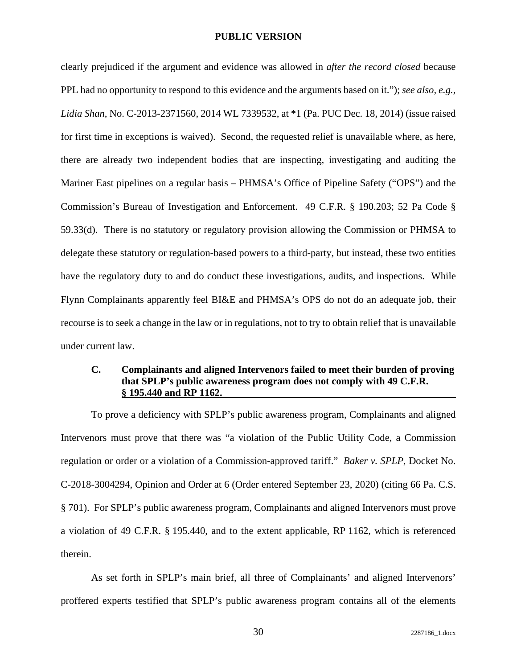clearly prejudiced if the argument and evidence was allowed in *after the record closed* because PPL had no opportunity to respond to this evidence and the arguments based on it."); *see also, e.g., Lidia Shan*, No. C-2013-2371560, 2014 WL 7339532, at \*1 (Pa. PUC Dec. 18, 2014) (issue raised for first time in exceptions is waived). Second, the requested relief is unavailable where, as here, there are already two independent bodies that are inspecting, investigating and auditing the Mariner East pipelines on a regular basis – PHMSA's Office of Pipeline Safety ("OPS") and the Commission's Bureau of Investigation and Enforcement. 49 C.F.R. § 190.203; 52 Pa Code § 59.33(d). There is no statutory or regulatory provision allowing the Commission or PHMSA to delegate these statutory or regulation-based powers to a third-party, but instead, these two entities have the regulatory duty to and do conduct these investigations, audits, and inspections. While Flynn Complainants apparently feel BI&E and PHMSA's OPS do not do an adequate job, their recourse is to seek a change in the law or in regulations, not to try to obtain relief that is unavailable under current law.

# **C. Complainants and aligned Intervenors failed to meet their burden of proving that SPLP's public awareness program does not comply with 49 C.F.R. § 195.440 and RP 1162.**

To prove a deficiency with SPLP's public awareness program, Complainants and aligned Intervenors must prove that there was "a violation of the Public Utility Code, a Commission regulation or order or a violation of a Commission-approved tariff." *Baker v. SPLP*, Docket No. C-2018-3004294, Opinion and Order at 6 (Order entered September 23, 2020) (citing 66 Pa. C.S. § 701). For SPLP's public awareness program, Complainants and aligned Intervenors must prove a violation of 49 C.F.R. § 195.440, and to the extent applicable, RP 1162, which is referenced therein.

As set forth in SPLP's main brief, all three of Complainants' and aligned Intervenors' proffered experts testified that SPLP's public awareness program contains all of the elements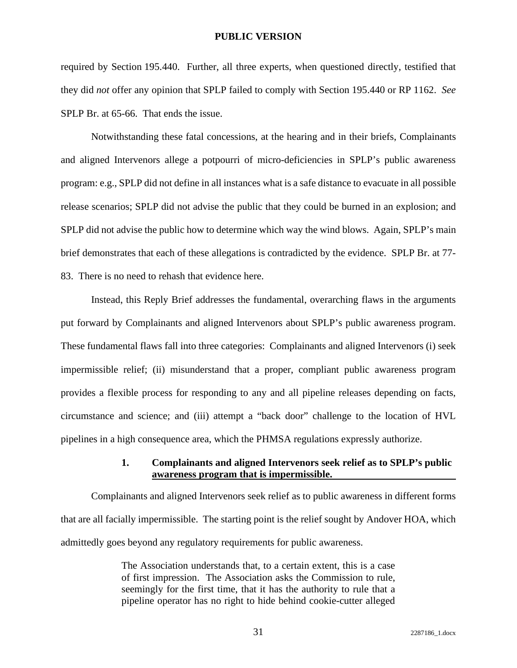required by Section 195.440. Further, all three experts, when questioned directly, testified that they did *not* offer any opinion that SPLP failed to comply with Section 195.440 or RP 1162. *See* SPLP Br. at 65-66. That ends the issue.

Notwithstanding these fatal concessions, at the hearing and in their briefs, Complainants and aligned Intervenors allege a potpourri of micro-deficiencies in SPLP's public awareness program: e.g., SPLP did not define in all instances what is a safe distance to evacuate in all possible release scenarios; SPLP did not advise the public that they could be burned in an explosion; and SPLP did not advise the public how to determine which way the wind blows. Again, SPLP's main brief demonstrates that each of these allegations is contradicted by the evidence. SPLP Br. at 77- 83. There is no need to rehash that evidence here.

Instead, this Reply Brief addresses the fundamental, overarching flaws in the arguments put forward by Complainants and aligned Intervenors about SPLP's public awareness program. These fundamental flaws fall into three categories: Complainants and aligned Intervenors (i) seek impermissible relief; (ii) misunderstand that a proper, compliant public awareness program provides a flexible process for responding to any and all pipeline releases depending on facts, circumstance and science; and (iii) attempt a "back door" challenge to the location of HVL pipelines in a high consequence area, which the PHMSA regulations expressly authorize.

### **1. Complainants and aligned Intervenors seek relief as to SPLP's public awareness program that is impermissible.**

Complainants and aligned Intervenors seek relief as to public awareness in different forms that are all facially impermissible. The starting point is the relief sought by Andover HOA, which admittedly goes beyond any regulatory requirements for public awareness.

> The Association understands that, to a certain extent, this is a case of first impression. The Association asks the Commission to rule, seemingly for the first time, that it has the authority to rule that a pipeline operator has no right to hide behind cookie-cutter alleged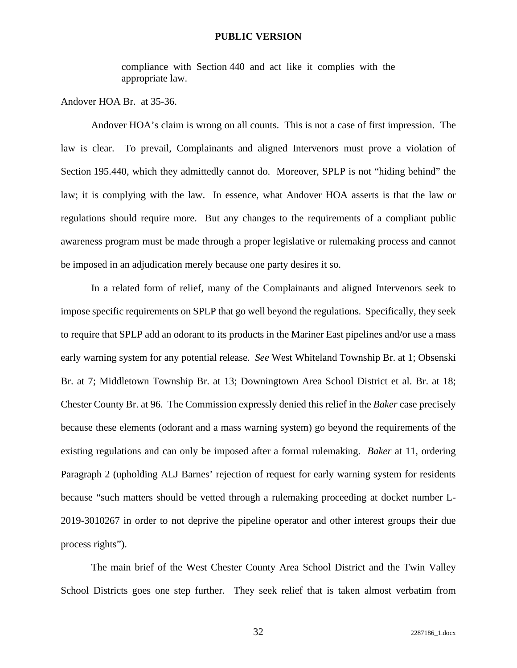compliance with Section 440 and act like it complies with the appropriate law.

Andover HOA Br. at 35-36.

Andover HOA's claim is wrong on all counts. This is not a case of first impression. The law is clear. To prevail, Complainants and aligned Intervenors must prove a violation of Section 195.440, which they admittedly cannot do. Moreover, SPLP is not "hiding behind" the law; it is complying with the law. In essence, what Andover HOA asserts is that the law or regulations should require more. But any changes to the requirements of a compliant public awareness program must be made through a proper legislative or rulemaking process and cannot be imposed in an adjudication merely because one party desires it so.

In a related form of relief, many of the Complainants and aligned Intervenors seek to impose specific requirements on SPLP that go well beyond the regulations. Specifically, they seek to require that SPLP add an odorant to its products in the Mariner East pipelines and/or use a mass early warning system for any potential release. *See* West Whiteland Township Br. at 1; Obsenski Br. at 7; Middletown Township Br. at 13; Downingtown Area School District et al. Br. at 18; Chester County Br. at 96. The Commission expressly denied this relief in the *Baker* case precisely because these elements (odorant and a mass warning system) go beyond the requirements of the existing regulations and can only be imposed after a formal rulemaking. *Baker* at 11, ordering Paragraph 2 (upholding ALJ Barnes' rejection of request for early warning system for residents because "such matters should be vetted through a rulemaking proceeding at docket number L-2019-3010267 in order to not deprive the pipeline operator and other interest groups their due process rights").

The main brief of the West Chester County Area School District and the Twin Valley School Districts goes one step further. They seek relief that is taken almost verbatim from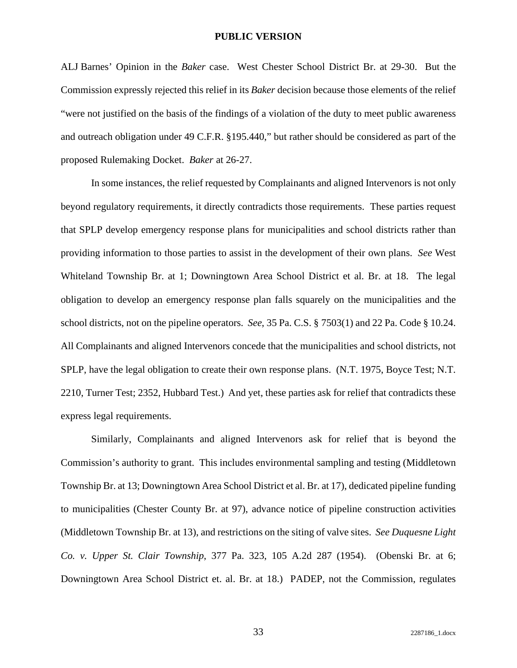ALJ Barnes' Opinion in the *Baker* case. West Chester School District Br. at 29-30. But the Commission expressly rejected this relief in its *Baker* decision because those elements of the relief "were not justified on the basis of the findings of a violation of the duty to meet public awareness and outreach obligation under 49 C.F.R. §195.440," but rather should be considered as part of the proposed Rulemaking Docket. *Baker* at 26-27.

In some instances, the relief requested by Complainants and aligned Intervenors is not only beyond regulatory requirements, it directly contradicts those requirements. These parties request that SPLP develop emergency response plans for municipalities and school districts rather than providing information to those parties to assist in the development of their own plans. *See* West Whiteland Township Br. at 1; Downingtown Area School District et al. Br. at 18. The legal obligation to develop an emergency response plan falls squarely on the municipalities and the school districts, not on the pipeline operators. *See*, 35 Pa. C.S. § 7503(1) and 22 Pa. Code § 10.24. All Complainants and aligned Intervenors concede that the municipalities and school districts, not SPLP, have the legal obligation to create their own response plans. (N.T. 1975, Boyce Test; N.T. 2210, Turner Test; 2352, Hubbard Test.) And yet, these parties ask for relief that contradicts these express legal requirements.

Similarly, Complainants and aligned Intervenors ask for relief that is beyond the Commission's authority to grant. This includes environmental sampling and testing (Middletown Township Br. at 13; Downingtown Area School District et al. Br. at 17), dedicated pipeline funding to municipalities (Chester County Br. at 97), advance notice of pipeline construction activities (Middletown Township Br. at 13), and restrictions on the siting of valve sites. *See Duquesne Light Co. v. Upper St. Clair Township*, 377 Pa. 323, 105 A.2d 287 (1954). (Obenski Br. at 6; Downingtown Area School District et. al. Br. at 18.) PADEP, not the Commission, regulates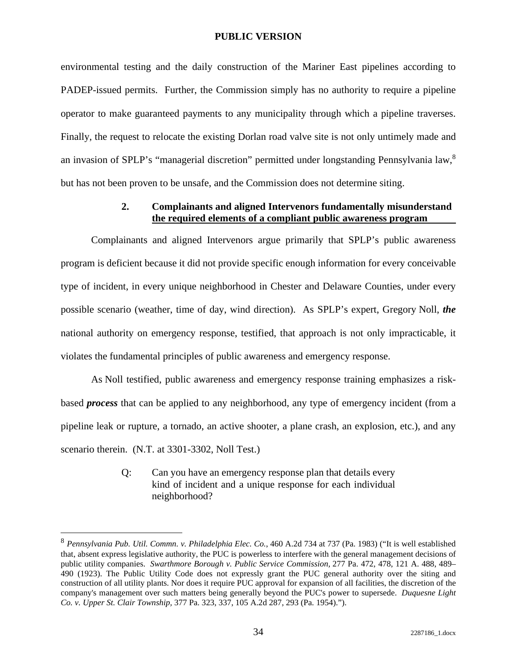environmental testing and the daily construction of the Mariner East pipelines according to PADEP-issued permits. Further, the Commission simply has no authority to require a pipeline operator to make guaranteed payments to any municipality through which a pipeline traverses. Finally, the request to relocate the existing Dorlan road valve site is not only untimely made and an invasion of SPLP's "managerial discretion" permitted under longstanding Pennsylvania law,<sup>8</sup> but has not been proven to be unsafe, and the Commission does not determine siting.

## **2. Complainants and aligned Intervenors fundamentally misunderstand the required elements of a compliant public awareness program**

Complainants and aligned Intervenors argue primarily that SPLP's public awareness program is deficient because it did not provide specific enough information for every conceivable type of incident, in every unique neighborhood in Chester and Delaware Counties, under every possible scenario (weather, time of day, wind direction). As SPLP's expert, Gregory Noll, *the* national authority on emergency response, testified, that approach is not only impracticable, it violates the fundamental principles of public awareness and emergency response.

As Noll testified, public awareness and emergency response training emphasizes a riskbased *process* that can be applied to any neighborhood, any type of emergency incident (from a pipeline leak or rupture, a tornado, an active shooter, a plane crash, an explosion, etc.), and any scenario therein. (N.T. at 3301-3302, Noll Test.)

> Q: Can you have an emergency response plan that details every kind of incident and a unique response for each individual neighborhood?

<sup>8</sup> *Pennsylvania Pub. Util. Commn. v. Philadelphia Elec. Co.*, 460 A.2d 734 at 737 (Pa. 1983) ("It is well established that, absent express legislative authority, the PUC is powerless to interfere with the general management decisions of public utility companies. *Swarthmore Borough v. Public Service Commission,* 277 Pa. 472, 478, 121 A. 488, 489– 490 (1923). The Public Utility Code does not expressly grant the PUC general authority over the siting and construction of all utility plants. Nor does it require PUC approval for expansion of all facilities, the discretion of the company's management over such matters being generally beyond the PUC's power to supersede. *Duquesne Light Co. v. Upper St. Clair Township,* 377 Pa. 323, 337, 105 A.2d 287, 293 (Pa. 1954).").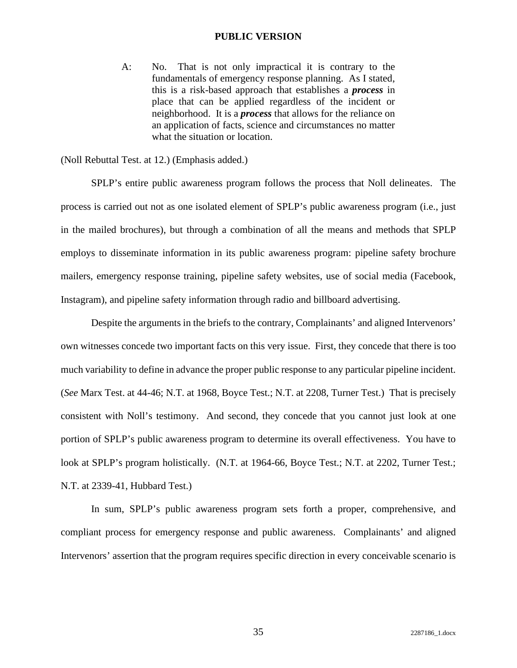A: No. That is not only impractical it is contrary to the fundamentals of emergency response planning. As I stated, this is a risk-based approach that establishes a *process* in place that can be applied regardless of the incident or neighborhood. It is a *process* that allows for the reliance on an application of facts, science and circumstances no matter what the situation or location.

(Noll Rebuttal Test. at 12.) (Emphasis added.)

SPLP's entire public awareness program follows the process that Noll delineates. The process is carried out not as one isolated element of SPLP's public awareness program (i.e., just in the mailed brochures), but through a combination of all the means and methods that SPLP employs to disseminate information in its public awareness program: pipeline safety brochure mailers, emergency response training, pipeline safety websites, use of social media (Facebook, Instagram), and pipeline safety information through radio and billboard advertising.

Despite the arguments in the briefs to the contrary, Complainants' and aligned Intervenors' own witnesses concede two important facts on this very issue. First, they concede that there is too much variability to define in advance the proper public response to any particular pipeline incident. (*See* Marx Test. at 44-46; N.T. at 1968, Boyce Test.; N.T. at 2208, Turner Test.) That is precisely consistent with Noll's testimony. And second, they concede that you cannot just look at one portion of SPLP's public awareness program to determine its overall effectiveness. You have to look at SPLP's program holistically. (N.T. at 1964-66, Boyce Test.; N.T. at 2202, Turner Test.; N.T. at 2339-41, Hubbard Test.)

In sum, SPLP's public awareness program sets forth a proper, comprehensive, and compliant process for emergency response and public awareness. Complainants' and aligned Intervenors' assertion that the program requires specific direction in every conceivable scenario is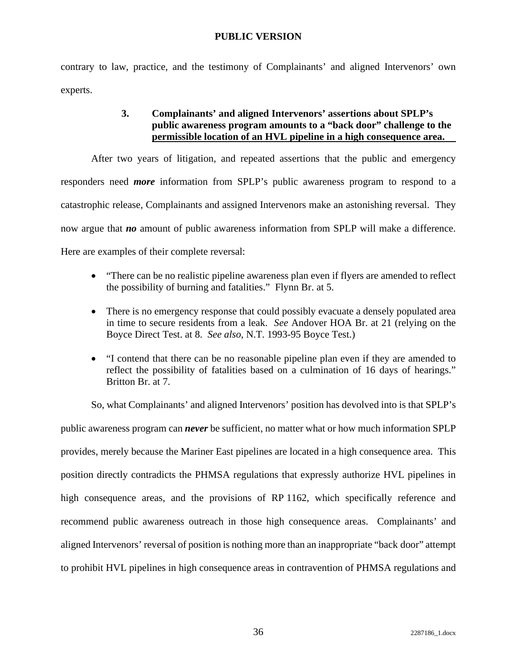contrary to law, practice, and the testimony of Complainants' and aligned Intervenors' own experts.

# **3. Complainants' and aligned Intervenors' assertions about SPLP's public awareness program amounts to a "back door" challenge to the permissible location of an HVL pipeline in a high consequence area.**

After two years of litigation, and repeated assertions that the public and emergency responders need *more* information from SPLP's public awareness program to respond to a catastrophic release, Complainants and assigned Intervenors make an astonishing reversal. They now argue that *no* amount of public awareness information from SPLP will make a difference. Here are examples of their complete reversal:

- "There can be no realistic pipeline awareness plan even if flyers are amended to reflect the possibility of burning and fatalities." Flynn Br. at 5.
- There is no emergency response that could possibly evacuate a densely populated area in time to secure residents from a leak. *See* Andover HOA Br. at 21 (relying on the Boyce Direct Test. at 8. *See also*, N.T. 1993-95 Boyce Test.)
- "I contend that there can be no reasonable pipeline plan even if they are amended to reflect the possibility of fatalities based on a culmination of 16 days of hearings." Britton Br. at 7.

So, what Complainants' and aligned Intervenors' position has devolved into is that SPLP's public awareness program can *never* be sufficient, no matter what or how much information SPLP provides, merely because the Mariner East pipelines are located in a high consequence area. This position directly contradicts the PHMSA regulations that expressly authorize HVL pipelines in high consequence areas, and the provisions of RP 1162, which specifically reference and recommend public awareness outreach in those high consequence areas. Complainants' and aligned Intervenors' reversal of position is nothing more than an inappropriate "back door" attempt to prohibit HVL pipelines in high consequence areas in contravention of PHMSA regulations and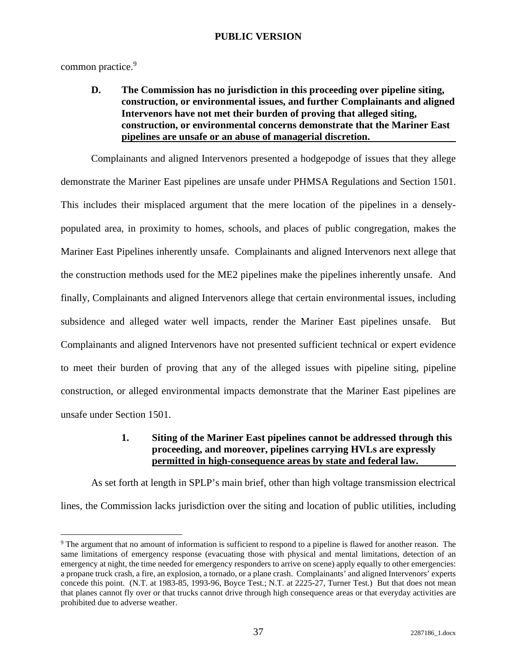common practice.<sup>9</sup>

**D. The Commission has no jurisdiction in this proceeding over pipeline siting, construction, or environmental issues, and further Complainants and aligned Intervenors have not met their burden of proving that alleged siting, construction, or environmental concerns demonstrate that the Mariner East pipelines are unsafe or an abuse of managerial discretion.** 

Complainants and aligned Intervenors presented a hodgepodge of issues that they allege demonstrate the Mariner East pipelines are unsafe under PHMSA Regulations and Section 1501. This includes their misplaced argument that the mere location of the pipelines in a denselypopulated area, in proximity to homes, schools, and places of public congregation, makes the Mariner East Pipelines inherently unsafe. Complainants and aligned Intervenors next allege that the construction methods used for the ME2 pipelines make the pipelines inherently unsafe. And finally, Complainants and aligned Intervenors allege that certain environmental issues, including subsidence and alleged water well impacts, render the Mariner East pipelines unsafe. But Complainants and aligned Intervenors have not presented sufficient technical or expert evidence to meet their burden of proving that any of the alleged issues with pipeline siting, pipeline construction, or alleged environmental impacts demonstrate that the Mariner East pipelines are unsafe under Section 1501.

# **1. Siting of the Mariner East pipelines cannot be addressed through this proceeding, and moreover, pipelines carrying HVLs are expressly permitted in high-consequence areas by state and federal law.**

As set forth at length in SPLP's main brief, other than high voltage transmission electrical lines, the Commission lacks jurisdiction over the siting and location of public utilities, including

<sup>&</sup>lt;sup>9</sup> The argument that no amount of information is sufficient to respond to a pipeline is flawed for another reason. The same limitations of emergency response (evacuating those with physical and mental limitations, detection of an emergency at night, the time needed for emergency responders to arrive on scene) apply equally to other emergencies: a propane truck crash, a fire, an explosion, a tornado, or a plane crash. Complainants' and aligned Intervenors' experts concede this point. (N.T. at 1983-85, 1993-96, Boyce Test.; N.T. at 2225-27, Turner Test.) But that does not mean that planes cannot fly over or that trucks cannot drive through high consequence areas or that everyday activities are prohibited due to adverse weather.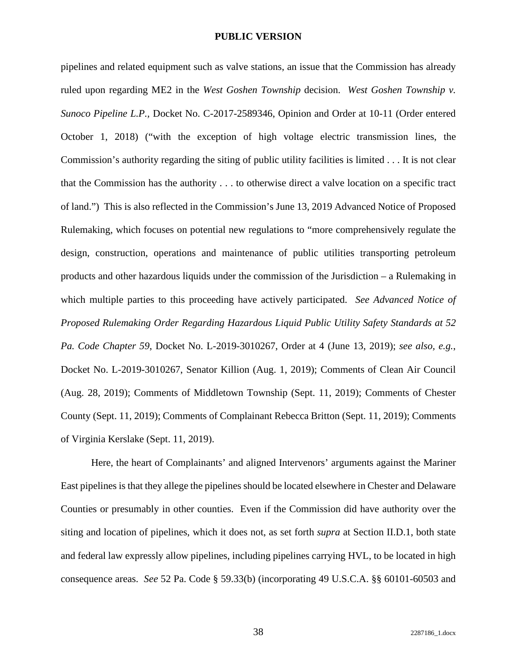pipelines and related equipment such as valve stations, an issue that the Commission has already ruled upon regarding ME2 in the *West Goshen Township* decision. *West Goshen Township v. Sunoco Pipeline L.P.,* Docket No. C-2017-2589346, Opinion and Order at 10-11 (Order entered October 1, 2018) ("with the exception of high voltage electric transmission lines, the Commission's authority regarding the siting of public utility facilities is limited . . . It is not clear that the Commission has the authority . . . to otherwise direct a valve location on a specific tract of land.") This is also reflected in the Commission's June 13, 2019 Advanced Notice of Proposed Rulemaking, which focuses on potential new regulations to "more comprehensively regulate the design, construction, operations and maintenance of public utilities transporting petroleum products and other hazardous liquids under the commission of the Jurisdiction – a Rulemaking in which multiple parties to this proceeding have actively participated. *See Advanced Notice of Proposed Rulemaking Order Regarding Hazardous Liquid Public Utility Safety Standards at 52 Pa. Code Chapter 59*, Docket No. L-2019-3010267, Order at 4 (June 13, 2019); *see also, e.g.*, Docket No. L-2019-3010267, Senator Killion (Aug. 1, 2019); Comments of Clean Air Council (Aug. 28, 2019); Comments of Middletown Township (Sept. 11, 2019); Comments of Chester County (Sept. 11, 2019); Comments of Complainant Rebecca Britton (Sept. 11, 2019); Comments of Virginia Kerslake (Sept. 11, 2019).

Here, the heart of Complainants' and aligned Intervenors' arguments against the Mariner East pipelines is that they allege the pipelines should be located elsewhere in Chester and Delaware Counties or presumably in other counties. Even if the Commission did have authority over the siting and location of pipelines, which it does not, as set forth *supra* at Section II.D.1, both state and federal law expressly allow pipelines, including pipelines carrying HVL, to be located in high consequence areas. *See* 52 Pa. Code § 59.33(b) (incorporating 49 U.S.C.A. §§ 60101-60503 and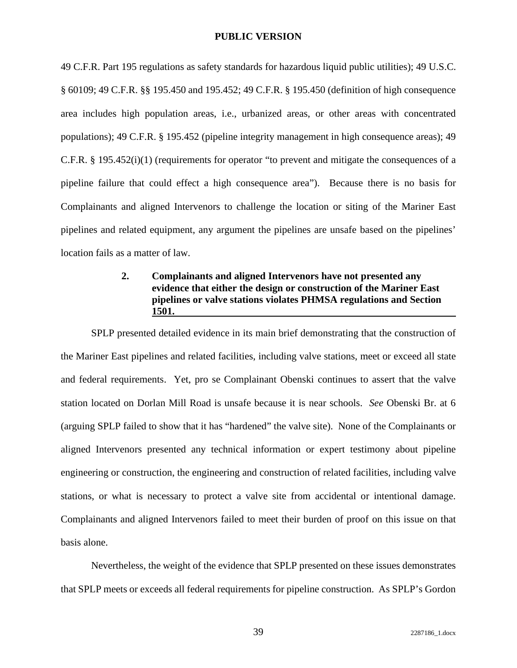49 C.F.R. Part 195 regulations as safety standards for hazardous liquid public utilities); 49 U.S.C. § 60109; 49 C.F.R. §§ 195.450 and 195.452; 49 C.F.R. § 195.450 (definition of high consequence area includes high population areas, i.e., urbanized areas, or other areas with concentrated populations); 49 C.F.R. § 195.452 (pipeline integrity management in high consequence areas); 49 C.F.R. § 195.452(i)(1) (requirements for operator "to prevent and mitigate the consequences of a pipeline failure that could effect a high consequence area"). Because there is no basis for Complainants and aligned Intervenors to challenge the location or siting of the Mariner East pipelines and related equipment, any argument the pipelines are unsafe based on the pipelines' location fails as a matter of law.

# **2. Complainants and aligned Intervenors have not presented any evidence that either the design or construction of the Mariner East pipelines or valve stations violates PHMSA regulations and Section 1501.**

SPLP presented detailed evidence in its main brief demonstrating that the construction of the Mariner East pipelines and related facilities, including valve stations, meet or exceed all state and federal requirements. Yet, pro se Complainant Obenski continues to assert that the valve station located on Dorlan Mill Road is unsafe because it is near schools. *See* Obenski Br. at 6 (arguing SPLP failed to show that it has "hardened" the valve site). None of the Complainants or aligned Intervenors presented any technical information or expert testimony about pipeline engineering or construction, the engineering and construction of related facilities, including valve stations, or what is necessary to protect a valve site from accidental or intentional damage. Complainants and aligned Intervenors failed to meet their burden of proof on this issue on that basis alone.

Nevertheless, the weight of the evidence that SPLP presented on these issues demonstrates that SPLP meets or exceeds all federal requirements for pipeline construction. As SPLP's Gordon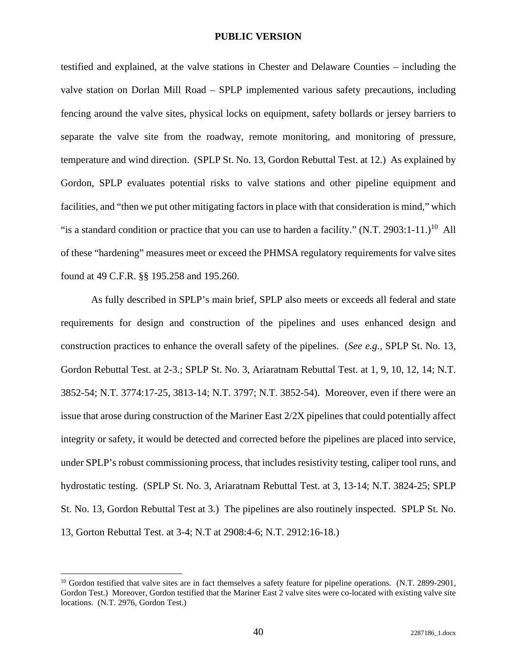testified and explained, at the valve stations in Chester and Delaware Counties – including the valve station on Dorlan Mill Road – SPLP implemented various safety precautions, including fencing around the valve sites, physical locks on equipment, safety bollards or jersey barriers to separate the valve site from the roadway, remote monitoring, and monitoring of pressure, temperature and wind direction. (SPLP St. No. 13, Gordon Rebuttal Test. at 12.) As explained by Gordon, SPLP evaluates potential risks to valve stations and other pipeline equipment and facilities, and "then we put other mitigating factors in place with that consideration is mind," which "is a standard condition or practice that you can use to harden a facility." (N.T. 2903:1-11.)<sup>10</sup> All of these "hardening" measures meet or exceed the PHMSA regulatory requirements for valve sites found at 49 C.F.R. §§ 195.258 and 195.260.

As fully described in SPLP's main brief, SPLP also meets or exceeds all federal and state requirements for design and construction of the pipelines and uses enhanced design and construction practices to enhance the overall safety of the pipelines. (*See e.g.*, SPLP St. No. 13, Gordon Rebuttal Test. at 2-3.; SPLP St. No. 3, Ariaratnam Rebuttal Test. at 1, 9, 10, 12, 14; N.T. 3852-54; N.T. 3774:17-25, 3813-14; N.T. 3797; N.T. 3852-54). Moreover, even if there were an issue that arose during construction of the Mariner East 2/2X pipelines that could potentially affect integrity or safety, it would be detected and corrected before the pipelines are placed into service, under SPLP's robust commissioning process, that includes resistivity testing, caliper tool runs, and hydrostatic testing. (SPLP St. No. 3, Ariaratnam Rebuttal Test. at 3, 13-14; N.T. 3824-25; SPLP St. No. 13, Gordon Rebuttal Test at 3.) The pipelines are also routinely inspected. SPLP St. No. 13, Gorton Rebuttal Test. at 3-4; N.T at 2908:4-6; N.T. 2912:16-18.)

 $10$  Gordon testified that valve sites are in fact themselves a safety feature for pipeline operations. (N.T. 2899-2901, Gordon Test.) Moreover, Gordon testified that the Mariner East 2 valve sites were co-located with existing valve site locations. (N.T. 2976, Gordon Test.)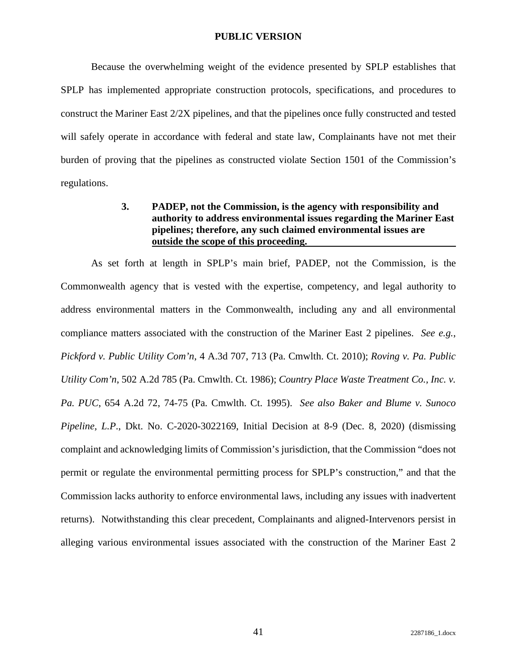Because the overwhelming weight of the evidence presented by SPLP establishes that SPLP has implemented appropriate construction protocols, specifications, and procedures to construct the Mariner East 2/2X pipelines, and that the pipelines once fully constructed and tested will safely operate in accordance with federal and state law, Complainants have not met their burden of proving that the pipelines as constructed violate Section 1501 of the Commission's regulations.

# **3. PADEP, not the Commission, is the agency with responsibility and authority to address environmental issues regarding the Mariner East pipelines; therefore, any such claimed environmental issues are outside the scope of this proceeding.**

As set forth at length in SPLP's main brief, PADEP, not the Commission, is the Commonwealth agency that is vested with the expertise, competency, and legal authority to address environmental matters in the Commonwealth, including any and all environmental compliance matters associated with the construction of the Mariner East 2 pipelines. *See e.g.*, *Pickford v. Public Utility Com'n*, 4 A.3d 707, 713 (Pa. Cmwlth. Ct. 2010); *Roving v. Pa. Public Utility Com'n*, 502 A.2d 785 (Pa. Cmwlth. Ct. 1986); *Country Place Waste Treatment Co., Inc. v. Pa. PUC*, 654 A.2d 72, 74-75 (Pa. Cmwlth. Ct. 1995). *See also Baker and Blume v. Sunoco Pipeline, L.P*., Dkt. No. C-2020-3022169, Initial Decision at 8-9 (Dec. 8, 2020) (dismissing complaint and acknowledging limits of Commission's jurisdiction, that the Commission "does not permit or regulate the environmental permitting process for SPLP's construction," and that the Commission lacks authority to enforce environmental laws, including any issues with inadvertent returns). Notwithstanding this clear precedent, Complainants and aligned-Intervenors persist in alleging various environmental issues associated with the construction of the Mariner East 2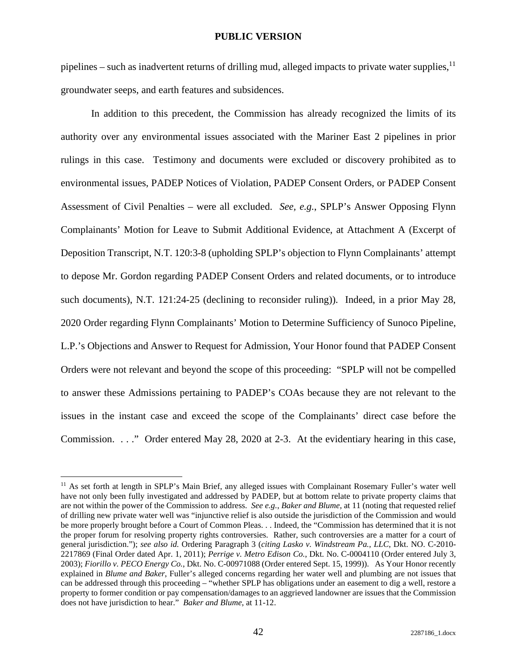pipelines – such as inadvertent returns of drilling mud, alleged impacts to private water supplies,  $11$ groundwater seeps, and earth features and subsidences.

In addition to this precedent, the Commission has already recognized the limits of its authority over any environmental issues associated with the Mariner East 2 pipelines in prior rulings in this case. Testimony and documents were excluded or discovery prohibited as to environmental issues, PADEP Notices of Violation, PADEP Consent Orders, or PADEP Consent Assessment of Civil Penalties – were all excluded. *See, e.g.*, SPLP's Answer Opposing Flynn Complainants' Motion for Leave to Submit Additional Evidence, at Attachment A (Excerpt of Deposition Transcript, N.T. 120:3-8 (upholding SPLP's objection to Flynn Complainants' attempt to depose Mr. Gordon regarding PADEP Consent Orders and related documents, or to introduce such documents), N.T. 121:24-25 (declining to reconsider ruling)). Indeed, in a prior May 28, 2020 Order regarding Flynn Complainants' Motion to Determine Sufficiency of Sunoco Pipeline, L.P.'s Objections and Answer to Request for Admission, Your Honor found that PADEP Consent Orders were not relevant and beyond the scope of this proceeding: "SPLP will not be compelled to answer these Admissions pertaining to PADEP's COAs because they are not relevant to the issues in the instant case and exceed the scope of the Complainants' direct case before the Commission. . . ." Order entered May 28, 2020 at 2-3.At the evidentiary hearing in this case,

<sup>11</sup> As set forth at length in SPLP's Main Brief, any alleged issues with Complainant Rosemary Fuller's water well have not only been fully investigated and addressed by PADEP, but at bottom relate to private property claims that are not within the power of the Commission to address. *See e.g.*, *Baker and Blume*, at 11 (noting that requested relief of drilling new private water well was "injunctive relief is also outside the jurisdiction of the Commission and would be more properly brought before a Court of Common Pleas. . . Indeed, the "Commission has determined that it is not the proper forum for resolving property rights controversies. Rather, such controversies are a matter for a court of general jurisdiction."); *see also id.* Ordering Paragraph 3 (*citing Lasko v. Windstream Pa., LLC*, Dkt. NO. C-2010- 2217869 (Final Order dated Apr. 1, 2011); *Perrige v. Metro Edison Co.*, Dkt. No. C-0004110 (Order entered July 3, 2003); *Fiorillo v. PECO Energy Co.*, Dkt. No. C-00971088 (Order entered Sept. 15, 1999)). As Your Honor recently explained in *Blume and Baker*, Fuller's alleged concerns regarding her water well and plumbing are not issues that can be addressed through this proceeding – "whether SPLP has obligations under an easement to dig a well, restore a property to former condition or pay compensation/damages to an aggrieved landowner are issues that the Commission does not have jurisdiction to hear." *Baker and Blume*, at 11-12.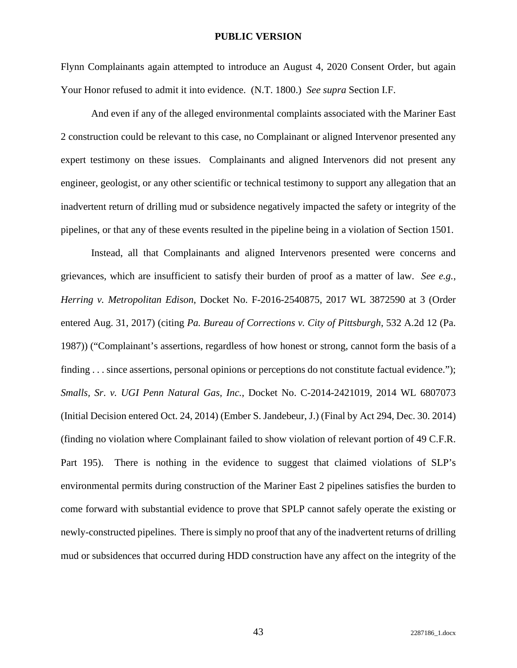Flynn Complainants again attempted to introduce an August 4, 2020 Consent Order, but again Your Honor refused to admit it into evidence. (N.T. 1800.) *See supra* Section I.F.

And even if any of the alleged environmental complaints associated with the Mariner East 2 construction could be relevant to this case, no Complainant or aligned Intervenor presented any expert testimony on these issues. Complainants and aligned Intervenors did not present any engineer, geologist, or any other scientific or technical testimony to support any allegation that an inadvertent return of drilling mud or subsidence negatively impacted the safety or integrity of the pipelines, or that any of these events resulted in the pipeline being in a violation of Section 1501.

Instead, all that Complainants and aligned Intervenors presented were concerns and grievances, which are insufficient to satisfy their burden of proof as a matter of law. *See e.g.*, *Herring v. Metropolitan Edison*, Docket No. F-2016-2540875, 2017 WL 3872590 at 3 (Order entered Aug. 31, 2017) (citing *Pa. Bureau of Corrections v. City of Pittsburgh*, 532 A.2d 12 (Pa. 1987)) ("Complainant's assertions, regardless of how honest or strong, cannot form the basis of a finding . . . since assertions, personal opinions or perceptions do not constitute factual evidence."); *Smalls, Sr*. *v. UGI Penn Natural Gas, Inc.*, Docket No. C-2014-2421019, 2014 WL 6807073 (Initial Decision entered Oct. 24, 2014) (Ember S. Jandebeur, J.) (Final by Act 294, Dec. 30. 2014) (finding no violation where Complainant failed to show violation of relevant portion of 49 C.F.R. Part 195). There is nothing in the evidence to suggest that claimed violations of SLP's environmental permits during construction of the Mariner East 2 pipelines satisfies the burden to come forward with substantial evidence to prove that SPLP cannot safely operate the existing or newly-constructed pipelines. There is simply no proof that any of the inadvertent returns of drilling mud or subsidences that occurred during HDD construction have any affect on the integrity of the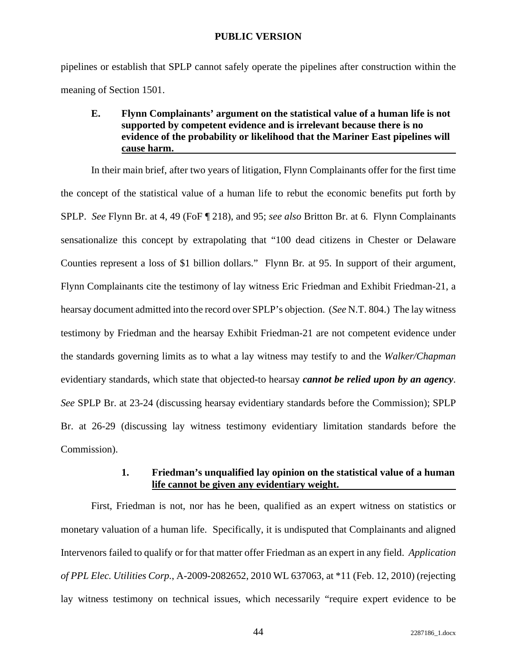pipelines or establish that SPLP cannot safely operate the pipelines after construction within the meaning of Section 1501.

# **E. Flynn Complainants' argument on the statistical value of a human life is not supported by competent evidence and is irrelevant because there is no evidence of the probability or likelihood that the Mariner East pipelines will cause harm.**

In their main brief, after two years of litigation, Flynn Complainants offer for the first time the concept of the statistical value of a human life to rebut the economic benefits put forth by SPLP. *See* Flynn Br. at 4, 49 (FoF ¶ 218), and 95; *see also* Britton Br. at 6. Flynn Complainants sensationalize this concept by extrapolating that "100 dead citizens in Chester or Delaware Counties represent a loss of \$1 billion dollars." Flynn Br*.* at 95. In support of their argument, Flynn Complainants cite the testimony of lay witness Eric Friedman and Exhibit Friedman-21, a hearsay document admitted into the record over SPLP's objection. (*See* N.T. 804.) The lay witness testimony by Friedman and the hearsay Exhibit Friedman-21 are not competent evidence under the standards governing limits as to what a lay witness may testify to and the *Walker/Chapman*  evidentiary standards, which state that objected-to hearsay *cannot be relied upon by an agency*. *See* SPLP Br. at 23-24 (discussing hearsay evidentiary standards before the Commission); SPLP Br. at 26-29 (discussing lay witness testimony evidentiary limitation standards before the Commission).

### **1. Friedman's unqualified lay opinion on the statistical value of a human life cannot be given any evidentiary weight.**

First, Friedman is not, nor has he been, qualified as an expert witness on statistics or monetary valuation of a human life. Specifically, it is undisputed that Complainants and aligned Intervenors failed to qualify or for that matter offer Friedman as an expert in any field. *Application of PPL Elec. Utilities Corp.*, A-2009-2082652, 2010 WL 637063, at \*11 (Feb. 12, 2010) (rejecting lay witness testimony on technical issues, which necessarily "require expert evidence to be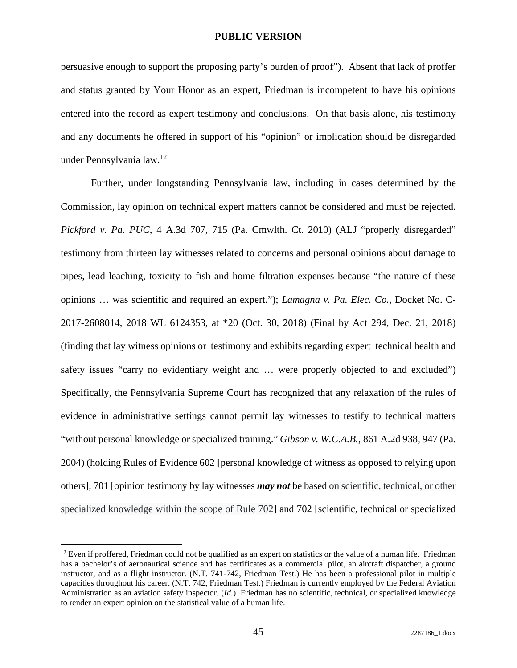persuasive enough to support the proposing party's burden of proof"). Absent that lack of proffer and status granted by Your Honor as an expert, Friedman is incompetent to have his opinions entered into the record as expert testimony and conclusions. On that basis alone, his testimony and any documents he offered in support of his "opinion" or implication should be disregarded under Pennsylvania law.<sup>12</sup>

Further, under longstanding Pennsylvania law, including in cases determined by the Commission, lay opinion on technical expert matters cannot be considered and must be rejected. *Pickford v. Pa. PUC*, 4 A.3d 707, 715 (Pa. Cmwlth. Ct. 2010) (ALJ "properly disregarded" testimony from thirteen lay witnesses related to concerns and personal opinions about damage to pipes, lead leaching, toxicity to fish and home filtration expenses because "the nature of these opinions … was scientific and required an expert."); *Lamagna v. Pa. Elec. Co.*, Docket No. C-2017-2608014, 2018 WL 6124353, at \*20 (Oct. 30, 2018) (Final by Act 294, Dec. 21, 2018) (finding that lay witness opinions or testimony and exhibits regarding expert technical health and safety issues "carry no evidentiary weight and … were properly objected to and excluded") Specifically, the Pennsylvania Supreme Court has recognized that any relaxation of the rules of evidence in administrative settings cannot permit lay witnesses to testify to technical matters "without personal knowledge or specialized training." *Gibson v. W.C.A.B.*, 861 A.2d 938, 947 (Pa. 2004) (holding Rules of Evidence 602 [personal knowledge of witness as opposed to relying upon others], 701 [opinion testimony by lay witnesses *may not* be based on scientific, technical, or other specialized knowledge within the scope of Rule 702] and 702 [scientific, technical or specialized

 $12$  Even if proffered, Friedman could not be qualified as an expert on statistics or the value of a human life. Friedman has a bachelor's of aeronautical science and has certificates as a commercial pilot, an aircraft dispatcher, a ground instructor, and as a flight instructor. (N.T. 741-742, Friedman Test.) He has been a professional pilot in multiple capacities throughout his career. (N.T. 742, Friedman Test.) Friedman is currently employed by the Federal Aviation Administration as an aviation safety inspector. (*Id.*) Friedman has no scientific, technical, or specialized knowledge to render an expert opinion on the statistical value of a human life.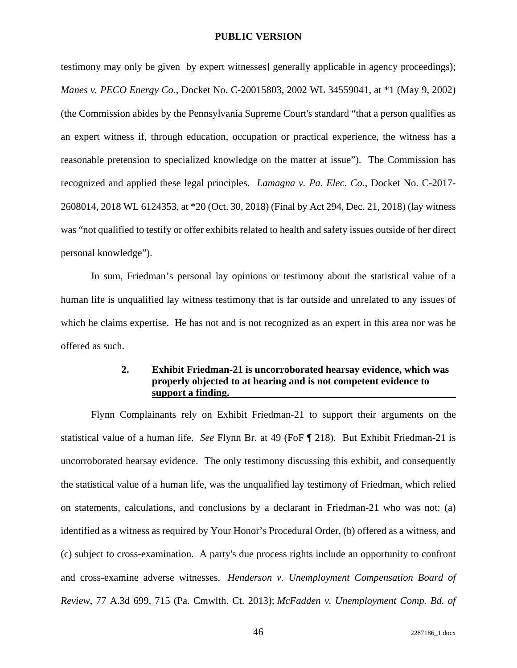testimony may only be given by expert witnesses] generally applicable in agency proceedings); *Manes v. PECO Energy Co.*, Docket No. C-20015803, 2002 WL 34559041, at \*1 (May 9, 2002) (the Commission abides by the Pennsylvania Supreme Court's standard "that a person qualifies as an expert witness if, through education, occupation or practical experience, the witness has a reasonable pretension to specialized knowledge on the matter at issue"). The Commission has recognized and applied these legal principles. *Lamagna v. Pa. Elec. Co.*, Docket No. C-2017- 2608014, 2018 WL 6124353, at \*20 (Oct. 30, 2018) (Final by Act 294, Dec. 21, 2018) (lay witness was "not qualified to testify or offer exhibits related to health and safety issues outside of her direct personal knowledge").

In sum, Friedman's personal lay opinions or testimony about the statistical value of a human life is unqualified lay witness testimony that is far outside and unrelated to any issues of which he claims expertise. He has not and is not recognized as an expert in this area nor was he offered as such.

# **2. Exhibit Friedman-21 is uncorroborated hearsay evidence, which was properly objected to at hearing and is not competent evidence to support a finding.**

Flynn Complainants rely on Exhibit Friedman-21 to support their arguments on the statistical value of a human life. *See* Flynn Br. at 49 (FoF ¶ 218). But Exhibit Friedman-21 is uncorroborated hearsay evidence. The only testimony discussing this exhibit, and consequently the statistical value of a human life, was the unqualified lay testimony of Friedman, which relied on statements, calculations, and conclusions by a declarant in Friedman-21 who was not: (a) identified as a witness as required by Your Honor's Procedural Order, (b) offered as a witness, and (c) subject to cross-examination. A party's due process rights include an opportunity to confront and cross-examine adverse witnesses. *Henderson v. Unemployment Compensation Board of Review*, 77 A.3d 699, 715 (Pa. Cmwlth. Ct. 2013); *McFadden v. Unemployment Comp. Bd. of*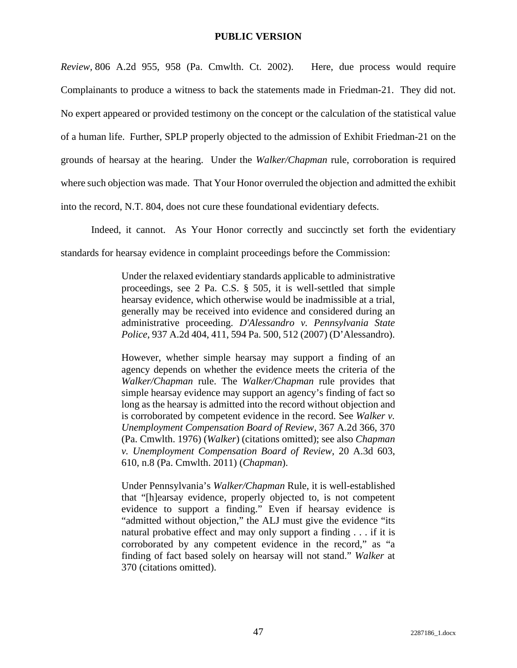*Review,* 806 A.2d 955, 958 (Pa. Cmwlth. Ct. 2002). Here, due process would require Complainants to produce a witness to back the statements made in Friedman-21. They did not. No expert appeared or provided testimony on the concept or the calculation of the statistical value of a human life. Further, SPLP properly objected to the admission of Exhibit Friedman-21 on the grounds of hearsay at the hearing. Under the *Walker/Chapman* rule, corroboration is required where such objection was made. That Your Honor overruled the objection and admitted the exhibit into the record, N.T. 804, does not cure these foundational evidentiary defects.

Indeed, it cannot. As Your Honor correctly and succinctly set forth the evidentiary

standards for hearsay evidence in complaint proceedings before the Commission:

Under the relaxed evidentiary standards applicable to administrative proceedings, see 2 Pa. C.S. § 505, it is well-settled that simple hearsay evidence, which otherwise would be inadmissible at a trial, generally may be received into evidence and considered during an administrative proceeding. *D'Alessandro v. Pennsylvania State Police*, 937 A.2d 404, 411, 594 Pa. 500, 512 (2007) (D'Alessandro).

However, whether simple hearsay may support a finding of an agency depends on whether the evidence meets the criteria of the *Walker/Chapman* rule. The *Walker/Chapman* rule provides that simple hearsay evidence may support an agency's finding of fact so long as the hearsay is admitted into the record without objection and is corroborated by competent evidence in the record. See *Walker v. Unemployment Compensation Board of Review*, 367 A.2d 366, 370 (Pa. Cmwlth. 1976) (*Walker*) (citations omitted); see also *Chapman v. Unemployment Compensation Board of Review*, 20 A.3d 603, 610, n.8 (Pa. Cmwlth. 2011) (*Chapman*).

Under Pennsylvania's *Walker/Chapman* Rule, it is well-established that "[h]earsay evidence, properly objected to, is not competent evidence to support a finding." Even if hearsay evidence is "admitted without objection," the ALJ must give the evidence "its natural probative effect and may only support a finding . . . if it is corroborated by any competent evidence in the record," as "a finding of fact based solely on hearsay will not stand." *Walker* at 370 (citations omitted).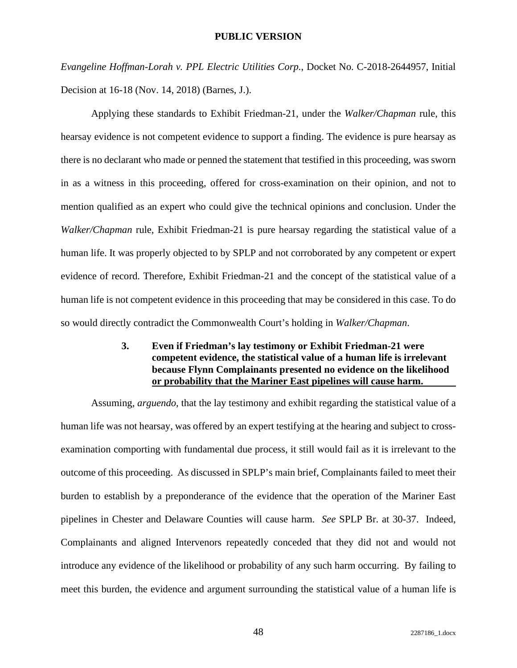*Evangeline Hoffman-Lorah v. PPL Electric Utilities Corp.*, Docket No. C-2018-2644957, Initial Decision at 16-18 (Nov. 14, 2018) (Barnes, J.).

Applying these standards to Exhibit Friedman-21, under the *Walker/Chapman* rule, this hearsay evidence is not competent evidence to support a finding. The evidence is pure hearsay as there is no declarant who made or penned the statement that testified in this proceeding, was sworn in as a witness in this proceeding, offered for cross-examination on their opinion, and not to mention qualified as an expert who could give the technical opinions and conclusion. Under the *Walker/Chapman* rule, Exhibit Friedman-21 is pure hearsay regarding the statistical value of a human life. It was properly objected to by SPLP and not corroborated by any competent or expert evidence of record. Therefore, Exhibit Friedman-21 and the concept of the statistical value of a human life is not competent evidence in this proceeding that may be considered in this case. To do so would directly contradict the Commonwealth Court's holding in *Walker/Chapman*.

# **3. Even if Friedman's lay testimony or Exhibit Friedman-21 were competent evidence, the statistical value of a human life is irrelevant because Flynn Complainants presented no evidence on the likelihood or probability that the Mariner East pipelines will cause harm.**

Assuming, *arguendo*, that the lay testimony and exhibit regarding the statistical value of a human life was not hearsay, was offered by an expert testifying at the hearing and subject to crossexamination comporting with fundamental due process, it still would fail as it is irrelevant to the outcome of this proceeding. As discussed in SPLP's main brief, Complainants failed to meet their burden to establish by a preponderance of the evidence that the operation of the Mariner East pipelines in Chester and Delaware Counties will cause harm. *See* SPLP Br. at 30-37. Indeed, Complainants and aligned Intervenors repeatedly conceded that they did not and would not introduce any evidence of the likelihood or probability of any such harm occurring. By failing to meet this burden, the evidence and argument surrounding the statistical value of a human life is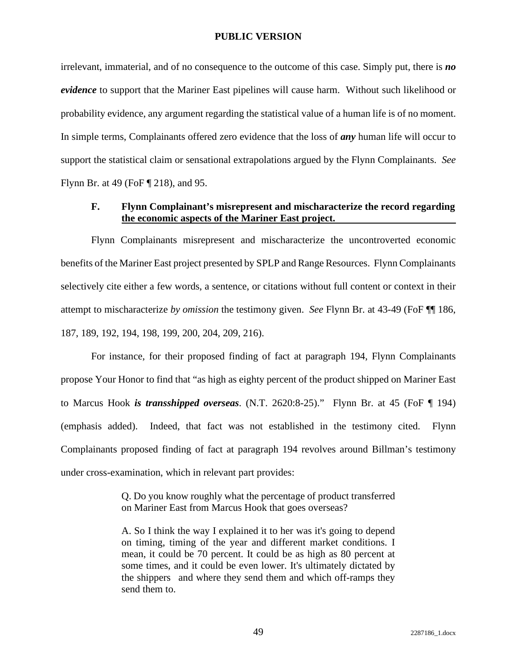irrelevant, immaterial, and of no consequence to the outcome of this case. Simply put, there is *no evidence* to support that the Mariner East pipelines will cause harm. Without such likelihood or probability evidence, any argument regarding the statistical value of a human life is of no moment. In simple terms, Complainants offered zero evidence that the loss of *any* human life will occur to support the statistical claim or sensational extrapolations argued by the Flynn Complainants. *See* Flynn Br. at 49 (FoF ¶ 218), and 95.

### **F. Flynn Complainant's misrepresent and mischaracterize the record regarding the economic aspects of the Mariner East project.**

Flynn Complainants misrepresent and mischaracterize the uncontroverted economic benefits of the Mariner East project presented by SPLP and Range Resources. Flynn Complainants selectively cite either a few words, a sentence, or citations without full content or context in their attempt to mischaracterize *by omission* the testimony given. *See* Flynn Br. at 43-49 (FoF ¶¶ 186, 187, 189, 192, 194, 198, 199, 200, 204, 209, 216).

For instance, for their proposed finding of fact at paragraph 194, Flynn Complainants propose Your Honor to find that "as high as eighty percent of the product shipped on Mariner East to Marcus Hook *is transshipped overseas*. (N.T. 2620:8-25)." Flynn Br. at 45 (FoF ¶ 194) (emphasis added). Indeed, that fact was not established in the testimony cited. Flynn Complainants proposed finding of fact at paragraph 194 revolves around Billman's testimony under cross-examination, which in relevant part provides:

> Q. Do you know roughly what the percentage of product transferred on Mariner East from Marcus Hook that goes overseas?

> A. So I think the way I explained it to her was it's going to depend on timing, timing of the year and different market conditions. I mean, it could be 70 percent. It could be as high as 80 percent at some times, and it could be even lower. It's ultimately dictated by the shippers and where they send them and which off-ramps they send them to.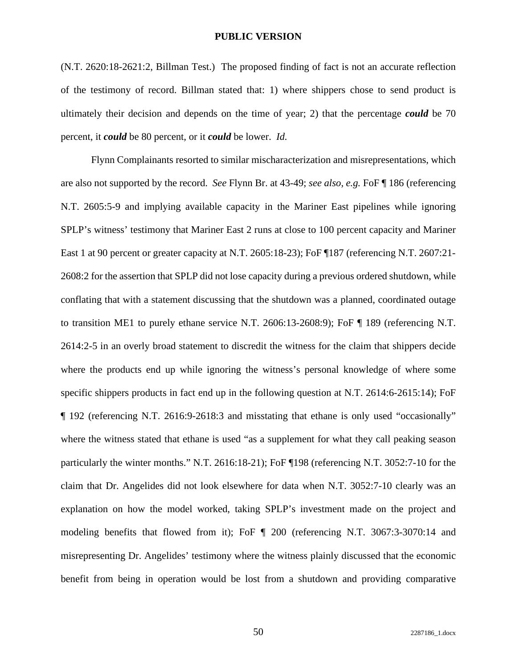(N.T. 2620:18-2621:2, Billman Test.) The proposed finding of fact is not an accurate reflection of the testimony of record. Billman stated that: 1) where shippers chose to send product is ultimately their decision and depends on the time of year; 2) that the percentage *could* be 70 percent, it *could* be 80 percent, or it *could* be lower. *Id.* 

Flynn Complainants resorted to similar mischaracterization and misrepresentations, which are also not supported by the record. *See* Flynn Br. at 43-49; *see also, e.g.* FoF ¶ 186 (referencing N.T. 2605:5-9 and implying available capacity in the Mariner East pipelines while ignoring SPLP's witness' testimony that Mariner East 2 runs at close to 100 percent capacity and Mariner East 1 at 90 percent or greater capacity at N.T. 2605:18-23); FoF ¶187 (referencing N.T. 2607:21- 2608:2 for the assertion that SPLP did not lose capacity during a previous ordered shutdown, while conflating that with a statement discussing that the shutdown was a planned, coordinated outage to transition ME1 to purely ethane service N.T. 2606:13-2608:9); FoF ¶ 189 (referencing N.T. 2614:2-5 in an overly broad statement to discredit the witness for the claim that shippers decide where the products end up while ignoring the witness's personal knowledge of where some specific shippers products in fact end up in the following question at N.T. 2614:6-2615:14); FoF ¶ 192 (referencing N.T. 2616:9-2618:3 and misstating that ethane is only used "occasionally" where the witness stated that ethane is used "as a supplement for what they call peaking season particularly the winter months." N.T. 2616:18-21); FoF ¶198 (referencing N.T. 3052:7-10 for the claim that Dr. Angelides did not look elsewhere for data when N.T. 3052:7-10 clearly was an explanation on how the model worked, taking SPLP's investment made on the project and modeling benefits that flowed from it); FoF ¶ 200 (referencing N.T. 3067:3-3070:14 and misrepresenting Dr. Angelides' testimony where the witness plainly discussed that the economic benefit from being in operation would be lost from a shutdown and providing comparative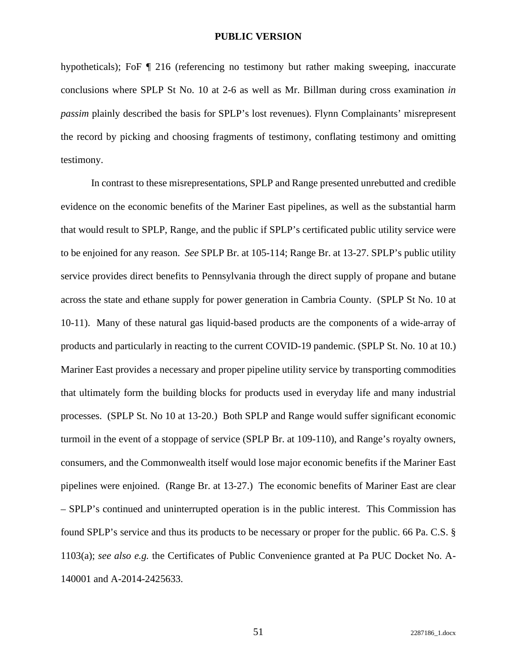hypotheticals); FoF  $\P$  216 (referencing no testimony but rather making sweeping, inaccurate conclusions where SPLP St No. 10 at 2-6 as well as Mr. Billman during cross examination *in passim* plainly described the basis for SPLP's lost revenues). Flynn Complainants' misrepresent the record by picking and choosing fragments of testimony, conflating testimony and omitting testimony.

In contrast to these misrepresentations, SPLP and Range presented unrebutted and credible evidence on the economic benefits of the Mariner East pipelines, as well as the substantial harm that would result to SPLP, Range, and the public if SPLP's certificated public utility service were to be enjoined for any reason. *See* SPLP Br. at 105-114; Range Br. at 13-27. SPLP's public utility service provides direct benefits to Pennsylvania through the direct supply of propane and butane across the state and ethane supply for power generation in Cambria County. (SPLP St No. 10 at 10-11). Many of these natural gas liquid-based products are the components of a wide-array of products and particularly in reacting to the current COVID-19 pandemic. (SPLP St. No. 10 at 10.) Mariner East provides a necessary and proper pipeline utility service by transporting commodities that ultimately form the building blocks for products used in everyday life and many industrial processes. (SPLP St. No 10 at 13-20.) Both SPLP and Range would suffer significant economic turmoil in the event of a stoppage of service (SPLP Br. at 109-110), and Range's royalty owners, consumers, and the Commonwealth itself would lose major economic benefits if the Mariner East pipelines were enjoined. (Range Br. at 13-27.) The economic benefits of Mariner East are clear – SPLP's continued and uninterrupted operation is in the public interest. This Commission has found SPLP's service and thus its products to be necessary or proper for the public. 66 Pa. C.S. § 1103(a); *see also e.g.* the Certificates of Public Convenience granted at Pa PUC Docket No. A-140001 and A-2014-2425633.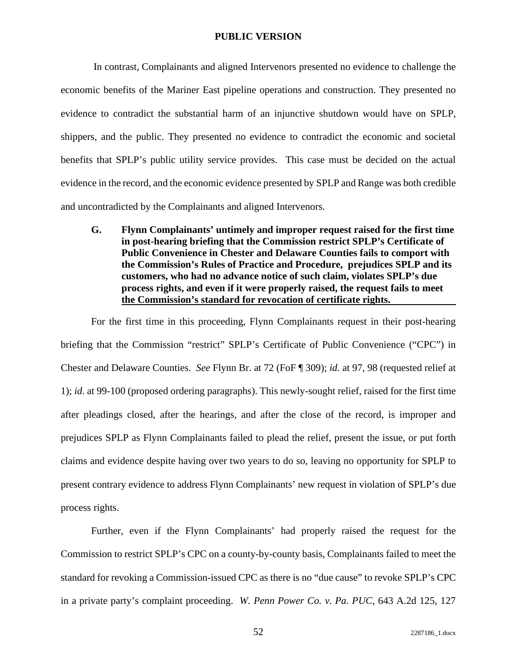In contrast, Complainants and aligned Intervenors presented no evidence to challenge the economic benefits of the Mariner East pipeline operations and construction. They presented no evidence to contradict the substantial harm of an injunctive shutdown would have on SPLP, shippers, and the public. They presented no evidence to contradict the economic and societal benefits that SPLP's public utility service provides. This case must be decided on the actual evidence in the record, and the economic evidence presented by SPLP and Range was both credible and uncontradicted by the Complainants and aligned Intervenors.

**G. Flynn Complainants' untimely and improper request raised for the first time in post-hearing briefing that the Commission restrict SPLP's Certificate of Public Convenience in Chester and Delaware Counties fails to comport with the Commission's Rules of Practice and Procedure, prejudices SPLP and its customers, who had no advance notice of such claim, violates SPLP's due process rights, and even if it were properly raised, the request fails to meet the Commission's standard for revocation of certificate rights.** 

For the first time in this proceeding, Flynn Complainants request in their post-hearing briefing that the Commission "restrict" SPLP's Certificate of Public Convenience ("CPC") in Chester and Delaware Counties. *See* Flynn Br. at 72 (FoF ¶ 309); *id.* at 97, 98 (requested relief at 1); *id.* at 99-100 (proposed ordering paragraphs). This newly-sought relief, raised for the first time after pleadings closed, after the hearings, and after the close of the record, is improper and prejudices SPLP as Flynn Complainants failed to plead the relief, present the issue, or put forth claims and evidence despite having over two years to do so, leaving no opportunity for SPLP to present contrary evidence to address Flynn Complainants' new request in violation of SPLP's due process rights.

Further, even if the Flynn Complainants' had properly raised the request for the Commission to restrict SPLP's CPC on a county-by-county basis, Complainants failed to meet the standard for revoking a Commission-issued CPC as there is no "due cause" to revoke SPLP's CPC in a private party's complaint proceeding. *W. Penn Power Co. v. Pa. PUC*, 643 A.2d 125, 127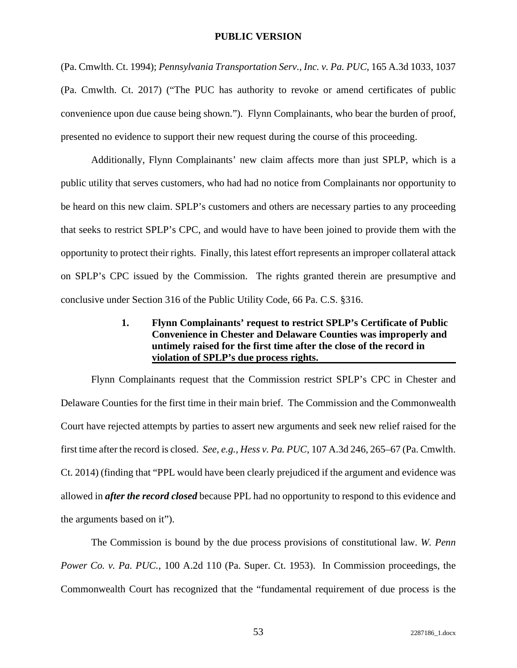(Pa. Cmwlth. Ct. 1994); *Pennsylvania Transportation Serv., Inc. v. Pa. PUC*, 165 A.3d 1033, 1037 (Pa. Cmwlth. Ct. 2017) ("The PUC has authority to revoke or amend certificates of public convenience upon due cause being shown."). Flynn Complainants, who bear the burden of proof, presented no evidence to support their new request during the course of this proceeding.

Additionally, Flynn Complainants' new claim affects more than just SPLP, which is a public utility that serves customers, who had had no notice from Complainants nor opportunity to be heard on this new claim. SPLP's customers and others are necessary parties to any proceeding that seeks to restrict SPLP's CPC, and would have to have been joined to provide them with the opportunity to protect their rights. Finally, this latest effort represents an improper collateral attack on SPLP's CPC issued by the Commission. The rights granted therein are presumptive and conclusive under Section 316 of the Public Utility Code, 66 Pa. C.S. §316.

# **1. Flynn Complainants' request to restrict SPLP's Certificate of Public Convenience in Chester and Delaware Counties was improperly and untimely raised for the first time after the close of the record in violation of SPLP's due process rights.**

Flynn Complainants request that the Commission restrict SPLP's CPC in Chester and Delaware Counties for the first time in their main brief. The Commission and the Commonwealth Court have rejected attempts by parties to assert new arguments and seek new relief raised for the first time after the record is closed. *See, e.g., Hess v. Pa. PUC*, 107 A.3d 246, 265–67 (Pa. Cmwlth. Ct. 2014) (finding that "PPL would have been clearly prejudiced if the argument and evidence was allowed in *after the record closed* because PPL had no opportunity to respond to this evidence and the arguments based on it").

The Commission is bound by the due process provisions of constitutional law. *W. Penn Power Co. v. Pa. PUC.,* 100 A.2d 110 (Pa. Super. Ct. 1953). In Commission proceedings, the Commonwealth Court has recognized that the "fundamental requirement of due process is the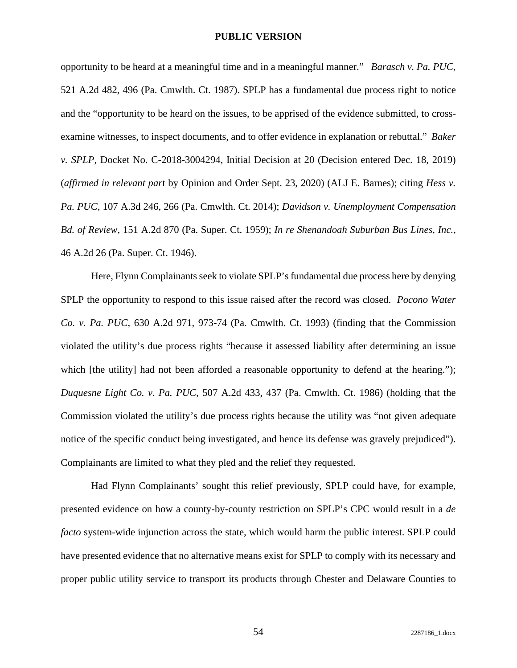opportunity to be heard at a meaningful time and in a meaningful manner." *Barasch v. Pa. PUC*, 521 A.2d 482, 496 (Pa. Cmwlth. Ct. 1987). SPLP has a fundamental due process right to notice and the "opportunity to be heard on the issues, to be apprised of the evidence submitted, to crossexamine witnesses, to inspect documents, and to offer evidence in explanation or rebuttal." *Baker v. SPLP*, Docket No. C-2018-3004294, Initial Decision at 20 (Decision entered Dec. 18, 2019) (*affirmed in relevant par*t by Opinion and Order Sept. 23, 2020) (ALJ E. Barnes); citing *Hess v. Pa. PUC*, 107 A.3d 246, 266 (Pa. Cmwlth. Ct. 2014); *Davidson v. Unemployment Compensation Bd. of Review*, 151 A.2d 870 (Pa. Super. Ct. 1959); *In re Shenandoah Suburban Bus Lines, Inc.*, 46 A.2d 26 (Pa. Super. Ct. 1946).

Here, Flynn Complainants seek to violate SPLP's fundamental due process here by denying SPLP the opportunity to respond to this issue raised after the record was closed. *Pocono Water Co. v. Pa. PUC*, 630 A.2d 971, 973-74 (Pa. Cmwlth. Ct. 1993) (finding that the Commission violated the utility's due process rights "because it assessed liability after determining an issue which [the utility] had not been afforded a reasonable opportunity to defend at the hearing."); *Duquesne Light Co. v. Pa. PUC*, 507 A.2d 433, 437 (Pa. Cmwlth. Ct. 1986) (holding that the Commission violated the utility's due process rights because the utility was "not given adequate notice of the specific conduct being investigated, and hence its defense was gravely prejudiced"). Complainants are limited to what they pled and the relief they requested.

Had Flynn Complainants' sought this relief previously, SPLP could have, for example, presented evidence on how a county-by-county restriction on SPLP's CPC would result in a *de facto* system-wide injunction across the state, which would harm the public interest. SPLP could have presented evidence that no alternative means exist for SPLP to comply with its necessary and proper public utility service to transport its products through Chester and Delaware Counties to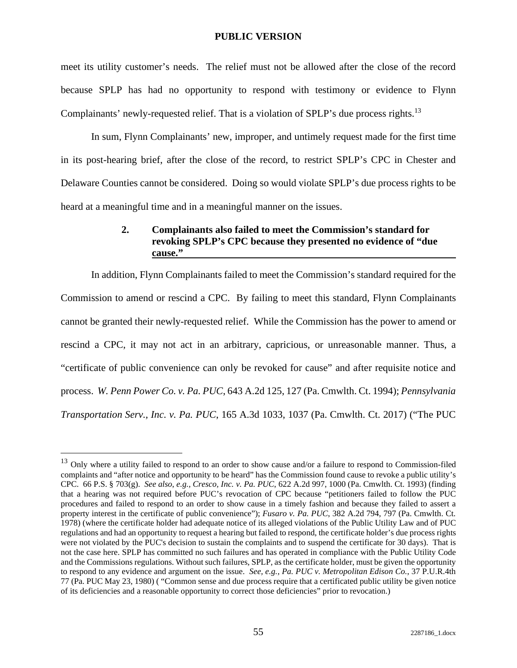meet its utility customer's needs. The relief must not be allowed after the close of the record because SPLP has had no opportunity to respond with testimony or evidence to Flynn Complainants' newly-requested relief. That is a violation of SPLP's due process rights.<sup>13</sup>

In sum, Flynn Complainants' new, improper, and untimely request made for the first time in its post-hearing brief, after the close of the record, to restrict SPLP's CPC in Chester and Delaware Counties cannot be considered. Doing so would violate SPLP's due process rights to be heard at a meaningful time and in a meaningful manner on the issues.

# **2. Complainants also failed to meet the Commission's standard for revoking SPLP's CPC because they presented no evidence of "due cause."**

In addition, Flynn Complainants failed to meet the Commission's standard required for the Commission to amend or rescind a CPC. By failing to meet this standard, Flynn Complainants cannot be granted their newly-requested relief. While the Commission has the power to amend or rescind a CPC, it may not act in an arbitrary, capricious, or unreasonable manner. Thus, a "certificate of public convenience can only be revoked for cause" and after requisite notice and process. *W. Penn Power Co. v. Pa. PUC*, 643 A.2d 125, 127 (Pa. Cmwlth. Ct. 1994); *Pennsylvania Transportation Serv., Inc. v. Pa. PUC*, 165 A.3d 1033, 1037 (Pa. Cmwlth. Ct. 2017) ("The PUC

 $13$  Only where a utility failed to respond to an order to show cause and/or a failure to respond to Commission-filed complaints and "after notice and opportunity to be heard" has the Commission found cause to revoke a public utility's CPC. 66 P.S. § 703(g). *See also*, *e.g., Cresco, Inc. v. Pa. PUC*, 622 A.2d 997, 1000 (Pa. Cmwlth. Ct. 1993) (finding that a hearing was not required before PUC's revocation of CPC because "petitioners failed to follow the PUC procedures and failed to respond to an order to show cause in a timely fashion and because they failed to assert a property interest in the certificate of public convenience"); *Fusaro v. Pa. PUC*, 382 A.2d 794, 797 (Pa. Cmwlth. Ct. 1978) (where the certificate holder had adequate notice of its alleged violations of the Public Utility Law and of PUC regulations and had an opportunity to request a hearing but failed to respond, the certificate holder's due process rights were not violated by the PUC's decision to sustain the complaints and to suspend the certificate for 30 days). That is not the case here. SPLP has committed no such failures and has operated in compliance with the Public Utility Code and the Commissions regulations. Without such failures, SPLP, as the certificate holder, must be given the opportunity to respond to any evidence and argument on the issue. *See, e.g., Pa. PUC v. Metropolitan Edison Co.*, 37 P.U.R.4th 77 (Pa. PUC May 23, 1980) ( "Common sense and due process require that a certificated public utility be given notice of its deficiencies and a reasonable opportunity to correct those deficiencies" prior to revocation.)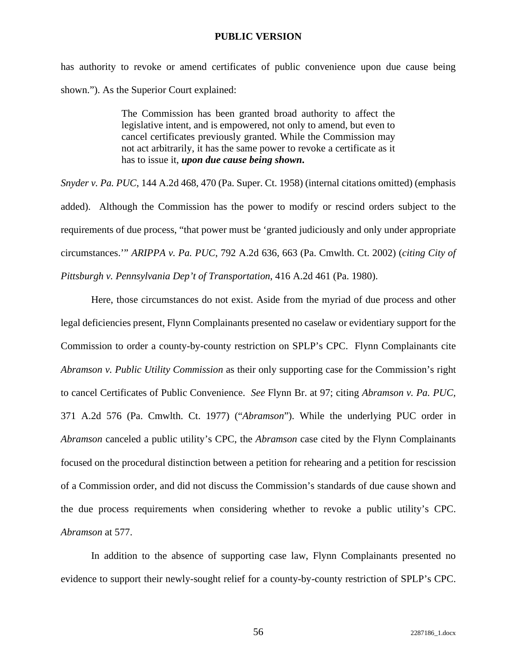has authority to revoke or amend certificates of public convenience upon due cause being shown."). As the Superior Court explained:

> The Commission has been granted broad authority to affect the legislative intent, and is empowered, not only to amend, but even to cancel certificates previously granted. While the Commission may not act arbitrarily, it has the same power to revoke a certificate as it has to issue it, *upon due cause being shown***.**

*Snyder v. Pa. PUC*, 144 A.2d 468, 470 (Pa. Super. Ct. 1958) (internal citations omitted) (emphasis added). Although the Commission has the power to modify or rescind orders subject to the requirements of due process, "that power must be 'granted judiciously and only under appropriate circumstances.'" *ARIPPA v. Pa. PUC*, 792 A.2d 636, 663 (Pa. Cmwlth. Ct. 2002) (*citing City of Pittsburgh v. Pennsylvania Dep't of Transportation*, 416 A.2d 461 (Pa. 1980).

Here, those circumstances do not exist. Aside from the myriad of due process and other legal deficiencies present, Flynn Complainants presented no caselaw or evidentiary support for the Commission to order a county-by-county restriction on SPLP's CPC. Flynn Complainants cite *Abramson v. Public Utility Commission* as their only supporting case for the Commission's right to cancel Certificates of Public Convenience. *See* Flynn Br. at 97; citing *Abramson v. Pa. PUC,* 371 A.2d 576 (Pa. Cmwlth. Ct. 1977) ("*Abramson*"). While the underlying PUC order in *Abramson* canceled a public utility's CPC, the *Abramson* case cited by the Flynn Complainants focused on the procedural distinction between a petition for rehearing and a petition for rescission of a Commission order, and did not discuss the Commission's standards of due cause shown and the due process requirements when considering whether to revoke a public utility's CPC. *Abramson* at 577.

In addition to the absence of supporting case law, Flynn Complainants presented no evidence to support their newly-sought relief for a county-by-county restriction of SPLP's CPC.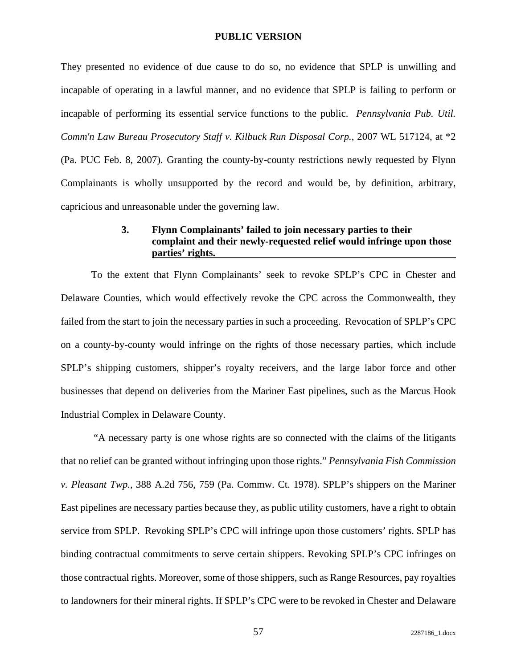They presented no evidence of due cause to do so, no evidence that SPLP is unwilling and incapable of operating in a lawful manner, and no evidence that SPLP is failing to perform or incapable of performing its essential service functions to the public. *Pennsylvania Pub. Util. Comm'n Law Bureau Prosecutory Staff v. Kilbuck Run Disposal Corp.*, 2007 WL 517124, at \*2 (Pa. PUC Feb. 8, 2007). Granting the county-by-county restrictions newly requested by Flynn Complainants is wholly unsupported by the record and would be, by definition, arbitrary, capricious and unreasonable under the governing law.

## **3. Flynn Complainants' failed to join necessary parties to their complaint and their newly-requested relief would infringe upon those parties' rights.**

To the extent that Flynn Complainants' seek to revoke SPLP's CPC in Chester and Delaware Counties, which would effectively revoke the CPC across the Commonwealth, they failed from the start to join the necessary parties in such a proceeding. Revocation of SPLP's CPC on a county-by-county would infringe on the rights of those necessary parties, which include SPLP's shipping customers, shipper's royalty receivers, and the large labor force and other businesses that depend on deliveries from the Mariner East pipelines, such as the Marcus Hook Industrial Complex in Delaware County.

 "A necessary party is one whose rights are so connected with the claims of the litigants that no relief can be granted without infringing upon those rights." *Pennsylvania Fish Commission v. Pleasant Twp.*, 388 A.2d 756, 759 (Pa. Commw. Ct. 1978). SPLP's shippers on the Mariner East pipelines are necessary parties because they, as public utility customers, have a right to obtain service from SPLP. Revoking SPLP's CPC will infringe upon those customers' rights. SPLP has binding contractual commitments to serve certain shippers. Revoking SPLP's CPC infringes on those contractual rights. Moreover, some of those shippers, such as Range Resources, pay royalties to landowners for their mineral rights. If SPLP's CPC were to be revoked in Chester and Delaware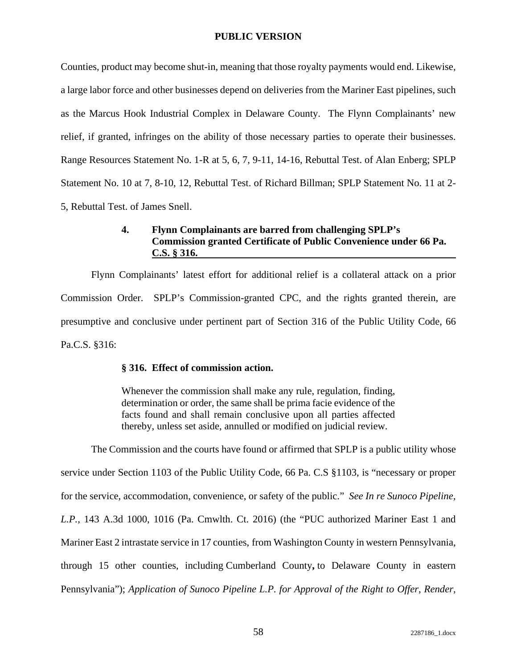Counties, product may become shut-in, meaning that those royalty payments would end. Likewise, a large labor force and other businesses depend on deliveries from the Mariner East pipelines, such as the Marcus Hook Industrial Complex in Delaware County. The Flynn Complainants' new relief, if granted, infringes on the ability of those necessary parties to operate their businesses. Range Resources Statement No. 1-R at 5, 6, 7, 9-11, 14-16, Rebuttal Test. of Alan Enberg; SPLP Statement No. 10 at 7, 8-10, 12, Rebuttal Test. of Richard Billman; SPLP Statement No. 11 at 2- 5, Rebuttal Test. of James Snell.

# **4. Flynn Complainants are barred from challenging SPLP's Commission granted Certificate of Public Convenience under 66 Pa. C.S. § 316.**

Flynn Complainants' latest effort for additional relief is a collateral attack on a prior Commission Order. SPLP's Commission-granted CPC, and the rights granted therein, are presumptive and conclusive under pertinent part of Section 316 of the Public Utility Code, 66 Pa.C.S. §316:

### **§ 316. Effect of commission action.**

Whenever the commission shall make any rule, regulation, finding, determination or order, the same shall be prima facie evidence of the facts found and shall remain conclusive upon all parties affected thereby, unless set aside, annulled or modified on judicial review.

The Commission and the courts have found or affirmed that SPLP is a public utility whose service under Section 1103 of the Public Utility Code, 66 Pa. C.S §1103, is "necessary or proper for the service, accommodation, convenience, or safety of the public." *See In re Sunoco Pipeline, L.P.*, 143 A.3d 1000, 1016 (Pa. Cmwlth. Ct. 2016) (the "PUC authorized Mariner East 1 and Mariner East 2 intrastate service in 17 counties, from Washington County in western Pennsylvania, through 15 other counties, including Cumberland County**,** to Delaware County in eastern Pennsylvania"); *Application of Sunoco Pipeline L.P. for Approval of the Right to Offer, Render,*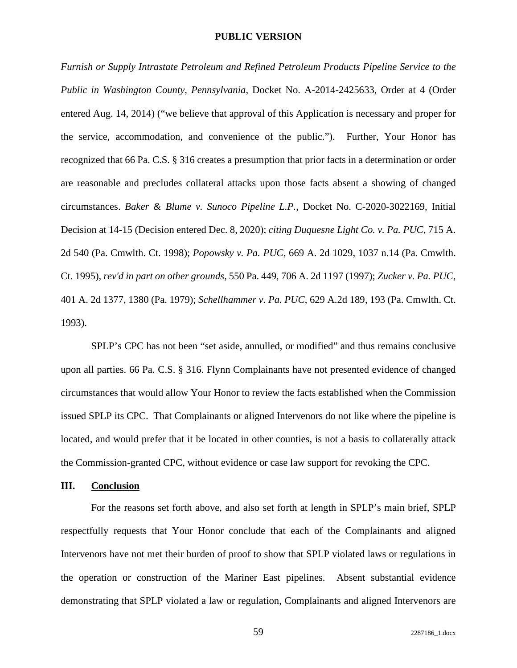*Furnish or Supply Intrastate Petroleum and Refined Petroleum Products Pipeline Service to the Public in Washington County, Pennsylvania*, Docket No. A-2014-2425633, Order at 4 (Order entered Aug. 14, 2014) ("we believe that approval of this Application is necessary and proper for the service, accommodation, and convenience of the public."). Further, Your Honor has recognized that 66 Pa. C.S. § 316 creates a presumption that prior facts in a determination or order are reasonable and precludes collateral attacks upon those facts absent a showing of changed circumstances. *Baker & Blume v. Sunoco Pipeline L.P.*, Docket No. C-2020-3022169, Initial Decision at 14-15 (Decision entered Dec. 8, 2020); *citing Duquesne Light Co. v. Pa. PUC*, 715 A. 2d 540 (Pa. Cmwlth. Ct. 1998); *Popowsky v. Pa. PUC*, 669 A. 2d 1029, 1037 n.14 (Pa. Cmwlth. Ct. 1995), *rev'd in part on other grounds,* 550 Pa. 449, 706 A. 2d 1197 (1997); *Zucker v. Pa. PUC*, 401 A. 2d 1377, 1380 (Pa. 1979); *Schellhammer v. Pa. PUC*, 629 A.2d 189, 193 (Pa. Cmwlth. Ct. 1993).

SPLP's CPC has not been "set aside, annulled, or modified" and thus remains conclusive upon all parties. 66 Pa. C.S. § 316. Flynn Complainants have not presented evidence of changed circumstances that would allow Your Honor to review the facts established when the Commission issued SPLP its CPC. That Complainants or aligned Intervenors do not like where the pipeline is located, and would prefer that it be located in other counties, is not a basis to collaterally attack the Commission-granted CPC, without evidence or case law support for revoking the CPC.

#### **III. Conclusion**

For the reasons set forth above, and also set forth at length in SPLP's main brief, SPLP respectfully requests that Your Honor conclude that each of the Complainants and aligned Intervenors have not met their burden of proof to show that SPLP violated laws or regulations in the operation or construction of the Mariner East pipelines. Absent substantial evidence demonstrating that SPLP violated a law or regulation, Complainants and aligned Intervenors are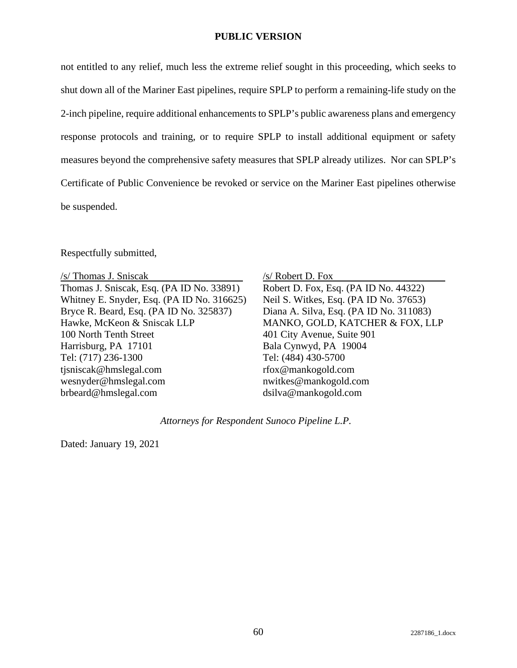#### **PUBLIC VERSION**

not entitled to any relief, much less the extreme relief sought in this proceeding, which seeks to shut down all of the Mariner East pipelines, require SPLP to perform a remaining-life study on the 2-inch pipeline, require additional enhancements to SPLP's public awareness plans and emergency response protocols and training, or to require SPLP to install additional equipment or safety measures beyond the comprehensive safety measures that SPLP already utilizes. Nor can SPLP's Certificate of Public Convenience be revoked or service on the Mariner East pipelines otherwise be suspended.

Respectfully submitted,

/s/ Thomas J. Sniscak Thomas J. Sniscak, Esq. (PA ID No. 33891) Whitney E. Snyder, Esq. (PA ID No. 316625) Bryce R. Beard, Esq. (PA ID No. 325837) Hawke, McKeon & Sniscak LLP 100 North Tenth Street Harrisburg, PA 17101 Tel: (717) 236-1300 tjsniscak@hmslegal.com wesnyder@hmslegal.com brbeard@hmslegal.com

#### /s/ Robert D. Fox

Robert D. Fox, Esq. (PA ID No. 44322) Neil S. Witkes, Esq. (PA ID No. 37653) Diana A. Silva, Esq. (PA ID No. 311083) MANKO, GOLD, KATCHER & FOX, LLP 401 City Avenue, Suite 901 Bala Cynwyd, PA 19004 Tel: (484) 430-5700 rfox@mankogold.com nwitkes@mankogold.com dsilva@mankogold.com

*Attorneys for Respondent Sunoco Pipeline L.P.* 

Dated: January 19, 2021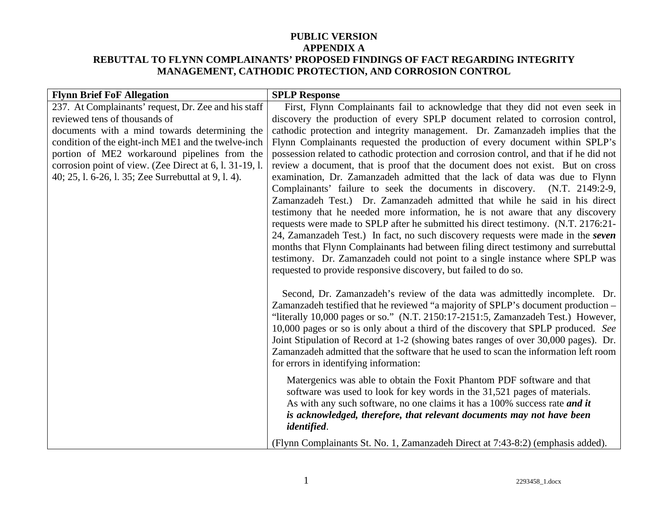| <b>Flynn Brief FoF Allegation</b>                       | <b>SPLP Response</b>                                                                                                                                                |
|---------------------------------------------------------|---------------------------------------------------------------------------------------------------------------------------------------------------------------------|
| 237. At Complainants' request, Dr. Zee and his staff    | First, Flynn Complainants fail to acknowledge that they did not even seek in                                                                                        |
| reviewed tens of thousands of                           | discovery the production of every SPLP document related to corrosion control,                                                                                       |
| documents with a mind towards determining the           | cathodic protection and integrity management. Dr. Zamanzadeh implies that the                                                                                       |
| condition of the eight-inch ME1 and the twelve-inch     | Flynn Complainants requested the production of every document within SPLP's                                                                                         |
| portion of ME2 workaround pipelines from the            | possession related to cathodic protection and corrosion control, and that if he did not                                                                             |
| corrosion point of view. (Zee Direct at 6, l. 31-19, l. | review a document, that is proof that the document does not exist. But on cross                                                                                     |
| 40; 25, 1. 6-26, 1. 35; Zee Surrebuttal at 9, 1. 4).    | examination, Dr. Zamanzadeh admitted that the lack of data was due to Flynn<br>Complainants' failure to seek the documents in discovery. (N.T. 2149:2-9,            |
|                                                         | Zamanzadeh Test.) Dr. Zamanzadeh admitted that while he said in his direct                                                                                          |
|                                                         | testimony that he needed more information, he is not aware that any discovery<br>requests were made to SPLP after he submitted his direct testimony. (N.T. 2176:21- |
|                                                         | 24, Zamanzadeh Test.) In fact, no such discovery requests were made in the seven                                                                                    |
|                                                         | months that Flynn Complainants had between filing direct testimony and surrebuttal                                                                                  |
|                                                         | testimony. Dr. Zamanzadeh could not point to a single instance where SPLP was                                                                                       |
|                                                         | requested to provide responsive discovery, but failed to do so.                                                                                                     |
|                                                         |                                                                                                                                                                     |
|                                                         | Second, Dr. Zamanzadeh's review of the data was admittedly incomplete. Dr.<br>Zamanzadeh testified that he reviewed "a majority of SPLP's document production –     |
|                                                         | "literally 10,000 pages or so." (N.T. 2150:17-2151:5, Zamanzadeh Test.) However,                                                                                    |
|                                                         | 10,000 pages or so is only about a third of the discovery that SPLP produced. See                                                                                   |
|                                                         | Joint Stipulation of Record at 1-2 (showing bates ranges of over 30,000 pages). Dr.                                                                                 |
|                                                         | Zamanzadeh admitted that the software that he used to scan the information left room                                                                                |
|                                                         | for errors in identifying information:                                                                                                                              |
|                                                         | Matergenics was able to obtain the Foxit Phantom PDF software and that<br>software was used to look for key words in the 31,521 pages of materials.                 |
|                                                         | As with any such software, no one claims it has a 100% success rate and it                                                                                          |
|                                                         | is acknowledged, therefore, that relevant documents may not have been                                                                                               |
|                                                         | <i>identified.</i>                                                                                                                                                  |
|                                                         | (Flynn Complainants St. No. 1, Zamanzadeh Direct at 7:43-8:2) (emphasis added).                                                                                     |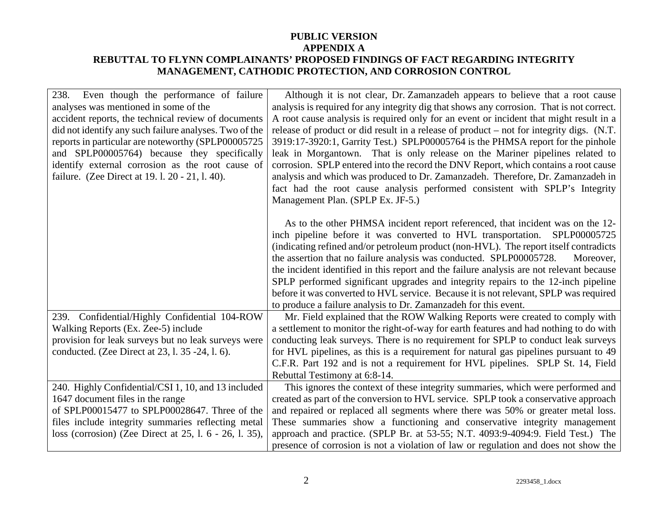| 238.<br>Even though the performance of failure<br>analyses was mentioned in some of the<br>accident reports, the technical review of documents<br>did not identify any such failure analyses. Two of the<br>reports in particular are noteworthy (SPLP00005725<br>and SPLP00005764) because they specifically<br>identify external corrosion as the root cause of | Although it is not clear, Dr. Zamanzadeh appears to believe that a root cause<br>analysis is required for any integrity dig that shows any corrosion. That is not correct.<br>A root cause analysis is required only for an event or incident that might result in a<br>release of product or did result in a release of product – not for integrity digs. (N.T.<br>3919:17-3920:1, Garrity Test.) SPLP00005764 is the PHMSA report for the pinhole<br>leak in Morgantown. That is only release on the Mariner pipelines related to<br>corrosion. SPLP entered into the record the DNV Report, which contains a root cause |
|-------------------------------------------------------------------------------------------------------------------------------------------------------------------------------------------------------------------------------------------------------------------------------------------------------------------------------------------------------------------|----------------------------------------------------------------------------------------------------------------------------------------------------------------------------------------------------------------------------------------------------------------------------------------------------------------------------------------------------------------------------------------------------------------------------------------------------------------------------------------------------------------------------------------------------------------------------------------------------------------------------|
| failure. (Zee Direct at 19. l. 20 - 21, l. 40).                                                                                                                                                                                                                                                                                                                   | analysis and which was produced to Dr. Zamanzadeh. Therefore, Dr. Zamanzadeh in<br>fact had the root cause analysis performed consistent with SPLP's Integrity<br>Management Plan. (SPLP Ex. JF-5.)                                                                                                                                                                                                                                                                                                                                                                                                                        |
|                                                                                                                                                                                                                                                                                                                                                                   | As to the other PHMSA incident report referenced, that incident was on the 12-<br>inch pipeline before it was converted to HVL transportation.<br>SPLP00005725<br>(indicating refined and/or petroleum product (non-HVL). The report itself contradicts<br>the assertion that no failure analysis was conducted. SPLP00005728.<br>Moreover,<br>the incident identified in this report and the failure analysis are not relevant because<br>SPLP performed significant upgrades and integrity repairs to the 12-inch pipeline                                                                                               |
|                                                                                                                                                                                                                                                                                                                                                                   | before it was converted to HVL service. Because it is not relevant, SPLP was required<br>to produce a failure analysis to Dr. Zamanzadeh for this event.                                                                                                                                                                                                                                                                                                                                                                                                                                                                   |
| 239. Confidential/Highly Confidential 104-ROW<br>Walking Reports (Ex. Zee-5) include<br>provision for leak surveys but no leak surveys were<br>conducted. (Zee Direct at 23, 1. 35 -24, 1. 6).                                                                                                                                                                    | Mr. Field explained that the ROW Walking Reports were created to comply with<br>a settlement to monitor the right-of-way for earth features and had nothing to do with<br>conducting leak surveys. There is no requirement for SPLP to conduct leak surveys<br>for HVL pipelines, as this is a requirement for natural gas pipelines pursuant to 49<br>C.F.R. Part 192 and is not a requirement for HVL pipelines. SPLP St. 14, Field<br>Rebuttal Testimony at 6:8-14.                                                                                                                                                     |
| 240. Highly Confidential/CSI 1, 10, and 13 included<br>1647 document files in the range<br>of SPLP00015477 to SPLP00028647. Three of the<br>files include integrity summaries reflecting metal<br>loss (corrosion) (Zee Direct at 25, 1. 6 - 26, 1. 35),                                                                                                          | This ignores the context of these integrity summaries, which were performed and<br>created as part of the conversion to HVL service. SPLP took a conservative approach<br>and repaired or replaced all segments where there was 50% or greater metal loss.<br>These summaries show a functioning and conservative integrity management<br>approach and practice. (SPLP Br. at 53-55; N.T. 4093:9-4094:9. Field Test.) The<br>presence of corrosion is not a violation of law or regulation and does not show the                                                                                                           |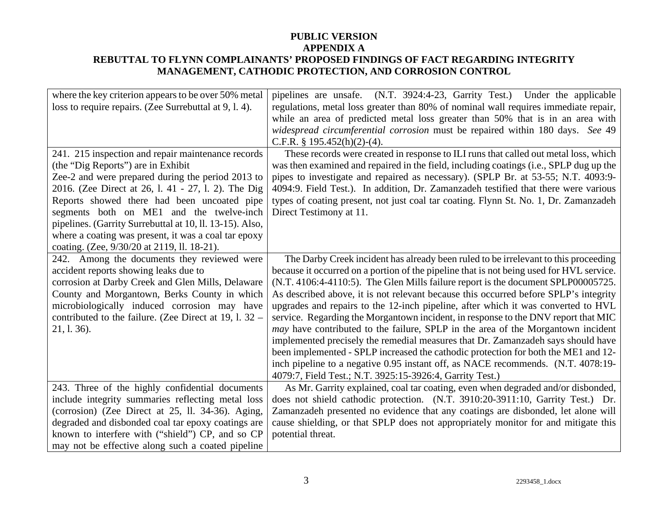| where the key criterion appears to be over 50% metal<br>loss to require repairs. (Zee Surrebuttal at 9, l. 4).                                                                                                                                                                                                                                                                                                                                                     | pipelines are unsafe. (N.T. 3924:4-23, Garrity Test.) Under the applicable<br>regulations, metal loss greater than 80% of nominal wall requires immediate repair,<br>while an area of predicted metal loss greater than 50% that is in an area with<br>widespread circumferential corrosion must be repaired within 180 days. See 49<br>C.F.R. $§$ 195.452(h)(2)-(4).                                                                                                                                                                                                                                                                                                                                                                                                                                                                                                                                                                                 |
|--------------------------------------------------------------------------------------------------------------------------------------------------------------------------------------------------------------------------------------------------------------------------------------------------------------------------------------------------------------------------------------------------------------------------------------------------------------------|-------------------------------------------------------------------------------------------------------------------------------------------------------------------------------------------------------------------------------------------------------------------------------------------------------------------------------------------------------------------------------------------------------------------------------------------------------------------------------------------------------------------------------------------------------------------------------------------------------------------------------------------------------------------------------------------------------------------------------------------------------------------------------------------------------------------------------------------------------------------------------------------------------------------------------------------------------|
| 241. 215 inspection and repair maintenance records<br>(the "Dig Reports") are in Exhibit<br>Zee-2 and were prepared during the period 2013 to<br>2016. (Zee Direct at 26, l. 41 - 27, l. 2). The Dig<br>Reports showed there had been uncoated pipe<br>segments both on ME1 and the twelve-inch<br>pipelines. (Garrity Surrebuttal at 10, ll. 13-15). Also,<br>where a coating was present, it was a coal tar epoxy<br>coating. (Zee, 9/30/20 at 2119, ll. 18-21). | These records were created in response to ILI runs that called out metal loss, which<br>was then examined and repaired in the field, including coatings (i.e., SPLP dug up the<br>pipes to investigate and repaired as necessary). (SPLP Br. at 53-55; N.T. 4093:9-<br>4094:9. Field Test.). In addition, Dr. Zamanzadeh testified that there were various<br>types of coating present, not just coal tar coating. Flynn St. No. 1, Dr. Zamanzadeh<br>Direct Testimony at 11.                                                                                                                                                                                                                                                                                                                                                                                                                                                                         |
| 242. Among the documents they reviewed were<br>accident reports showing leaks due to<br>corrosion at Darby Creek and Glen Mills, Delaware<br>County and Morgantown, Berks County in which<br>microbiologically induced corrosion may have<br>contributed to the failure. (Zee Direct at 19, l. 32 –<br>21, 1. 36).                                                                                                                                                 | The Darby Creek incident has already been ruled to be irrelevant to this proceeding<br>because it occurred on a portion of the pipeline that is not being used for HVL service.<br>(N.T. 4106:4-4110:5). The Glen Mills failure report is the document SPLP00005725.<br>As described above, it is not relevant because this occurred before SPLP's integrity<br>upgrades and repairs to the 12-inch pipeline, after which it was converted to HVL<br>service. Regarding the Morgantown incident, in response to the DNV report that MIC<br>may have contributed to the failure, SPLP in the area of the Morgantown incident<br>implemented precisely the remedial measures that Dr. Zamanzadeh says should have<br>been implemented - SPLP increased the cathodic protection for both the ME1 and 12-<br>inch pipeline to a negative 0.95 instant off, as NACE recommends. (N.T. 4078:19-<br>4079:7, Field Test.; N.T. 3925:15-3926:4, Garrity Test.) |
| 243. Three of the highly confidential documents<br>include integrity summaries reflecting metal loss<br>(corrosion) (Zee Direct at 25, ll. 34-36). Aging,<br>degraded and disbonded coal tar epoxy coatings are<br>known to interfere with ("shield") CP, and so CP<br>may not be effective along such a coated pipeline                                                                                                                                           | As Mr. Garrity explained, coal tar coating, even when degraded and/or disbonded,<br>does not shield cathodic protection. (N.T. 3910:20-3911:10, Garrity Test.) Dr.<br>Zamanzadeh presented no evidence that any coatings are disbonded, let alone will<br>cause shielding, or that SPLP does not appropriately monitor for and mitigate this<br>potential threat.                                                                                                                                                                                                                                                                                                                                                                                                                                                                                                                                                                                     |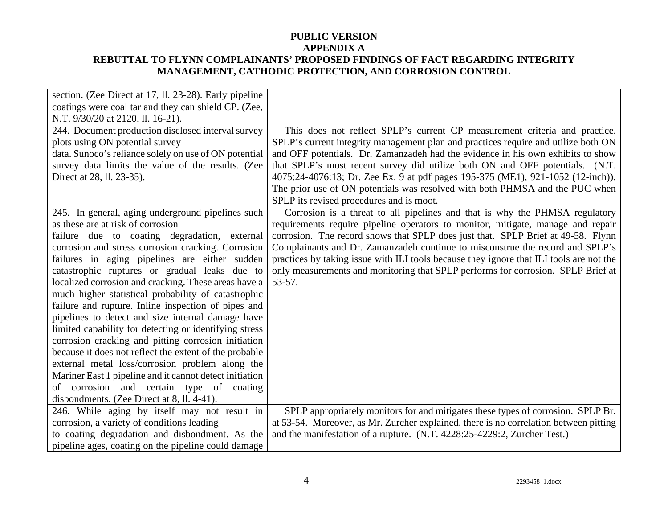| section. (Zee Direct at 17, ll. 23-28). Early pipeline  |                                                                                         |
|---------------------------------------------------------|-----------------------------------------------------------------------------------------|
| coatings were coal tar and they can shield CP. (Zee,    |                                                                                         |
| N.T. 9/30/20 at 2120, ll. 16-21).                       |                                                                                         |
| 244. Document production disclosed interval survey      | This does not reflect SPLP's current CP measurement criteria and practice.              |
| plots using ON potential survey                         | SPLP's current integrity management plan and practices require and utilize both ON      |
| data. Sunoco's reliance solely on use of ON potential   | and OFF potentials. Dr. Zamanzadeh had the evidence in his own exhibits to show         |
| survey data limits the value of the results. (Zee       | that SPLP's most recent survey did utilize both ON and OFF potentials. (N.T.            |
| Direct at 28, ll. 23-35).                               | 4075:24-4076:13; Dr. Zee Ex. 9 at pdf pages 195-375 (ME1), 921-1052 (12-inch)).         |
|                                                         | The prior use of ON potentials was resolved with both PHMSA and the PUC when            |
|                                                         | SPLP its revised procedures and is moot.                                                |
| 245. In general, aging underground pipelines such       | Corrosion is a threat to all pipelines and that is why the PHMSA regulatory             |
| as these are at risk of corrosion                       | requirements require pipeline operators to monitor, mitigate, manage and repair         |
| failure due to coating degradation, external            | corrosion. The record shows that SPLP does just that. SPLP Brief at 49-58. Flynn        |
| corrosion and stress corrosion cracking. Corrosion      | Complainants and Dr. Zamanzadeh continue to misconstrue the record and SPLP's           |
| failures in aging pipelines are either sudden           | practices by taking issue with ILI tools because they ignore that ILI tools are not the |
| catastrophic ruptures or gradual leaks due to           | only measurements and monitoring that SPLP performs for corrosion. SPLP Brief at        |
| localized corrosion and cracking. These areas have a    | $53-57.$                                                                                |
| much higher statistical probability of catastrophic     |                                                                                         |
| failure and rupture. Inline inspection of pipes and     |                                                                                         |
| pipelines to detect and size internal damage have       |                                                                                         |
| limited capability for detecting or identifying stress  |                                                                                         |
| corrosion cracking and pitting corrosion initiation     |                                                                                         |
| because it does not reflect the extent of the probable  |                                                                                         |
| external metal loss/corrosion problem along the         |                                                                                         |
| Mariner East 1 pipeline and it cannot detect initiation |                                                                                         |
| of corrosion and certain type of coating                |                                                                                         |
| disbondments. (Zee Direct at 8, ll. 4-41).              |                                                                                         |
| 246. While aging by itself may not result in            | SPLP appropriately monitors for and mitigates these types of corrosion. SPLP Br.        |
| corrosion, a variety of conditions leading              | at 53-54. Moreover, as Mr. Zurcher explained, there is no correlation between pitting   |
| to coating degradation and disbondment. As the          | and the manifestation of a rupture. (N.T. 4228:25-4229:2, Zurcher Test.)                |
| pipeline ages, coating on the pipeline could damage     |                                                                                         |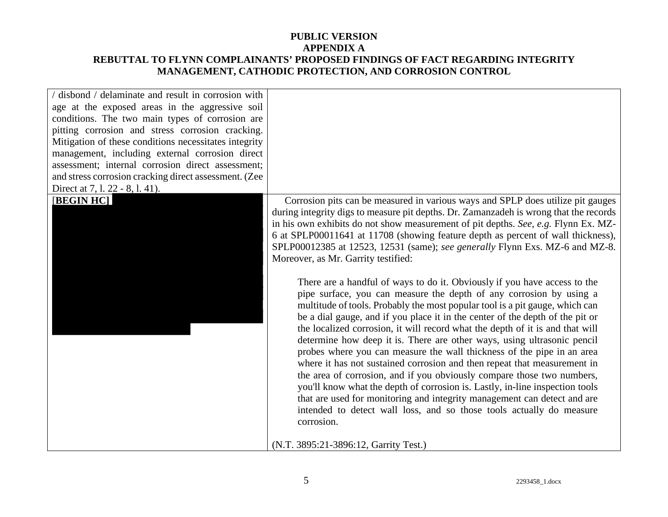| / disbond / delaminate and result in corrosion with<br>age at the exposed areas in the aggressive soil<br>conditions. The two main types of corrosion are<br>pitting corrosion and stress corrosion cracking.<br>Mitigation of these conditions necessitates integrity<br>management, including external corrosion direct<br>assessment; internal corrosion direct assessment;<br>and stress corrosion cracking direct assessment. (Zee<br>Direct at 7, 1. 22 - 8, 1. 41). |                                                                                                                                                                                                                                                                                                                                                                                                                                                                                                                                                                                                                                                                                                                                                                                                                                                                                                                                                                                                                                                                                                                                                                                                                                                                                                                                                                                                                                                                                       |
|----------------------------------------------------------------------------------------------------------------------------------------------------------------------------------------------------------------------------------------------------------------------------------------------------------------------------------------------------------------------------------------------------------------------------------------------------------------------------|---------------------------------------------------------------------------------------------------------------------------------------------------------------------------------------------------------------------------------------------------------------------------------------------------------------------------------------------------------------------------------------------------------------------------------------------------------------------------------------------------------------------------------------------------------------------------------------------------------------------------------------------------------------------------------------------------------------------------------------------------------------------------------------------------------------------------------------------------------------------------------------------------------------------------------------------------------------------------------------------------------------------------------------------------------------------------------------------------------------------------------------------------------------------------------------------------------------------------------------------------------------------------------------------------------------------------------------------------------------------------------------------------------------------------------------------------------------------------------------|
| [BEGIN HC]                                                                                                                                                                                                                                                                                                                                                                                                                                                                 | Corrosion pits can be measured in various ways and SPLP does utilize pit gauges<br>during integrity digs to measure pit depths. Dr. Zamanzadeh is wrong that the records<br>in his own exhibits do not show measurement of pit depths. See, e.g. Flynn Ex. MZ-<br>6 at SPLP00011641 at 11708 (showing feature depth as percent of wall thickness),<br>SPLP00012385 at 12523, 12531 (same); see generally Flynn Exs. MZ-6 and MZ-8.<br>Moreover, as Mr. Garrity testified:<br>There are a handful of ways to do it. Obviously if you have access to the<br>pipe surface, you can measure the depth of any corrosion by using a<br>multitude of tools. Probably the most popular tool is a pit gauge, which can<br>be a dial gauge, and if you place it in the center of the depth of the pit or<br>the localized corrosion, it will record what the depth of it is and that will<br>determine how deep it is. There are other ways, using ultrasonic pencil<br>probes where you can measure the wall thickness of the pipe in an area<br>where it has not sustained corrosion and then repeat that measurement in<br>the area of corrosion, and if you obviously compare those two numbers,<br>you'll know what the depth of corrosion is. Lastly, in-line inspection tools<br>that are used for monitoring and integrity management can detect and are<br>intended to detect wall loss, and so those tools actually do measure<br>corrosion.<br>(N.T. 3895:21-3896:12, Garrity Test.) |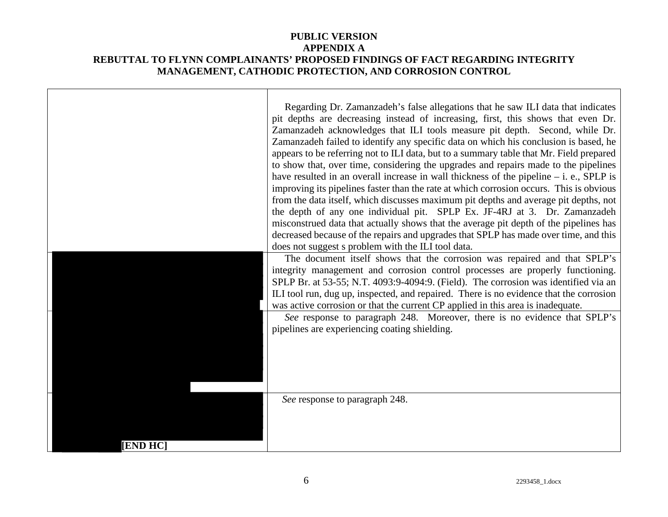|                 | Regarding Dr. Zamanzadeh's false allegations that he saw ILI data that indicates<br>pit depths are decreasing instead of increasing, first, this shows that even Dr.<br>Zamanzadeh acknowledges that ILI tools measure pit depth. Second, while Dr.<br>Zamanzadeh failed to identify any specific data on which his conclusion is based, he<br>appears to be referring not to ILI data, but to a summary table that Mr. Field prepared<br>to show that, over time, considering the upgrades and repairs made to the pipelines<br>have resulted in an overall increase in wall thickness of the pipeline $-$ i. e., SPLP is<br>improving its pipelines faster than the rate at which corrosion occurs. This is obvious<br>from the data itself, which discusses maximum pit depths and average pit depths, not<br>the depth of any one individual pit. SPLP Ex. JF-4RJ at 3. Dr. Zamanzadeh<br>misconstrued data that actually shows that the average pit depth of the pipelines has<br>decreased because of the repairs and upgrades that SPLP has made over time, and this<br>does not suggest s problem with the ILI tool data. |
|-----------------|-----------------------------------------------------------------------------------------------------------------------------------------------------------------------------------------------------------------------------------------------------------------------------------------------------------------------------------------------------------------------------------------------------------------------------------------------------------------------------------------------------------------------------------------------------------------------------------------------------------------------------------------------------------------------------------------------------------------------------------------------------------------------------------------------------------------------------------------------------------------------------------------------------------------------------------------------------------------------------------------------------------------------------------------------------------------------------------------------------------------------------------|
|                 | The document itself shows that the corrosion was repaired and that SPLP's<br>integrity management and corrosion control processes are properly functioning.<br>SPLP Br. at 53-55; N.T. 4093:9-4094:9. (Field). The corrosion was identified via an<br>ILI tool run, dug up, inspected, and repaired. There is no evidence that the corrosion<br>was active corrosion or that the current CP applied in this area is inadequate.                                                                                                                                                                                                                                                                                                                                                                                                                                                                                                                                                                                                                                                                                                   |
|                 | See response to paragraph 248. Moreover, there is no evidence that SPLP's<br>pipelines are experiencing coating shielding.                                                                                                                                                                                                                                                                                                                                                                                                                                                                                                                                                                                                                                                                                                                                                                                                                                                                                                                                                                                                        |
| <b>[END HC]</b> | See response to paragraph 248.                                                                                                                                                                                                                                                                                                                                                                                                                                                                                                                                                                                                                                                                                                                                                                                                                                                                                                                                                                                                                                                                                                    |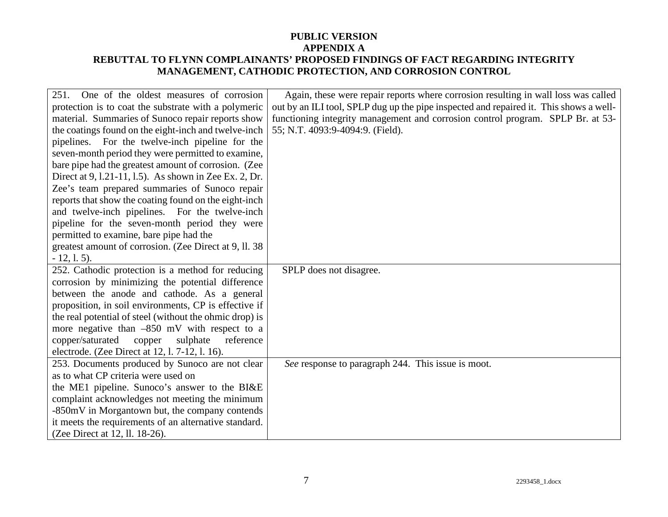| 251. One of the oldest measures of corrosion            | Again, these were repair reports where corrosion resulting in wall loss was called     |
|---------------------------------------------------------|----------------------------------------------------------------------------------------|
| protection is to coat the substrate with a polymeric    | out by an ILI tool, SPLP dug up the pipe inspected and repaired it. This shows a well- |
| material. Summaries of Sunoco repair reports show       | functioning integrity management and corrosion control program. SPLP Br. at 53-        |
| the coatings found on the eight-inch and twelve-inch    | 55; N.T. 4093:9-4094:9. (Field).                                                       |
| pipelines. For the twelve-inch pipeline for the         |                                                                                        |
| seven-month period they were permitted to examine,      |                                                                                        |
| bare pipe had the greatest amount of corrosion. (Zee    |                                                                                        |
| Direct at 9, 1.21-11, 1.5). As shown in Zee Ex. 2, Dr.  |                                                                                        |
| Zee's team prepared summaries of Sunoco repair          |                                                                                        |
| reports that show the coating found on the eight-inch   |                                                                                        |
| and twelve-inch pipelines. For the twelve-inch          |                                                                                        |
| pipeline for the seven-month period they were           |                                                                                        |
| permitted to examine, bare pipe had the                 |                                                                                        |
| greatest amount of corrosion. (Zee Direct at 9, ll. 38) |                                                                                        |
| $-12, 1.5$ .                                            |                                                                                        |
| 252. Cathodic protection is a method for reducing       | SPLP does not disagree.                                                                |
| corrosion by minimizing the potential difference        |                                                                                        |
| between the anode and cathode. As a general             |                                                                                        |
| proposition, in soil environments, CP is effective if   |                                                                                        |
| the real potential of steel (without the ohmic drop) is |                                                                                        |
| more negative than $-850$ mV with respect to a          |                                                                                        |
| copper/saturated<br>copper<br>sulphate<br>reference     |                                                                                        |
| electrode. (Zee Direct at 12, l. 7-12, l. 16).          |                                                                                        |
| 253. Documents produced by Sunoco are not clear         | See response to paragraph 244. This issue is moot.                                     |
| as to what CP criteria were used on                     |                                                                                        |
| the ME1 pipeline. Sunoco's answer to the BI&E           |                                                                                        |
| complaint acknowledges not meeting the minimum          |                                                                                        |
| -850mV in Morgantown but, the company contends          |                                                                                        |
| it meets the requirements of an alternative standard.   |                                                                                        |
| (Zee Direct at 12, ll. 18-26).                          |                                                                                        |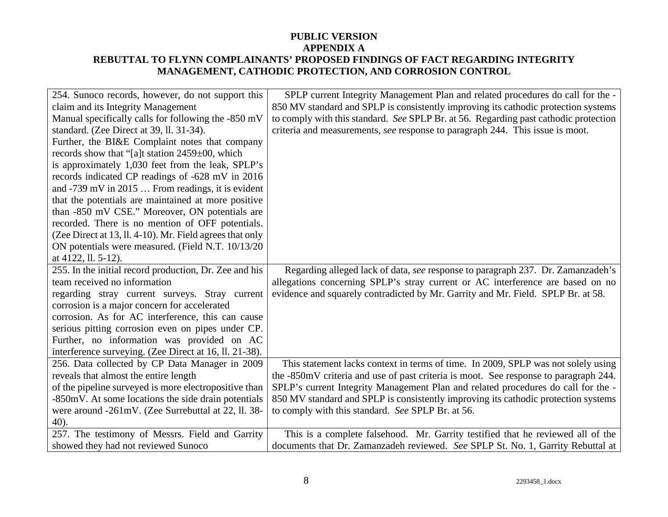| 254. Sunoco records, however, do not support this        | SPLP current Integrity Management Plan and related procedures do call for the -      |
|----------------------------------------------------------|--------------------------------------------------------------------------------------|
| claim and its Integrity Management                       | 850 MV standard and SPLP is consistently improving its cathodic protection systems   |
| Manual specifically calls for following the -850 mV      | to comply with this standard. See SPLP Br. at 56. Regarding past cathodic protection |
| standard. (Zee Direct at 39, ll. 31-34).                 | criteria and measurements, see response to paragraph 244. This issue is moot.        |
| Further, the BI&E Complaint notes that company           |                                                                                      |
| records show that "[a]t station 2459±00, which           |                                                                                      |
| is approximately 1,030 feet from the leak, SPLP's        |                                                                                      |
| records indicated CP readings of -628 mV in 2016         |                                                                                      |
| and -739 mV in 2015  From readings, it is evident        |                                                                                      |
| that the potentials are maintained at more positive      |                                                                                      |
| than -850 mV CSE." Moreover, ON potentials are           |                                                                                      |
| recorded. There is no mention of OFF potentials.         |                                                                                      |
| (Zee Direct at 13, ll. 4-10). Mr. Field agrees that only |                                                                                      |
| ON potentials were measured. (Field N.T. 10/13/20)       |                                                                                      |
| at 4122, ll. 5-12).                                      |                                                                                      |
| 255. In the initial record production, Dr. Zee and his   | Regarding alleged lack of data, see response to paragraph 237. Dr. Zamanzadeh's      |
| team received no information                             | allegations concerning SPLP's stray current or AC interference are based on no       |
| regarding stray current surveys. Stray current           | evidence and squarely contradicted by Mr. Garrity and Mr. Field. SPLP Br. at 58.     |
| corrosion is a major concern for accelerated             |                                                                                      |
| corrosion. As for AC interference, this can cause        |                                                                                      |
| serious pitting corrosion even on pipes under CP.        |                                                                                      |
| Further, no information was provided on AC               |                                                                                      |
| interference surveying. (Zee Direct at 16, ll. 21-38).   |                                                                                      |
| 256. Data collected by CP Data Manager in 2009           | This statement lacks context in terms of time. In 2009, SPLP was not solely using    |
| reveals that almost the entire length                    | the -850mV criteria and use of past criteria is moot. See response to paragraph 244. |
| of the pipeline surveyed is more electropositive than    | SPLP's current Integrity Management Plan and related procedures do call for the -    |
| -850mV. At some locations the side drain potentials      | 850 MV standard and SPLP is consistently improving its cathodic protection systems   |
| were around -261mV. (Zee Surrebuttal at 22, ll. 38-      | to comply with this standard. See SPLP Br. at 56.                                    |
| $40$ ).                                                  |                                                                                      |
| 257. The testimony of Messrs. Field and Garrity          | This is a complete falsehood. Mr. Garrity testified that he reviewed all of the      |
| showed they had not reviewed Sunoco                      | documents that Dr. Zamanzadeh reviewed. See SPLP St. No. 1, Garrity Rebuttal at      |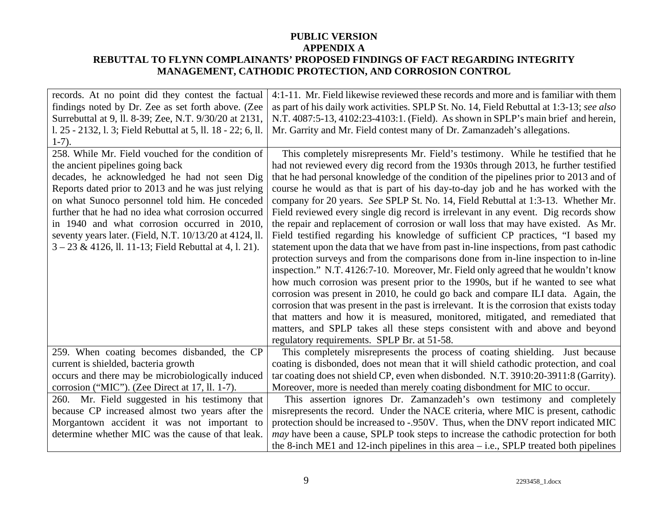| records. At no point did they contest the factual            | 4:1-11. Mr. Field likewise reviewed these records and more and is familiar with them        |
|--------------------------------------------------------------|---------------------------------------------------------------------------------------------|
| findings noted by Dr. Zee as set forth above. (Zee           | as part of his daily work activities. SPLP St. No. 14, Field Rebuttal at 1:3-13; see also   |
| Surrebuttal at 9, ll. 8-39; Zee, N.T. 9/30/20 at 2131,       | N.T. 4087:5-13, 4102:23-4103:1. (Field). As shown in SPLP's main brief and herein,          |
| 1. 25 - 2132, 1. 3; Field Rebuttal at 5, 11. 18 - 22; 6, 11. | Mr. Garrity and Mr. Field contest many of Dr. Zamanzadeh's allegations.                     |
| $1-7$ ).                                                     |                                                                                             |
| 258. While Mr. Field vouched for the condition of            | This completely misrepresents Mr. Field's testimony. While he testified that he             |
| the ancient pipelines going back                             | had not reviewed every dig record from the 1930s through 2013, he further testified         |
| decades, he acknowledged he had not seen Dig                 | that he had personal knowledge of the condition of the pipelines prior to 2013 and of       |
| Reports dated prior to 2013 and he was just relying          | course he would as that is part of his day-to-day job and he has worked with the            |
| on what Sunoco personnel told him. He conceded               | company for 20 years. See SPLP St. No. 14, Field Rebuttal at 1:3-13. Whether Mr.            |
| further that he had no idea what corrosion occurred          | Field reviewed every single dig record is irrelevant in any event. Dig records show         |
| in 1940 and what corrosion occurred in 2010,                 | the repair and replacement of corrosion or wall loss that may have existed. As Mr.          |
| seventy years later. (Field, N.T. 10/13/20 at 4124, ll.      | Field testified regarding his knowledge of sufficient CP practices, "I based my             |
| $3 - 23$ & 4126, ll. 11-13; Field Rebuttal at 4, l. 21).     | statement upon the data that we have from past in-line inspections, from past cathodic      |
|                                                              | protection surveys and from the comparisons done from in-line inspection to in-line         |
|                                                              | inspection." N.T. 4126:7-10. Moreover, Mr. Field only agreed that he wouldn't know          |
|                                                              | how much corrosion was present prior to the 1990s, but if he wanted to see what             |
|                                                              | corrosion was present in 2010, he could go back and compare ILI data. Again, the            |
|                                                              | corrosion that was present in the past is irrelevant. It is the corrosion that exists today |
|                                                              | that matters and how it is measured, monitored, mitigated, and remediated that              |
|                                                              | matters, and SPLP takes all these steps consistent with and above and beyond                |
|                                                              | regulatory requirements. SPLP Br. at 51-58.                                                 |
| 259. When coating becomes disbanded, the CP                  | This completely misrepresents the process of coating shielding. Just because                |
| current is shielded, bacteria growth                         | coating is disbonded, does not mean that it will shield cathodic protection, and coal       |
| occurs and there may be microbiologically induced            | tar coating does not shield CP, even when disbonded. N.T. 3910:20-3911:8 (Garrity).         |
| corrosion ("MIC"). (Zee Direct at 17, ll. 1-7).              | Moreover, more is needed than merely coating disbondment for MIC to occur.                  |
| 260. Mr. Field suggested in his testimony that               | This assertion ignores Dr. Zamanzadeh's own testimony and completely                        |
| because CP increased almost two years after the              | misrepresents the record. Under the NACE criteria, where MIC is present, cathodic           |
| Morgantown accident it was not important to                  | protection should be increased to -.950V. Thus, when the DNV report indicated MIC           |
| determine whether MIC was the cause of that leak.            | <i>may</i> have been a cause, SPLP took steps to increase the cathodic protection for both  |
|                                                              | the 8-inch ME1 and 12-inch pipelines in this area $-$ i.e., SPLP treated both pipelines     |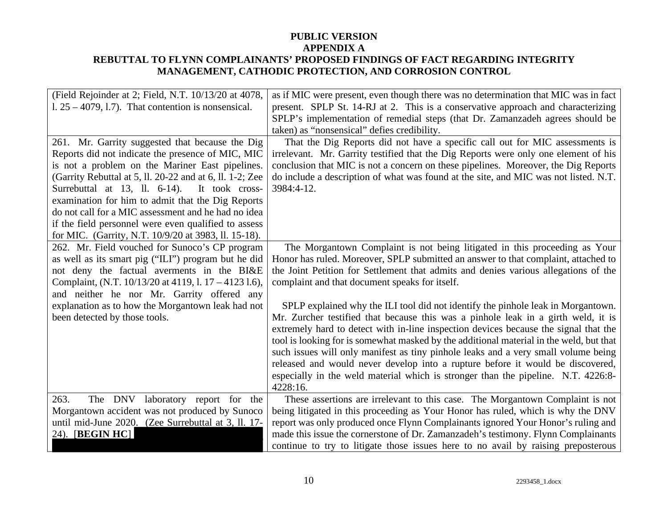| (Field Rejoinder at 2; Field, N.T. 10/13/20 at 4078,<br>$1.25 - 4079$ , 1.7). That contention is nonsensical.                                                                                                                                                                                                                                                                                                                           | as if MIC were present, even though there was no determination that MIC was in fact<br>present. SPLP St. 14-RJ at 2. This is a conservative approach and characterizing<br>SPLP's implementation of remedial steps (that Dr. Zamanzadeh agrees should be                                                                                                                                                                                                                                                                                                                                                                          |
|-----------------------------------------------------------------------------------------------------------------------------------------------------------------------------------------------------------------------------------------------------------------------------------------------------------------------------------------------------------------------------------------------------------------------------------------|-----------------------------------------------------------------------------------------------------------------------------------------------------------------------------------------------------------------------------------------------------------------------------------------------------------------------------------------------------------------------------------------------------------------------------------------------------------------------------------------------------------------------------------------------------------------------------------------------------------------------------------|
| 261. Mr. Garrity suggested that because the Dig<br>Reports did not indicate the presence of MIC, MIC<br>is not a problem on the Mariner East pipelines.<br>(Garrity Rebuttal at 5, ll. 20-22 and at 6, ll. 1-2; Zee<br>Surrebuttal at 13, ll. 6-14). It took cross-<br>examination for him to admit that the Dig Reports<br>do not call for a MIC assessment and he had no idea<br>if the field personnel were even qualified to assess | taken) as "nonsensical" defies credibility.<br>That the Dig Reports did not have a specific call out for MIC assessments is<br>irrelevant. Mr. Garrity testified that the Dig Reports were only one element of his<br>conclusion that MIC is not a concern on these pipelines. Moreover, the Dig Reports<br>do include a description of what was found at the site, and MIC was not listed. N.T.<br>3984:4-12.                                                                                                                                                                                                                    |
| for MIC. (Garrity, N.T. 10/9/20 at 3983, ll. 15-18).<br>262. Mr. Field vouched for Sunoco's CP program<br>as well as its smart pig ("ILI") program but he did<br>not deny the factual averments in the BI&E<br>Complaint, (N.T. 10/13/20 at 4119, l. 17 – 4123 1.6),<br>and neither he nor Mr. Garrity offered any                                                                                                                      | The Morgantown Complaint is not being litigated in this proceeding as Your<br>Honor has ruled. Moreover, SPLP submitted an answer to that complaint, attached to<br>the Joint Petition for Settlement that admits and denies various allegations of the<br>complaint and that document speaks for itself.                                                                                                                                                                                                                                                                                                                         |
| explanation as to how the Morgantown leak had not<br>been detected by those tools.                                                                                                                                                                                                                                                                                                                                                      | SPLP explained why the ILI tool did not identify the pinhole leak in Morgantown.<br>Mr. Zurcher testified that because this was a pinhole leak in a girth weld, it is<br>extremely hard to detect with in-line inspection devices because the signal that the<br>tool is looking for is somewhat masked by the additional material in the weld, but that<br>such issues will only manifest as tiny pinhole leaks and a very small volume being<br>released and would never develop into a rupture before it would be discovered,<br>especially in the weld material which is stronger than the pipeline. N.T. 4226:8-<br>4228:16. |
| The DNV laboratory report for the<br>263.<br>Morgantown accident was not produced by Sunoco<br>until mid-June 2020. (Zee Surrebuttal at 3, ll. 17-<br>24). [BEGIN HC]                                                                                                                                                                                                                                                                   | These assertions are irrelevant to this case. The Morgantown Complaint is not<br>being litigated in this proceeding as Your Honor has ruled, which is why the DNV<br>report was only produced once Flynn Complainants ignored Your Honor's ruling and<br>made this issue the cornerstone of Dr. Zamanzadeh's testimony. Flynn Complainants<br>continue to try to litigate those issues here to no avail by raising preposterous                                                                                                                                                                                                   |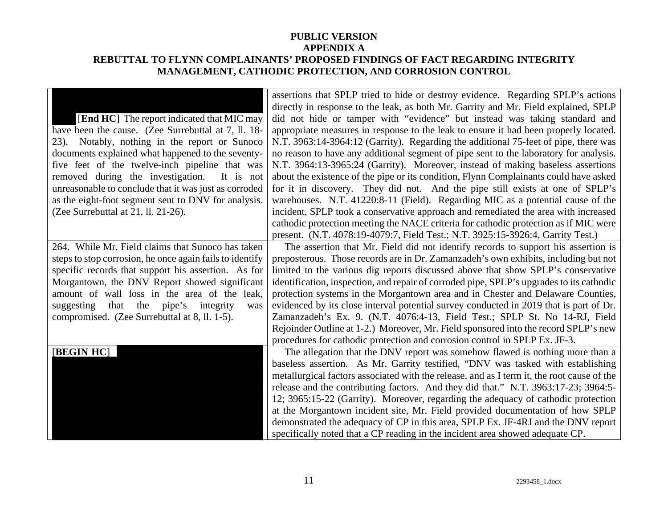|                                                          | assertions that SPLP tried to hide or destroy evidence. Regarding SPLP's actions           |
|----------------------------------------------------------|--------------------------------------------------------------------------------------------|
|                                                          | directly in response to the leak, as both Mr. Garrity and Mr. Field explained, SPLP        |
| [End HC] The report indicated that MIC may               | did not hide or tamper with "evidence" but instead was taking standard and                 |
| have been the cause. (Zee Surrebuttal at 7, ll. 18-      | appropriate measures in response to the leak to ensure it had been properly located.       |
| Notably, nothing in the report or Sunoco<br>23).         | N.T. 3963:14-3964:12 (Garrity). Regarding the additional 75-feet of pipe, there was        |
| documents explained what happened to the seventy-        | no reason to have any additional segment of pipe sent to the laboratory for analysis.      |
| five feet of the twelve-inch pipeline that was           | N.T. 3964:13-3965:24 (Garrity). Moreover, instead of making baseless assertions            |
| removed during the investigation.<br>It is not           | about the existence of the pipe or its condition, Flynn Complainants could have asked      |
| unreasonable to conclude that it was just as corroded    | for it in discovery. They did not. And the pipe still exists at one of SPLP's              |
| as the eight-foot segment sent to DNV for analysis.      | warehouses. N.T. 41220:8-11 (Field). Regarding MIC as a potential cause of the             |
| (Zee Surrebuttal at 21, ll. 21-26).                      | incident, SPLP took a conservative approach and remediated the area with increased         |
|                                                          | cathodic protection meeting the NACE criteria for cathodic protection as if MIC were       |
|                                                          | present. (N.T. 4078:19-4079:7, Field Test.; N.T. 3925:15-3926:4, Garrity Test.)            |
| 264. While Mr. Field claims that Sunoco has taken        | The assertion that Mr. Field did not identify records to support his assertion is          |
| steps to stop corrosion, he once again fails to identify | preposterous. Those records are in Dr. Zamanzadeh's own exhibits, including but not        |
| specific records that support his assertion. As for      | limited to the various dig reports discussed above that show SPLP's conservative           |
| Morgantown, the DNV Report showed significant            | identification, inspection, and repair of corroded pipe, SPLP's upgrades to its cathodic   |
| amount of wall loss in the area of the leak,             | protection systems in the Morgantown area and in Chester and Delaware Counties,            |
| the pipe's integrity<br>suggesting<br>that<br>was        | evidenced by its close interval potential survey conducted in 2019 that is part of Dr.     |
| compromised. (Zee Surrebuttal at 8, ll. 1-5).            | Zamanzadeh's Ex. 9. (N.T. 4076:4-13, Field Test.; SPLP St. No 14-RJ, Field                 |
|                                                          | Rejoinder Outline at 1-2.) Moreover, Mr. Field sponsored into the record SPLP's new        |
|                                                          | procedures for cathodic protection and corrosion control in SPLP Ex. JF-3.                 |
| <b>[BEGIN HC]</b>                                        | The allegation that the DNV report was somehow flawed is nothing more than a               |
|                                                          | baseless assertion. As Mr. Garrity testified, "DNV was tasked with establishing            |
|                                                          | metallurgical factors associated with the release, and as I term it, the root cause of the |
|                                                          | release and the contributing factors. And they did that." N.T. 3963:17-23; 3964:5-         |
|                                                          | 12; 3965:15-22 (Garrity). Moreover, regarding the adequacy of cathodic protection          |
|                                                          | at the Morgantown incident site, Mr. Field provided documentation of how SPLP              |
|                                                          | demonstrated the adequacy of CP in this area, SPLP Ex. JF-4RJ and the DNV report           |
|                                                          | specifically noted that a CP reading in the incident area showed adequate CP.              |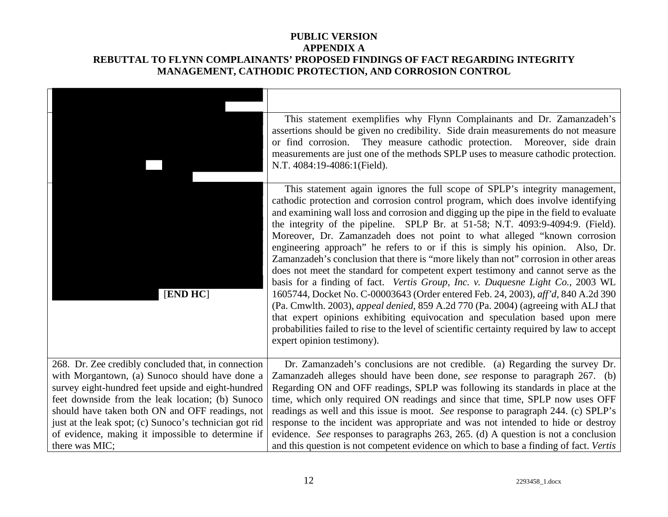|                                                                                                                                                                                                                                                                                                                                                                                                     | This statement exemplifies why Flynn Complainants and Dr. Zamanzadeh's<br>assertions should be given no credibility. Side drain measurements do not measure<br>or find corrosion. They measure cathodic protection. Moreover, side drain<br>measurements are just one of the methods SPLP uses to measure cathodic protection.<br>N.T. 4084:19-4086:1(Field).                                                                                                                                                                                                                                                                                                                                                                                                                                                                                                                                                                                                                                                                                                                                                                                                      |
|-----------------------------------------------------------------------------------------------------------------------------------------------------------------------------------------------------------------------------------------------------------------------------------------------------------------------------------------------------------------------------------------------------|--------------------------------------------------------------------------------------------------------------------------------------------------------------------------------------------------------------------------------------------------------------------------------------------------------------------------------------------------------------------------------------------------------------------------------------------------------------------------------------------------------------------------------------------------------------------------------------------------------------------------------------------------------------------------------------------------------------------------------------------------------------------------------------------------------------------------------------------------------------------------------------------------------------------------------------------------------------------------------------------------------------------------------------------------------------------------------------------------------------------------------------------------------------------|
| [END HC]                                                                                                                                                                                                                                                                                                                                                                                            | This statement again ignores the full scope of SPLP's integrity management,<br>cathodic protection and corrosion control program, which does involve identifying<br>and examining wall loss and corrosion and digging up the pipe in the field to evaluate<br>the integrity of the pipeline. SPLP Br. at 51-58; N.T. 4093:9-4094:9. (Field).<br>Moreover, Dr. Zamanzadeh does not point to what alleged "known corrosion<br>engineering approach" he refers to or if this is simply his opinion. Also, Dr.<br>Zamanzadeh's conclusion that there is "more likely than not" corrosion in other areas<br>does not meet the standard for competent expert testimony and cannot serve as the<br>basis for a finding of fact. Vertis Group, Inc. v. Duquesne Light Co., 2003 WL<br>1605744, Docket No. C-00003643 (Order entered Feb. 24, 2003), aff'd, 840 A.2d 390<br>(Pa. Cmwlth. 2003), appeal denied, 859 A.2d 770 (Pa. 2004) (agreeing with ALJ that<br>that expert opinions exhibiting equivocation and speculation based upon mere<br>probabilities failed to rise to the level of scientific certainty required by law to accept<br>expert opinion testimony). |
| 268. Dr. Zee credibly concluded that, in connection<br>with Morgantown, (a) Sunoco should have done a<br>survey eight-hundred feet upside and eight-hundred<br>feet downside from the leak location; (b) Sunoco<br>should have taken both ON and OFF readings, not<br>just at the leak spot; (c) Sunoco's technician got rid<br>of evidence, making it impossible to determine if<br>there was MIC; | Dr. Zamanzadeh's conclusions are not credible. (a) Regarding the survey Dr.<br>Zamanzadeh alleges should have been done, see response to paragraph 267. (b)<br>Regarding ON and OFF readings, SPLP was following its standards in place at the<br>time, which only required ON readings and since that time, SPLP now uses OFF<br>readings as well and this issue is moot. See response to paragraph 244. (c) SPLP's<br>response to the incident was appropriate and was not intended to hide or destroy<br>evidence. See responses to paragraphs 263, 265. (d) A question is not a conclusion<br>and this question is not competent evidence on which to base a finding of fact. Vertis                                                                                                                                                                                                                                                                                                                                                                                                                                                                           |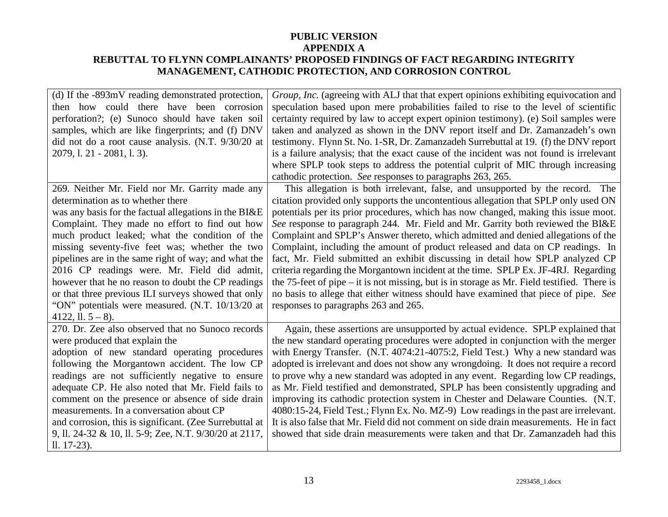| (d) If the -893mV reading demonstrated protection,<br>then how could there have been corrosion<br>perforation?; (e) Sunoco should have taken soil<br>samples, which are like fingerprints; and (f) DNV<br>did not do a root cause analysis. (N.T. 9/30/20 at<br>2079, 1. 21 - 2081, 1. 3).                                                                                                                                                                                                                                                                                                          | Group, Inc. (agreeing with ALJ that that expert opinions exhibiting equivocation and<br>speculation based upon mere probabilities failed to rise to the level of scientific<br>certainty required by law to accept expert opinion testimony). (e) Soil samples were<br>taken and analyzed as shown in the DNV report itself and Dr. Zamanzadeh's own<br>testimony. Flynn St. No. 1-SR, Dr. Zamanzadeh Surrebuttal at 19. (f) the DNV report<br>is a failure analysis; that the exact cause of the incident was not found is irrelevant<br>where SPLP took steps to address the potential culprit of MIC through increasing<br>cathodic protection. See responses to paragraphs 263, 265.                                                                                                                                                                                                                                       |
|-----------------------------------------------------------------------------------------------------------------------------------------------------------------------------------------------------------------------------------------------------------------------------------------------------------------------------------------------------------------------------------------------------------------------------------------------------------------------------------------------------------------------------------------------------------------------------------------------------|--------------------------------------------------------------------------------------------------------------------------------------------------------------------------------------------------------------------------------------------------------------------------------------------------------------------------------------------------------------------------------------------------------------------------------------------------------------------------------------------------------------------------------------------------------------------------------------------------------------------------------------------------------------------------------------------------------------------------------------------------------------------------------------------------------------------------------------------------------------------------------------------------------------------------------|
| 269. Neither Mr. Field nor Mr. Garrity made any<br>determination as to whether there<br>was any basis for the factual allegations in the BI&E<br>Complaint. They made no effort to find out how<br>much product leaked; what the condition of the<br>missing seventy-five feet was; whether the two<br>pipelines are in the same right of way; and what the<br>2016 CP readings were. Mr. Field did admit,<br>however that he no reason to doubt the CP readings<br>or that three previous ILI surveys showed that only<br>"ON" potentials were measured. (N.T. 10/13/20 at<br>4122, ll. $5 - 8$ ). | This allegation is both irrelevant, false, and unsupported by the record. The<br>citation provided only supports the uncontentious allegation that SPLP only used ON<br>potentials per its prior procedures, which has now changed, making this issue moot.<br>See response to paragraph 244. Mr. Field and Mr. Garrity both reviewed the BI&E<br>Complaint and SPLP's Answer thereto, which admitted and denied allegations of the<br>Complaint, including the amount of product released and data on CP readings. In<br>fact, Mr. Field submitted an exhibit discussing in detail how SPLP analyzed CP<br>criteria regarding the Morgantown incident at the time. SPLP Ex. JF-4RJ. Regarding<br>the 75-feet of pipe $-$ it is not missing, but is in storage as Mr. Field testified. There is<br>no basis to allege that either witness should have examined that piece of pipe. See<br>responses to paragraphs 263 and 265. |
| 270. Dr. Zee also observed that no Sunoco records<br>were produced that explain the<br>adoption of new standard operating procedures<br>following the Morgantown accident. The low CP<br>readings are not sufficiently negative to ensure<br>adequate CP. He also noted that Mr. Field fails to<br>comment on the presence or absence of side drain<br>measurements. In a conversation about CP<br>and corrosion, this is significant. (Zee Surrebuttal at<br>9, ll. 24-32 & 10, ll. 5-9; Zee, N.T. 9/30/20 at 2117,<br>$11. 17-23$ .                                                               | Again, these assertions are unsupported by actual evidence. SPLP explained that<br>the new standard operating procedures were adopted in conjunction with the merger<br>with Energy Transfer. (N.T. 4074:21-4075:2, Field Test.) Why a new standard was<br>adopted is irrelevant and does not show any wrongdoing. It does not require a record<br>to prove why a new standard was adopted in any event. Regarding low CP readings,<br>as Mr. Field testified and demonstrated, SPLP has been consistently upgrading and<br>improving its cathodic protection system in Chester and Delaware Counties. (N.T.<br>4080:15-24, Field Test.; Flynn Ex. No. MZ-9) Low readings in the past are irrelevant.<br>It is also false that Mr. Field did not comment on side drain measurements. He in fact<br>showed that side drain measurements were taken and that Dr. Zamanzadeh had this                                             |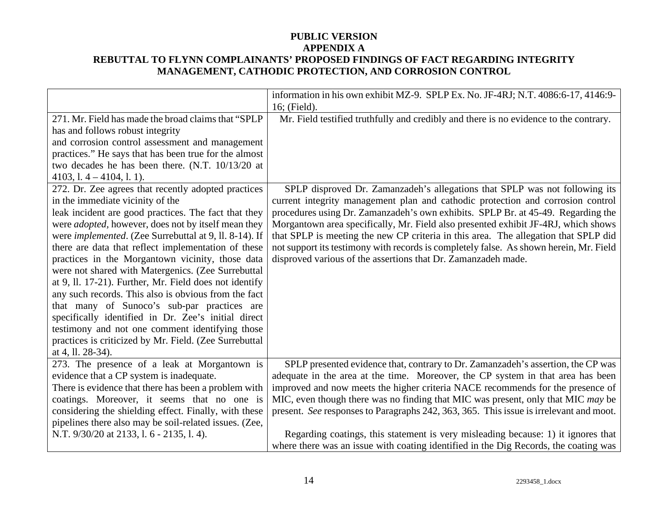|                                                                                                                                                                                                                                                                                                                                                                                                                                                                                                                                                                                                                                                                                                                                                                                                                                                                                                                                                                                                                                                                                                            | information in his own exhibit MZ-9. SPLP Ex. No. JF-4RJ; N.T. 4086:6-17, 4146:9-<br>16; (Field).                                                                                                                                                                                                                                                                                                                                                                                                                                                                                                                                                                                   |
|------------------------------------------------------------------------------------------------------------------------------------------------------------------------------------------------------------------------------------------------------------------------------------------------------------------------------------------------------------------------------------------------------------------------------------------------------------------------------------------------------------------------------------------------------------------------------------------------------------------------------------------------------------------------------------------------------------------------------------------------------------------------------------------------------------------------------------------------------------------------------------------------------------------------------------------------------------------------------------------------------------------------------------------------------------------------------------------------------------|-------------------------------------------------------------------------------------------------------------------------------------------------------------------------------------------------------------------------------------------------------------------------------------------------------------------------------------------------------------------------------------------------------------------------------------------------------------------------------------------------------------------------------------------------------------------------------------------------------------------------------------------------------------------------------------|
| 271. Mr. Field has made the broad claims that "SPLP"<br>has and follows robust integrity<br>and corrosion control assessment and management<br>practices." He says that has been true for the almost<br>two decades he has been there. (N.T. 10/13/20 at<br>$4103$ , 1. $4 - 4104$ , 1. 1).<br>272. Dr. Zee agrees that recently adopted practices<br>in the immediate vicinity of the<br>leak incident are good practices. The fact that they<br>were <i>adopted</i> , however, does not by itself mean they<br>were <i>implemented</i> . (Zee Surrebuttal at 9, ll. 8-14). If<br>there are data that reflect implementation of these<br>practices in the Morgantown vicinity, those data<br>were not shared with Matergenics. (Zee Surrebuttal<br>at 9, ll. 17-21). Further, Mr. Field does not identify<br>any such records. This also is obvious from the fact<br>that many of Sunoco's sub-par practices are<br>specifically identified in Dr. Zee's initial direct<br>testimony and not one comment identifying those<br>practices is criticized by Mr. Field. (Zee Surrebuttal<br>at 4, ll. 28-34). | Mr. Field testified truthfully and credibly and there is no evidence to the contrary.<br>SPLP disproved Dr. Zamanzadeh's allegations that SPLP was not following its<br>current integrity management plan and cathodic protection and corrosion control<br>procedures using Dr. Zamanzadeh's own exhibits. SPLP Br. at 45-49. Regarding the<br>Morgantown area specifically, Mr. Field also presented exhibit JF-4RJ, which shows<br>that SPLP is meeting the new CP criteria in this area. The allegation that SPLP did<br>not support its testimony with records is completely false. As shown herein, Mr. Field<br>disproved various of the assertions that Dr. Zamanzadeh made. |
| 273. The presence of a leak at Morgantown is<br>evidence that a CP system is inadequate.<br>There is evidence that there has been a problem with<br>coatings. Moreover, it seems that no one is<br>considering the shielding effect. Finally, with these<br>pipelines there also may be soil-related issues. (Zee,<br>N.T. 9/30/20 at 2133, l. 6 - 2135, l. 4).                                                                                                                                                                                                                                                                                                                                                                                                                                                                                                                                                                                                                                                                                                                                            | SPLP presented evidence that, contrary to Dr. Zamanzadeh's assertion, the CP was<br>adequate in the area at the time. Moreover, the CP system in that area has been<br>improved and now meets the higher criteria NACE recommends for the presence of<br>MIC, even though there was no finding that MIC was present, only that MIC may be<br>present. See responses to Paragraphs 242, 363, 365. This issue is irrelevant and moot.<br>Regarding coatings, this statement is very misleading because: 1) it ignores that<br>where there was an issue with coating identified in the Dig Records, the coating was                                                                    |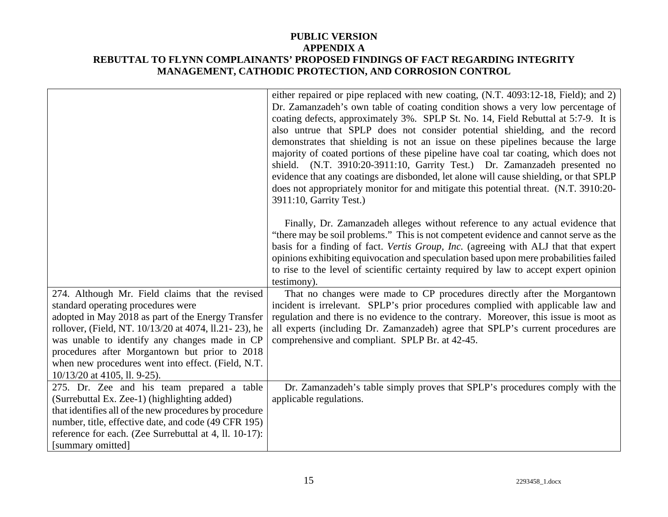|                                                                                                                                                                                                                                                                                                                                                                                                  | either repaired or pipe replaced with new coating, (N.T. 4093:12-18, Field); and 2)<br>Dr. Zamanzadeh's own table of coating condition shows a very low percentage of<br>coating defects, approximately 3%. SPLP St. No. 14, Field Rebuttal at 5:7-9. It is<br>also untrue that SPLP does not consider potential shielding, and the record<br>demonstrates that shielding is not an issue on these pipelines because the large<br>majority of coated portions of these pipeline have coal tar coating, which does not |
|--------------------------------------------------------------------------------------------------------------------------------------------------------------------------------------------------------------------------------------------------------------------------------------------------------------------------------------------------------------------------------------------------|-----------------------------------------------------------------------------------------------------------------------------------------------------------------------------------------------------------------------------------------------------------------------------------------------------------------------------------------------------------------------------------------------------------------------------------------------------------------------------------------------------------------------|
|                                                                                                                                                                                                                                                                                                                                                                                                  | shield. (N.T. 3910:20-3911:10, Garrity Test.) Dr. Zamanzadeh presented no<br>evidence that any coatings are disbonded, let alone will cause shielding, or that SPLP<br>does not appropriately monitor for and mitigate this potential threat. (N.T. 3910:20-<br>3911:10, Garrity Test.)                                                                                                                                                                                                                               |
|                                                                                                                                                                                                                                                                                                                                                                                                  | Finally, Dr. Zamanzadeh alleges without reference to any actual evidence that<br>"there may be soil problems." This is not competent evidence and cannot serve as the<br>basis for a finding of fact. Vertis Group, Inc. (agreeing with ALJ that that expert<br>opinions exhibiting equivocation and speculation based upon mere probabilities failed<br>to rise to the level of scientific certainty required by law to accept expert opinion<br>testimony).                                                         |
| 274. Although Mr. Field claims that the revised<br>standard operating procedures were<br>adopted in May 2018 as part of the Energy Transfer<br>rollover, (Field, NT. 10/13/20 at 4074, 11.21 - 23), he<br>was unable to identify any changes made in CP<br>procedures after Morgantown but prior to 2018<br>when new procedures went into effect. (Field, N.T.<br>$10/13/20$ at 4105, ll. 9-25). | That no changes were made to CP procedures directly after the Morgantown<br>incident is irrelevant. SPLP's prior procedures complied with applicable law and<br>regulation and there is no evidence to the contrary. Moreover, this issue is moot as<br>all experts (including Dr. Zamanzadeh) agree that SPLP's current procedures are<br>comprehensive and compliant. SPLP Br. at 42-45.                                                                                                                            |
| 275. Dr. Zee and his team prepared a table<br>(Surrebuttal Ex. Zee-1) (highlighting added)<br>that identifies all of the new procedures by procedure<br>number, title, effective date, and code (49 CFR 195)<br>reference for each. (Zee Surrebuttal at 4, ll. 10-17):<br>[summary omitted]                                                                                                      | Dr. Zamanzadeh's table simply proves that SPLP's procedures comply with the<br>applicable regulations.                                                                                                                                                                                                                                                                                                                                                                                                                |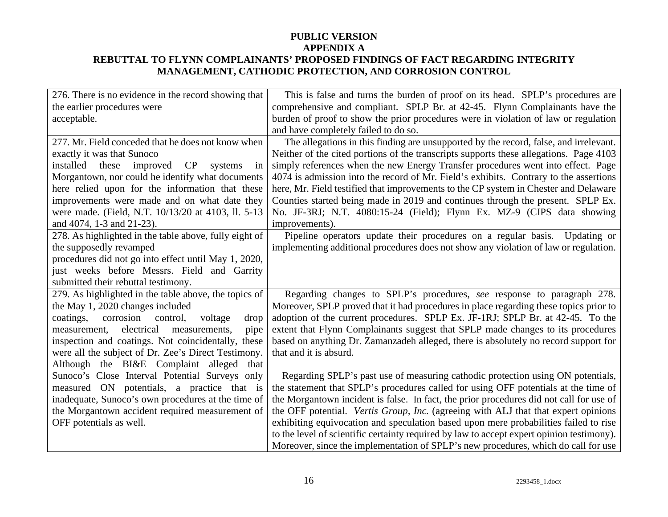| 276. There is no evidence in the record showing that   | This is false and turns the burden of proof on its head. SPLP's procedures are            |
|--------------------------------------------------------|-------------------------------------------------------------------------------------------|
| the earlier procedures were                            | comprehensive and compliant. SPLP Br. at 42-45. Flynn Complainants have the               |
| acceptable.                                            | burden of proof to show the prior procedures were in violation of law or regulation       |
|                                                        | and have completely failed to do so.                                                      |
| 277. Mr. Field conceded that he does not know when     | The allegations in this finding are unsupported by the record, false, and irrelevant.     |
| exactly it was that Sunoco                             | Neither of the cited portions of the transcripts supports these allegations. Page 4103    |
| these<br>improved<br>installed<br>CP systems<br>in     | simply references when the new Energy Transfer procedures went into effect. Page          |
| Morgantown, nor could he identify what documents       | 4074 is admission into the record of Mr. Field's exhibits. Contrary to the assertions     |
| here relied upon for the information that these        | here, Mr. Field testified that improvements to the CP system in Chester and Delaware      |
| improvements were made and on what date they           | Counties started being made in 2019 and continues through the present. SPLP Ex.           |
| were made. (Field, N.T. 10/13/20 at 4103, ll. 5-13     | No. JF-3RJ; N.T. 4080:15-24 (Field); Flynn Ex. MZ-9 (CIPS data showing                    |
| and 4074, 1-3 and 21-23).                              | improvements).                                                                            |
| 278. As highlighted in the table above, fully eight of | Pipeline operators update their procedures on a regular basis. Updating or                |
| the supposedly revamped                                | implementing additional procedures does not show any violation of law or regulation.      |
| procedures did not go into effect until May 1, 2020,   |                                                                                           |
| just weeks before Messrs. Field and Garrity            |                                                                                           |
| submitted their rebuttal testimony.                    |                                                                                           |
| 279. As highlighted in the table above, the topics of  | Regarding changes to SPLP's procedures, see response to paragraph 278.                    |
| the May 1, 2020 changes included                       | Moreover, SPLP proved that it had procedures in place regarding these topics prior to     |
| coatings, corrosion control,<br>voltage<br>drop        | adoption of the current procedures. SPLP Ex. JF-1RJ; SPLP Br. at 42-45. To the            |
| electrical<br>measurements,<br>measurement,<br>pipe    | extent that Flynn Complainants suggest that SPLP made changes to its procedures           |
| inspection and coatings. Not coincidentally, these     | based on anything Dr. Zamanzadeh alleged, there is absolutely no record support for       |
| were all the subject of Dr. Zee's Direct Testimony.    | that and it is absurd.                                                                    |
| Although the BI&E Complaint alleged that               |                                                                                           |
| Sunoco's Close Interval Potential Surveys only         | Regarding SPLP's past use of measuring cathodic protection using ON potentials,           |
| measured ON potentials, a practice that is             | the statement that SPLP's procedures called for using OFF potentials at the time of       |
| inadequate, Sunoco's own procedures at the time of     | the Morgantown incident is false. In fact, the prior procedures did not call for use of   |
| the Morgantown accident required measurement of        | the OFF potential. Vertis Group, Inc. (agreeing with ALJ that that expert opinions        |
| OFF potentials as well.                                | exhibiting equivocation and speculation based upon mere probabilities failed to rise      |
|                                                        | to the level of scientific certainty required by law to accept expert opinion testimony). |
|                                                        | Moreover, since the implementation of SPLP's new procedures, which do call for use        |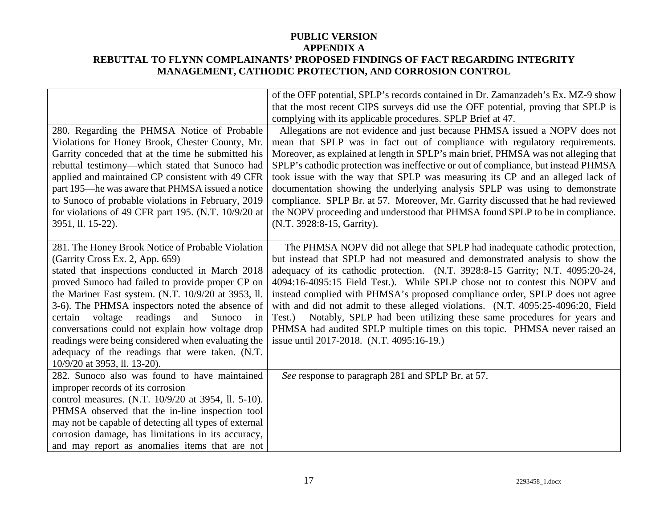|                                                       | of the OFF potential, SPLP's records contained in Dr. Zamanzadeh's Ex. MZ-9 show   |
|-------------------------------------------------------|------------------------------------------------------------------------------------|
|                                                       | that the most recent CIPS surveys did use the OFF potential, proving that SPLP is  |
|                                                       | complying with its applicable procedures. SPLP Brief at 47.                        |
| 280. Regarding the PHMSA Notice of Probable           | Allegations are not evidence and just because PHMSA issued a NOPV does not         |
| Violations for Honey Brook, Chester County, Mr.       | mean that SPLP was in fact out of compliance with regulatory requirements.         |
| Garrity conceded that at the time he submitted his    | Moreover, as explained at length in SPLP's main brief, PHMSA was not alleging that |
| rebuttal testimony—which stated that Sunoco had       | SPLP's cathodic protection was ineffective or out of compliance, but instead PHMSA |
| applied and maintained CP consistent with 49 CFR      | took issue with the way that SPLP was measuring its CP and an alleged lack of      |
| part 195—he was aware that PHMSA issued a notice      | documentation showing the underlying analysis SPLP was using to demonstrate        |
| to Sunoco of probable violations in February, 2019    | compliance. SPLP Br. at 57. Moreover, Mr. Garrity discussed that he had reviewed   |
| for violations of 49 CFR part 195. (N.T. 10/9/20 at   | the NOPV proceeding and understood that PHMSA found SPLP to be in compliance.      |
| 3951, ll. 15-22).                                     | (N.T. 3928:8-15, Garrity).                                                         |
|                                                       |                                                                                    |
| 281. The Honey Brook Notice of Probable Violation     | The PHMSA NOPV did not allege that SPLP had inadequate cathodic protection,        |
| (Garrity Cross Ex. 2, App. 659)                       | but instead that SPLP had not measured and demonstrated analysis to show the       |
| stated that inspections conducted in March 2018       | adequacy of its cathodic protection. (N.T. 3928:8-15 Garrity; N.T. 4095:20-24,     |
| proved Sunoco had failed to provide proper CP on      | 4094:16-4095:15 Field Test.). While SPLP chose not to contest this NOPV and        |
| the Mariner East system. (N.T. 10/9/20 at 3953, ll.   | instead complied with PHMSA's proposed compliance order, SPLP does not agree       |
| 3-6). The PHMSA inspectors noted the absence of       | with and did not admit to these alleged violations. (N.T. 4095:25-4096:20, Field   |
| certain voltage readings and<br>Sunoco<br>in          | Notably, SPLP had been utilizing these same procedures for years and<br>Test.)     |
| conversations could not explain how voltage drop      | PHMSA had audited SPLP multiple times on this topic. PHMSA never raised an         |
| readings were being considered when evaluating the    | issue until 2017-2018. (N.T. 4095:16-19.)                                          |
| adequacy of the readings that were taken. (N.T.       |                                                                                    |
| 10/9/20 at 3953, ll. 13-20).                          |                                                                                    |
| 282. Sunoco also was found to have maintained         | See response to paragraph 281 and SPLP Br. at 57.                                  |
| improper records of its corrosion                     |                                                                                    |
| control measures. (N.T. 10/9/20 at 3954, ll. 5-10).   |                                                                                    |
| PHMSA observed that the in-line inspection tool       |                                                                                    |
| may not be capable of detecting all types of external |                                                                                    |
| corrosion damage, has limitations in its accuracy,    |                                                                                    |
| and may report as anomalies items that are not        |                                                                                    |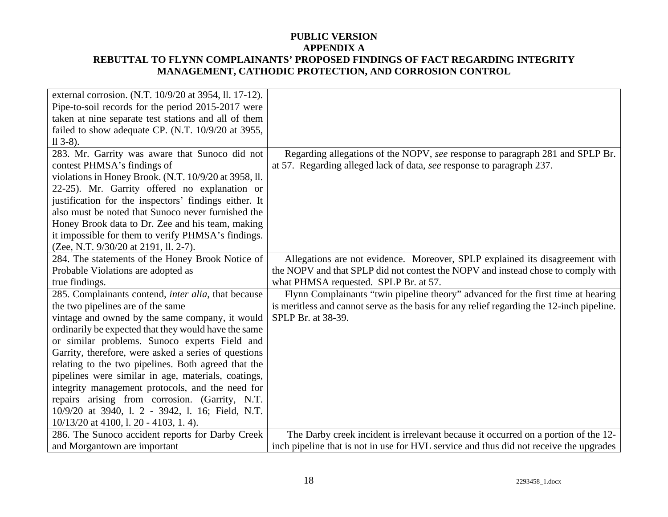| external corrosion. (N.T. 10/9/20 at 3954, ll. 17-12). |                                                                                           |
|--------------------------------------------------------|-------------------------------------------------------------------------------------------|
| Pipe-to-soil records for the period 2015-2017 were     |                                                                                           |
| taken at nine separate test stations and all of them   |                                                                                           |
| failed to show adequate CP. (N.T. 10/9/20 at 3955,     |                                                                                           |
| $113-8$ ).                                             |                                                                                           |
| 283. Mr. Garrity was aware that Sunoco did not         | Regarding allegations of the NOPV, see response to paragraph 281 and SPLP Br.             |
| contest PHMSA's findings of                            | at 57. Regarding alleged lack of data, see response to paragraph 237.                     |
| violations in Honey Brook. (N.T. 10/9/20 at 3958, ll.  |                                                                                           |
| 22-25). Mr. Garrity offered no explanation or          |                                                                                           |
| justification for the inspectors' findings either. It  |                                                                                           |
| also must be noted that Sunoco never furnished the     |                                                                                           |
| Honey Brook data to Dr. Zee and his team, making       |                                                                                           |
| it impossible for them to verify PHMSA's findings.     |                                                                                           |
| (Zee, N.T. 9/30/20 at 2191, ll. 2-7).                  |                                                                                           |
| 284. The statements of the Honey Brook Notice of       | Allegations are not evidence. Moreover, SPLP explained its disagreement with              |
| Probable Violations are adopted as                     | the NOPV and that SPLP did not contest the NOPV and instead chose to comply with          |
| true findings.                                         | what PHMSA requested. SPLP Br. at 57.                                                     |
| 285. Complainants contend, inter alia, that because    | Flynn Complainants "twin pipeline theory" advanced for the first time at hearing          |
| the two pipelines are of the same                      | is meritless and cannot serve as the basis for any relief regarding the 12-inch pipeline. |
| vintage and owned by the same company, it would        | SPLP Br. at 38-39.                                                                        |
| ordinarily be expected that they would have the same   |                                                                                           |
| or similar problems. Sunoco experts Field and          |                                                                                           |
| Garrity, therefore, were asked a series of questions   |                                                                                           |
| relating to the two pipelines. Both agreed that the    |                                                                                           |
| pipelines were similar in age, materials, coatings,    |                                                                                           |
| integrity management protocols, and the need for       |                                                                                           |
| repairs arising from corrosion. (Garrity, N.T.         |                                                                                           |
| 10/9/20 at 3940, 1. 2 - 3942, 1. 16; Field, N.T.       |                                                                                           |
| $10/13/20$ at 4100, 1. 20 - 4103, 1. 4).               |                                                                                           |
| 286. The Sunoco accident reports for Darby Creek       | The Darby creek incident is irrelevant because it occurred on a portion of the 12-        |
| and Morgantown are important                           | inch pipeline that is not in use for HVL service and thus did not receive the upgrades    |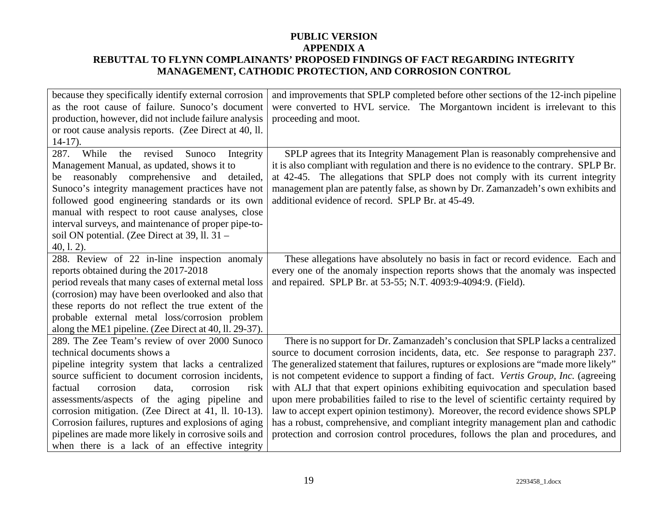| because they specifically identify external corrosion  | and improvements that SPLP completed before other sections of the 12-inch pipeline      |
|--------------------------------------------------------|-----------------------------------------------------------------------------------------|
| as the root cause of failure. Sunoco's document        | were converted to HVL service. The Morgantown incident is irrelevant to this            |
| production, however, did not include failure analysis  | proceeding and moot.                                                                    |
| or root cause analysis reports. (Zee Direct at 40, ll. |                                                                                         |
| $14-17$ ).                                             |                                                                                         |
| 287.<br>While<br>Sunoco<br>revised<br>Integrity<br>the | SPLP agrees that its Integrity Management Plan is reasonably comprehensive and          |
| Management Manual, as updated, shows it to             | it is also compliant with regulation and there is no evidence to the contrary. SPLP Br. |
| reasonably comprehensive and<br>detailed,<br>be        | at 42-45. The allegations that SPLP does not comply with its current integrity          |
| Sunoco's integrity management practices have not       | management plan are patently false, as shown by Dr. Zamanzadeh's own exhibits and       |
| followed good engineering standards or its own         | additional evidence of record. SPLP Br. at 45-49.                                       |
| manual with respect to root cause analyses, close      |                                                                                         |
| interval surveys, and maintenance of proper pipe-to-   |                                                                                         |
| soil ON potential. (Zee Direct at 39, ll. 31 –         |                                                                                         |
| $40, 1.2$ ).                                           |                                                                                         |
| 288. Review of 22 in-line inspection anomaly           | These allegations have absolutely no basis in fact or record evidence. Each and         |
| reports obtained during the 2017-2018                  | every one of the anomaly inspection reports shows that the anomaly was inspected        |
| period reveals that many cases of external metal loss  | and repaired. SPLP Br. at 53-55; N.T. 4093:9-4094:9. (Field).                           |
| (corrosion) may have been overlooked and also that     |                                                                                         |
| these reports do not reflect the true extent of the    |                                                                                         |
| probable external metal loss/corrosion problem         |                                                                                         |
| along the ME1 pipeline. (Zee Direct at 40, ll. 29-37). |                                                                                         |
| 289. The Zee Team's review of over 2000 Sunoco         | There is no support for Dr. Zamanzadeh's conclusion that SPLP lacks a centralized       |
| technical documents shows a                            | source to document corrosion incidents, data, etc. See response to paragraph 237.       |
| pipeline integrity system that lacks a centralized     | The generalized statement that failures, ruptures or explosions are "made more likely"  |
| source sufficient to document corrosion incidents,     | is not competent evidence to support a finding of fact. Vertis Group, Inc. (agreeing    |
| factual<br>corrosion<br>corrosion<br>data,<br>risk     | with ALJ that that expert opinions exhibiting equivocation and speculation based        |
| assessments/aspects of the aging pipeline and          | upon mere probabilities failed to rise to the level of scientific certainty required by |
| corrosion mitigation. (Zee Direct at 41, ll. 10-13).   | law to accept expert opinion testimony). Moreover, the record evidence shows SPLP       |
| Corrosion failures, ruptures and explosions of aging   | has a robust, comprehensive, and compliant integrity management plan and cathodic       |
| pipelines are made more likely in corrosive soils and  | protection and corrosion control procedures, follows the plan and procedures, and       |
| when there is a lack of an effective integrity         |                                                                                         |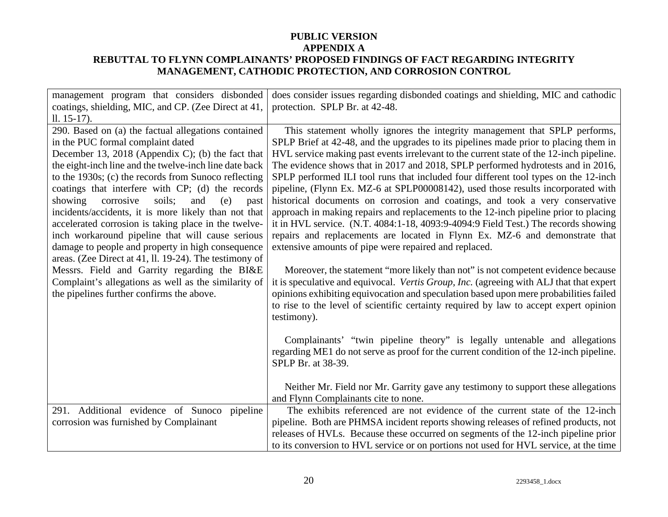| management program that considers disbonded            | does consider issues regarding disbonded coatings and shielding, MIC and cathodic                            |
|--------------------------------------------------------|--------------------------------------------------------------------------------------------------------------|
| coatings, shielding, MIC, and CP. (Zee Direct at 41,   | protection. SPLP Br. at 42-48.                                                                               |
| $11. 15-17$ .                                          |                                                                                                              |
| 290. Based on (a) the factual allegations contained    | This statement wholly ignores the integrity management that SPLP performs,                                   |
| in the PUC formal complaint dated                      | SPLP Brief at 42-48, and the upgrades to its pipelines made prior to placing them in                         |
| December 13, 2018 (Appendix C); (b) the fact that      | HVL service making past events irrelevant to the current state of the 12-inch pipeline.                      |
| the eight-inch line and the twelve-inch line date back | The evidence shows that in 2017 and 2018, SPLP performed hydrotests and in 2016,                             |
| to the 1930s; (c) the records from Sunoco reflecting   | SPLP performed ILI tool runs that included four different tool types on the 12-inch                          |
| coatings that interfere with CP; (d) the records       | pipeline, (Flynn Ex. MZ-6 at SPLP00008142), used those results incorporated with                             |
| soils;<br>showing<br>corrosive<br>and<br>(e)<br>past   | historical documents on corrosion and coatings, and took a very conservative                                 |
| incidents/accidents, it is more likely than not that   | approach in making repairs and replacements to the 12-inch pipeline prior to placing                         |
| accelerated corrosion is taking place in the twelve-   | it in HVL service. (N.T. 4084:1-18, 4093:9-4094:9 Field Test.) The records showing                           |
| inch workaround pipeline that will cause serious       | repairs and replacements are located in Flynn Ex. MZ-6 and demonstrate that                                  |
| damage to people and property in high consequence      | extensive amounts of pipe were repaired and replaced.                                                        |
| areas. (Zee Direct at 41, ll. 19-24). The testimony of |                                                                                                              |
| Messrs. Field and Garrity regarding the BI&E           | Moreover, the statement "more likely than not" is not competent evidence because                             |
| Complaint's allegations as well as the similarity of   | it is speculative and equivocal. Vertis Group, Inc. (agreeing with ALJ that that expert                      |
| the pipelines further confirms the above.              | opinions exhibiting equivocation and speculation based upon mere probabilities failed                        |
|                                                        | to rise to the level of scientific certainty required by law to accept expert opinion                        |
|                                                        | testimony).                                                                                                  |
|                                                        |                                                                                                              |
|                                                        | Complainants' "twin pipeline theory" is legally untenable and allegations                                    |
|                                                        | regarding ME1 do not serve as proof for the current condition of the 12-inch pipeline.<br>SPLP Br. at 38-39. |
|                                                        |                                                                                                              |
|                                                        | Neither Mr. Field nor Mr. Garrity gave any testimony to support these allegations                            |
|                                                        | and Flynn Complainants cite to none.                                                                         |
| 291. Additional evidence of Sunoco pipeline            | The exhibits referenced are not evidence of the current state of the 12-inch                                 |
| corrosion was furnished by Complainant                 | pipeline. Both are PHMSA incident reports showing releases of refined products, not                          |
|                                                        | releases of HVLs. Because these occurred on segments of the 12-inch pipeline prior                           |
|                                                        | to its conversion to HVL service or on portions not used for HVL service, at the time                        |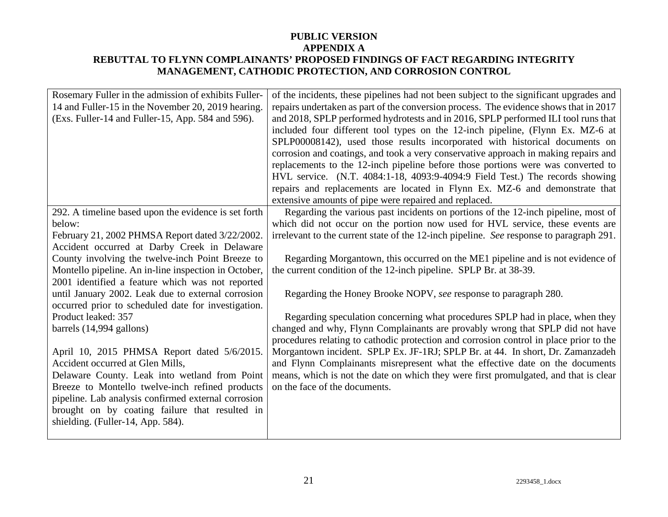| Rosemary Fuller in the admission of exhibits Fuller-<br>14 and Fuller-15 in the November 20, 2019 hearing.<br>(Exs. Fuller-14 and Fuller-15, App. 584 and 596). | of the incidents, these pipelines had not been subject to the significant upgrades and<br>repairs undertaken as part of the conversion process. The evidence shows that in 2017<br>and 2018, SPLP performed hydrotests and in 2016, SPLP performed ILI tool runs that<br>included four different tool types on the 12-inch pipeline, (Flynn Ex. MZ-6 at<br>SPLP00008142), used those results incorporated with historical documents on<br>corrosion and coatings, and took a very conservative approach in making repairs and<br>replacements to the 12-inch pipeline before those portions were was converted to<br>HVL service. (N.T. 4084:1-18, 4093:9-4094:9 Field Test.) The records showing<br>repairs and replacements are located in Flynn Ex. MZ-6 and demonstrate that<br>extensive amounts of pipe were repaired and replaced. |
|-----------------------------------------------------------------------------------------------------------------------------------------------------------------|-------------------------------------------------------------------------------------------------------------------------------------------------------------------------------------------------------------------------------------------------------------------------------------------------------------------------------------------------------------------------------------------------------------------------------------------------------------------------------------------------------------------------------------------------------------------------------------------------------------------------------------------------------------------------------------------------------------------------------------------------------------------------------------------------------------------------------------------|
| 292. A timeline based upon the evidence is set forth                                                                                                            | Regarding the various past incidents on portions of the 12-inch pipeline, most of                                                                                                                                                                                                                                                                                                                                                                                                                                                                                                                                                                                                                                                                                                                                                         |
| below:                                                                                                                                                          | which did not occur on the portion now used for HVL service, these events are                                                                                                                                                                                                                                                                                                                                                                                                                                                                                                                                                                                                                                                                                                                                                             |
| February 21, 2002 PHMSA Report dated 3/22/2002.                                                                                                                 | irrelevant to the current state of the 12-inch pipeline. See response to paragraph 291.                                                                                                                                                                                                                                                                                                                                                                                                                                                                                                                                                                                                                                                                                                                                                   |
| Accident occurred at Darby Creek in Delaware                                                                                                                    |                                                                                                                                                                                                                                                                                                                                                                                                                                                                                                                                                                                                                                                                                                                                                                                                                                           |
| County involving the twelve-inch Point Breeze to                                                                                                                | Regarding Morgantown, this occurred on the ME1 pipeline and is not evidence of                                                                                                                                                                                                                                                                                                                                                                                                                                                                                                                                                                                                                                                                                                                                                            |
| Montello pipeline. An in-line inspection in October,                                                                                                            | the current condition of the 12-inch pipeline. SPLP Br. at 38-39.                                                                                                                                                                                                                                                                                                                                                                                                                                                                                                                                                                                                                                                                                                                                                                         |
| 2001 identified a feature which was not reported                                                                                                                |                                                                                                                                                                                                                                                                                                                                                                                                                                                                                                                                                                                                                                                                                                                                                                                                                                           |
| until January 2002. Leak due to external corrosion                                                                                                              | Regarding the Honey Brooke NOPV, see response to paragraph 280.                                                                                                                                                                                                                                                                                                                                                                                                                                                                                                                                                                                                                                                                                                                                                                           |
| occurred prior to scheduled date for investigation.                                                                                                             |                                                                                                                                                                                                                                                                                                                                                                                                                                                                                                                                                                                                                                                                                                                                                                                                                                           |
| Product leaked: 357                                                                                                                                             | Regarding speculation concerning what procedures SPLP had in place, when they                                                                                                                                                                                                                                                                                                                                                                                                                                                                                                                                                                                                                                                                                                                                                             |
| barrels (14,994 gallons)                                                                                                                                        | changed and why, Flynn Complainants are provably wrong that SPLP did not have                                                                                                                                                                                                                                                                                                                                                                                                                                                                                                                                                                                                                                                                                                                                                             |
|                                                                                                                                                                 | procedures relating to cathodic protection and corrosion control in place prior to the                                                                                                                                                                                                                                                                                                                                                                                                                                                                                                                                                                                                                                                                                                                                                    |
| April 10, 2015 PHMSA Report dated 5/6/2015.                                                                                                                     | Morgantown incident. SPLP Ex. JF-1RJ; SPLP Br. at 44. In short, Dr. Zamanzadeh                                                                                                                                                                                                                                                                                                                                                                                                                                                                                                                                                                                                                                                                                                                                                            |
| Accident occurred at Glen Mills,                                                                                                                                | and Flynn Complainants misrepresent what the effective date on the documents                                                                                                                                                                                                                                                                                                                                                                                                                                                                                                                                                                                                                                                                                                                                                              |
| Delaware County. Leak into wetland from Point                                                                                                                   | means, which is not the date on which they were first promulgated, and that is clear                                                                                                                                                                                                                                                                                                                                                                                                                                                                                                                                                                                                                                                                                                                                                      |
| Breeze to Montello twelve-inch refined products                                                                                                                 | on the face of the documents.                                                                                                                                                                                                                                                                                                                                                                                                                                                                                                                                                                                                                                                                                                                                                                                                             |
| pipeline. Lab analysis confirmed external corrosion                                                                                                             |                                                                                                                                                                                                                                                                                                                                                                                                                                                                                                                                                                                                                                                                                                                                                                                                                                           |
| brought on by coating failure that resulted in                                                                                                                  |                                                                                                                                                                                                                                                                                                                                                                                                                                                                                                                                                                                                                                                                                                                                                                                                                                           |
| shielding. (Fuller-14, App. 584).                                                                                                                               |                                                                                                                                                                                                                                                                                                                                                                                                                                                                                                                                                                                                                                                                                                                                                                                                                                           |
|                                                                                                                                                                 |                                                                                                                                                                                                                                                                                                                                                                                                                                                                                                                                                                                                                                                                                                                                                                                                                                           |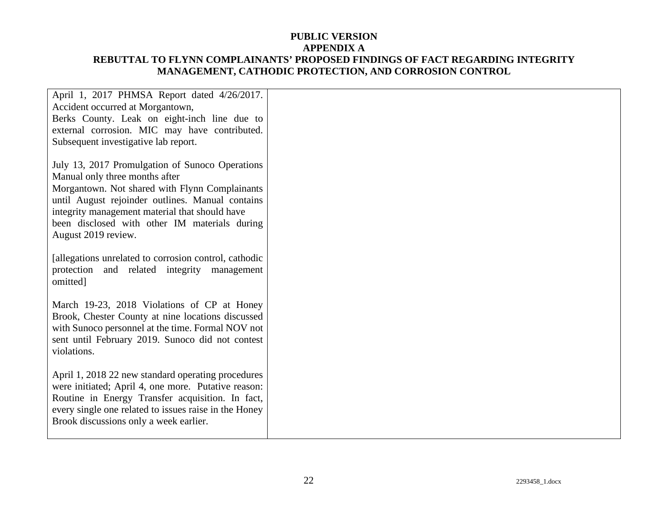| April 1, 2017 PHMSA Report dated 4/26/2017.<br>Accident occurred at Morgantown,<br>Berks County. Leak on eight-inch line due to<br>external corrosion. MIC may have contributed.<br>Subsequent investigative lab report.                                                                                          |  |
|-------------------------------------------------------------------------------------------------------------------------------------------------------------------------------------------------------------------------------------------------------------------------------------------------------------------|--|
| July 13, 2017 Promulgation of Sunoco Operations<br>Manual only three months after<br>Morgantown. Not shared with Flynn Complainants<br>until August rejoinder outlines. Manual contains<br>integrity management material that should have<br>been disclosed with other IM materials during<br>August 2019 review. |  |
| [allegations unrelated to corrosion control, cathodic<br>protection and related integrity management<br>omitted]                                                                                                                                                                                                  |  |
| March 19-23, 2018 Violations of CP at Honey<br>Brook, Chester County at nine locations discussed<br>with Sunoco personnel at the time. Formal NOV not<br>sent until February 2019. Sunoco did not contest<br>violations.                                                                                          |  |
| April 1, 2018 22 new standard operating procedures<br>were initiated; April 4, one more. Putative reason:<br>Routine in Energy Transfer acquisition. In fact,<br>every single one related to issues raise in the Honey<br>Brook discussions only a week earlier.                                                  |  |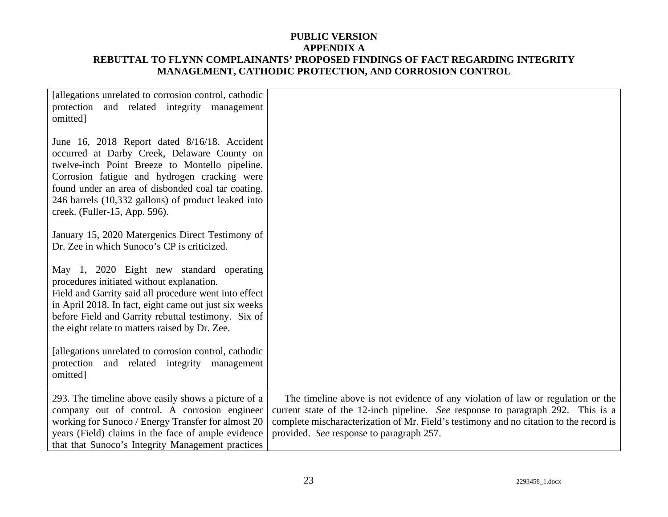| [allegations unrelated to corrosion control, cathodic<br>protection and related integrity management<br>omitted]                                                                                                                                                                                                                            |                                                                                                                                                                                                                                                                                                          |
|---------------------------------------------------------------------------------------------------------------------------------------------------------------------------------------------------------------------------------------------------------------------------------------------------------------------------------------------|----------------------------------------------------------------------------------------------------------------------------------------------------------------------------------------------------------------------------------------------------------------------------------------------------------|
| June 16, 2018 Report dated 8/16/18. Accident<br>occurred at Darby Creek, Delaware County on<br>twelve-inch Point Breeze to Montello pipeline.<br>Corrosion fatigue and hydrogen cracking were<br>found under an area of disbonded coal tar coating.<br>246 barrels (10,332 gallons) of product leaked into<br>creek. (Fuller-15, App. 596). |                                                                                                                                                                                                                                                                                                          |
| January 15, 2020 Matergenics Direct Testimony of<br>Dr. Zee in which Sunoco's CP is criticized.                                                                                                                                                                                                                                             |                                                                                                                                                                                                                                                                                                          |
| May 1, 2020 Eight new standard operating<br>procedures initiated without explanation.<br>Field and Garrity said all procedure went into effect<br>in April 2018. In fact, eight came out just six weeks<br>before Field and Garrity rebuttal testimony. Six of<br>the eight relate to matters raised by Dr. Zee.                            |                                                                                                                                                                                                                                                                                                          |
| [allegations unrelated to corrosion control, cathodic<br>protection and related integrity management<br>omitted]                                                                                                                                                                                                                            |                                                                                                                                                                                                                                                                                                          |
| 293. The timeline above easily shows a picture of a<br>company out of control. A corrosion engineer<br>working for Sunoco / Energy Transfer for almost 20<br>years (Field) claims in the face of ample evidence<br>that that Sunoco's Integrity Management practices                                                                        | The timeline above is not evidence of any violation of law or regulation or the<br>current state of the 12-inch pipeline. See response to paragraph 292. This is a<br>complete mischaracterization of Mr. Field's testimony and no citation to the record is<br>provided. See response to paragraph 257. |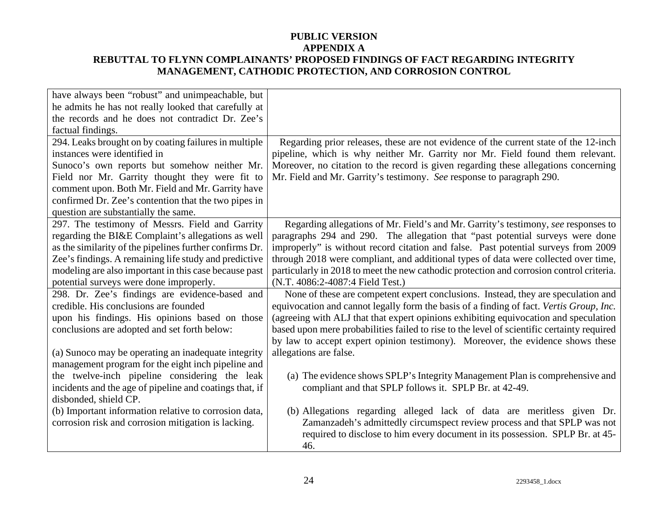| have always been "robust" and unimpeachable, but        |                                                                                            |
|---------------------------------------------------------|--------------------------------------------------------------------------------------------|
| he admits he has not really looked that carefully at    |                                                                                            |
| the records and he does not contradict Dr. Zee's        |                                                                                            |
| factual findings.                                       |                                                                                            |
| 294. Leaks brought on by coating failures in multiple   | Regarding prior releases, these are not evidence of the current state of the 12-inch       |
| instances were identified in                            | pipeline, which is why neither Mr. Garrity nor Mr. Field found them relevant.              |
| Sunoco's own reports but somehow neither Mr.            | Moreover, no citation to the record is given regarding these allegations concerning        |
| Field nor Mr. Garrity thought they were fit to          | Mr. Field and Mr. Garrity's testimony. See response to paragraph 290.                      |
| comment upon. Both Mr. Field and Mr. Garrity have       |                                                                                            |
| confirmed Dr. Zee's contention that the two pipes in    |                                                                                            |
| question are substantially the same.                    |                                                                                            |
| 297. The testimony of Messrs. Field and Garrity         | Regarding allegations of Mr. Field's and Mr. Garrity's testimony, see responses to         |
| regarding the BI&E Complaint's allegations as well      | paragraphs 294 and 290. The allegation that "past potential surveys were done              |
| as the similarity of the pipelines further confirms Dr. | improperly" is without record citation and false. Past potential surveys from 2009         |
| Zee's findings. A remaining life study and predictive   | through 2018 were compliant, and additional types of data were collected over time,        |
| modeling are also important in this case because past   | particularly in 2018 to meet the new cathodic protection and corrosion control criteria.   |
| potential surveys were done improperly.                 | (N.T. 4086:2-4087:4 Field Test.)                                                           |
| 298. Dr. Zee's findings are evidence-based and          | None of these are competent expert conclusions. Instead, they are speculation and          |
| credible. His conclusions are founded                   | equivocation and cannot legally form the basis of a finding of fact. Vertis Group, Inc.    |
| upon his findings. His opinions based on those          | (agreeing with ALJ that that expert opinions exhibiting equivocation and speculation       |
| conclusions are adopted and set forth below:            | based upon mere probabilities failed to rise to the level of scientific certainty required |
|                                                         | by law to accept expert opinion testimony). Moreover, the evidence shows these             |
| (a) Sunoco may be operating an inadequate integrity     | allegations are false.                                                                     |
| management program for the eight inch pipeline and      |                                                                                            |
| the twelve-inch pipeline considering the leak           | (a) The evidence shows SPLP's Integrity Management Plan is comprehensive and               |
| incidents and the age of pipeline and coatings that, if | compliant and that SPLP follows it. SPLP Br. at 42-49.                                     |
| disbonded, shield CP.                                   |                                                                                            |
| (b) Important information relative to corrosion data,   | (b) Allegations regarding alleged lack of data are meritless given Dr.                     |
| corrosion risk and corrosion mitigation is lacking.     | Zamanzadeh's admittedly circumspect review process and that SPLP was not                   |
|                                                         | required to disclose to him every document in its possession. SPLP Br. at 45-              |
|                                                         | 46.                                                                                        |